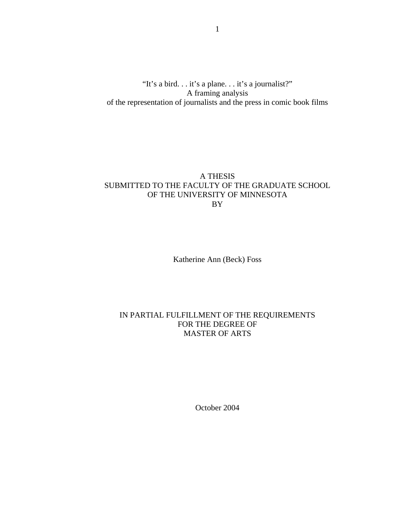"It's a bird. . . it's a plane. . . it's a journalist?" A framing analysis of the representation of journalists and the press in comic book films

# A THESIS SUBMITTED TO THE FACULTY OF THE GRADUATE SCHOOL OF THE UNIVERSITY OF MINNESOTA BY

Katherine Ann (Beck) Foss

# IN PARTIAL FULFILLMENT OF THE REQUIREMENTS FOR THE DEGREE OF MASTER OF ARTS

October 2004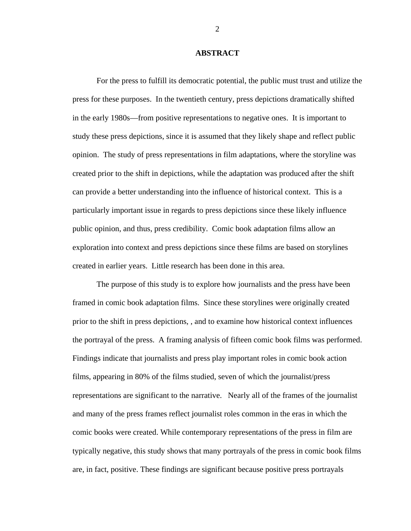### **ABSTRACT**

For the press to fulfill its democratic potential, the public must trust and utilize the press for these purposes. In the twentieth century, press depictions dramatically shifted in the early 1980s—from positive representations to negative ones. It is important to study these press depictions, since it is assumed that they likely shape and reflect public opinion. The study of press representations in film adaptations, where the storyline was created prior to the shift in depictions, while the adaptation was produced after the shift can provide a better understanding into the influence of historical context. This is a particularly important issue in regards to press depictions since these likely influence public opinion, and thus, press credibility. Comic book adaptation films allow an exploration into context and press depictions since these films are based on storylines created in earlier years. Little research has been done in this area.

The purpose of this study is to explore how journalists and the press have been framed in comic book adaptation films. Since these storylines were originally created prior to the shift in press depictions, , and to examine how historical context influences the portrayal of the press. A framing analysis of fifteen comic book films was performed. Findings indicate that journalists and press play important roles in comic book action films, appearing in 80% of the films studied, seven of which the journalist/press representations are significant to the narrative. Nearly all of the frames of the journalist and many of the press frames reflect journalist roles common in the eras in which the comic books were created. While contemporary representations of the press in film are typically negative, this study shows that many portrayals of the press in comic book films are, in fact, positive. These findings are significant because positive press portrayals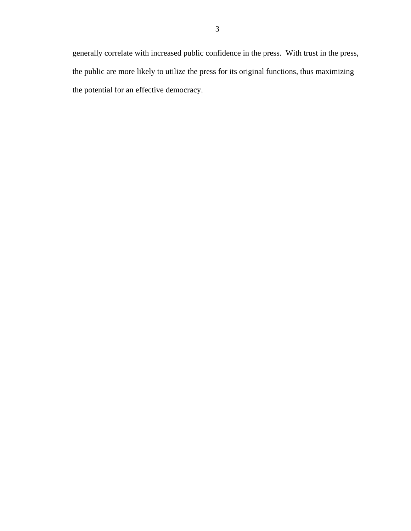generally correlate with increased public confidence in the press. With trust in the press, the public are more likely to utilize the press for its original functions, thus maximizing the potential for an effective democracy.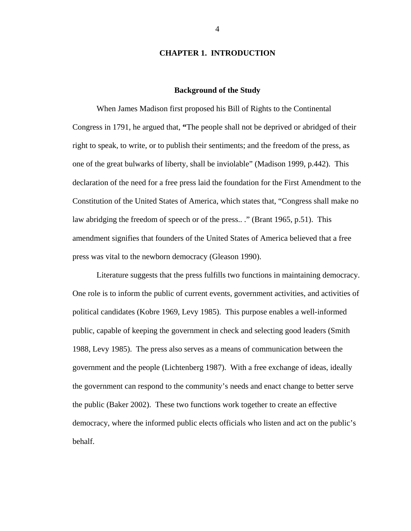### **CHAPTER 1. INTRODUCTION**

### **Background of the Study**

 When James Madison first proposed his Bill of Rights to the Continental Congress in 1791, he argued that, **"**The people shall not be deprived or abridged of their right to speak, to write, or to publish their sentiments; and the freedom of the press, as one of the great bulwarks of liberty, shall be inviolable" (Madison 1999, p.442). This declaration of the need for a free press laid the foundation for the First Amendment to the Constitution of the United States of America, which states that, "Congress shall make no law abridging the freedom of speech or of the press..." (Brant 1965, p.51). This amendment signifies that founders of the United States of America believed that a free press was vital to the newborn democracy (Gleason 1990).

 Literature suggests that the press fulfills two functions in maintaining democracy. One role is to inform the public of current events, government activities, and activities of political candidates (Kobre 1969, Levy 1985). This purpose enables a well-informed public, capable of keeping the government in check and selecting good leaders (Smith 1988, Levy 1985). The press also serves as a means of communication between the government and the people (Lichtenberg 1987). With a free exchange of ideas, ideally the government can respond to the community's needs and enact change to better serve the public (Baker 2002). These two functions work together to create an effective democracy, where the informed public elects officials who listen and act on the public's behalf.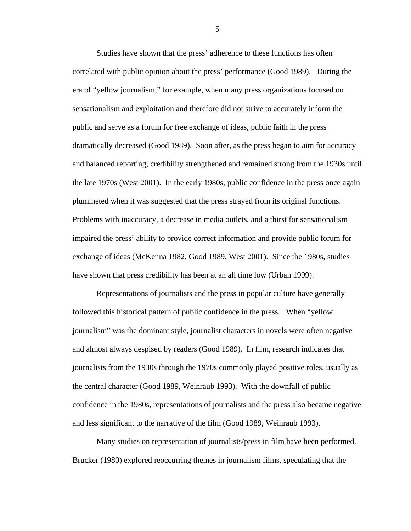Studies have shown that the press' adherence to these functions has often correlated with public opinion about the press' performance (Good 1989). During the era of "yellow journalism," for example, when many press organizations focused on sensationalism and exploitation and therefore did not strive to accurately inform the public and serve as a forum for free exchange of ideas, public faith in the press dramatically decreased (Good 1989). Soon after, as the press began to aim for accuracy and balanced reporting, credibility strengthened and remained strong from the 1930s until the late 1970s (West 2001). In the early 1980s, public confidence in the press once again plummeted when it was suggested that the press strayed from its original functions. Problems with inaccuracy, a decrease in media outlets, and a thirst for sensationalism impaired the press' ability to provide correct information and provide public forum for exchange of ideas (McKenna 1982, Good 1989, West 2001). Since the 1980s, studies have shown that press credibility has been at an all time low (Urban 1999).

 Representations of journalists and the press in popular culture have generally followed this historical pattern of public confidence in the press. When "yellow journalism" was the dominant style, journalist characters in novels were often negative and almost always despised by readers (Good 1989). In film, research indicates that journalists from the 1930s through the 1970s commonly played positive roles, usually as the central character (Good 1989, Weinraub 1993). With the downfall of public confidence in the 1980s, representations of journalists and the press also became negative and less significant to the narrative of the film (Good 1989, Weinraub 1993).

 Many studies on representation of journalists/press in film have been performed. Brucker (1980) explored reoccurring themes in journalism films, speculating that the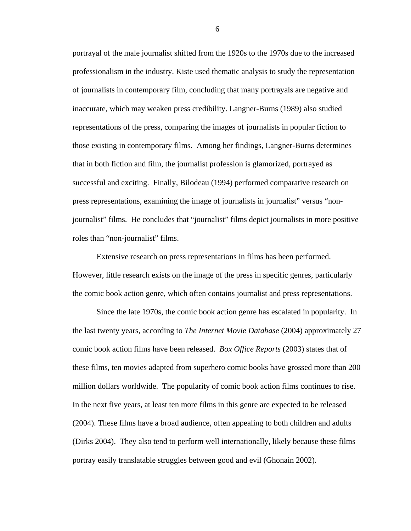portrayal of the male journalist shifted from the 1920s to the 1970s due to the increased professionalism in the industry. Kiste used thematic analysis to study the representation of journalists in contemporary film, concluding that many portrayals are negative and inaccurate, which may weaken press credibility. Langner-Burns (1989) also studied representations of the press, comparing the images of journalists in popular fiction to those existing in contemporary films. Among her findings, Langner-Burns determines that in both fiction and film, the journalist profession is glamorized, portrayed as successful and exciting. Finally, Bilodeau (1994) performed comparative research on press representations, examining the image of journalists in journalist" versus "nonjournalist" films. He concludes that "journalist" films depict journalists in more positive roles than "non-journalist" films.

 Extensive research on press representations in films has been performed. However, little research exists on the image of the press in specific genres, particularly the comic book action genre, which often contains journalist and press representations.

 Since the late 1970s, the comic book action genre has escalated in popularity. In the last twenty years, according to *The Internet Movie Database* (2004) approximately 27 comic book action films have been released. *Box Office Reports* (2003) states that of these films, ten movies adapted from superhero comic books have grossed more than 200 million dollars worldwide. The popularity of comic book action films continues to rise. In the next five years, at least ten more films in this genre are expected to be released (2004). These films have a broad audience, often appealing to both children and adults (Dirks 2004). They also tend to perform well internationally, likely because these films portray easily translatable struggles between good and evil (Ghonain 2002).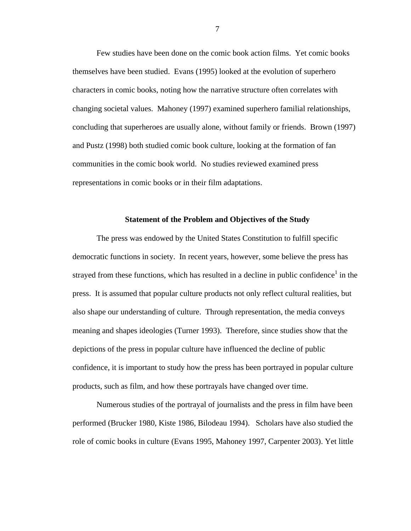Few studies have been done on the comic book action films. Yet comic books themselves have been studied. Evans (1995) looked at the evolution of superhero characters in comic books, noting how the narrative structure often correlates with changing societal values. Mahoney (1997) examined superhero familial relationships, concluding that superheroes are usually alone, without family or friends. Brown (1997) and Pustz (1998) both studied comic book culture, looking at the formation of fan communities in the comic book world. No studies reviewed examined press representations in comic books or in their film adaptations.

#### **Statement of the Problem and Objectives of the Study**

The press was endowed by the United States Constitution to fulfill specific democratic functions in society. In recent years, however, some believe the press has strayed from these functions, which has resulted in a decline in public confidence<sup>1</sup> in the press. It is assumed that popular culture products not only reflect cultural realities, but also shape our understanding of culture. Through representation, the media conveys meaning and shapes ideologies (Turner 1993). Therefore, since studies show that the depictions of the press in popular culture have influenced the decline of public confidence, it is important to study how the press has been portrayed in popular culture products, such as film, and how these portrayals have changed over time.

Numerous studies of the portrayal of journalists and the press in film have been performed (Brucker 1980, Kiste 1986, Bilodeau 1994). Scholars have also studied the role of comic books in culture (Evans 1995, Mahoney 1997, Carpenter 2003). Yet little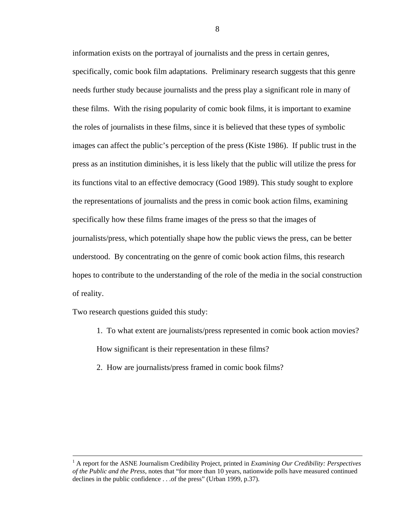information exists on the portrayal of journalists and the press in certain genres, specifically, comic book film adaptations. Preliminary research suggests that this genre needs further study because journalists and the press play a significant role in many of these films. With the rising popularity of comic book films, it is important to examine the roles of journalists in these films, since it is believed that these types of symbolic images can affect the public's perception of the press (Kiste 1986). If public trust in the press as an institution diminishes, it is less likely that the public will utilize the press for its functions vital to an effective democracy (Good 1989). This study sought to explore the representations of journalists and the press in comic book action films, examining specifically how these films frame images of the press so that the images of journalists/press, which potentially shape how the public views the press, can be better understood. By concentrating on the genre of comic book action films, this research hopes to contribute to the understanding of the role of the media in the social construction of reality.

Two research questions guided this study:

1. To what extent are journalists/press represented in comic book action movies? How significant is their representation in these films?

2. How are journalists/press framed in comic book films?

 $\frac{1}{1}$  A report for the ASNE Journalism Credibility Project, printed in *Examining Our Credibility: Perspectives of the Public and the Press*, notes that "for more than 10 years, nationwide polls have measured continued declines in the public confidence . . .of the press" (Urban 1999, p.37).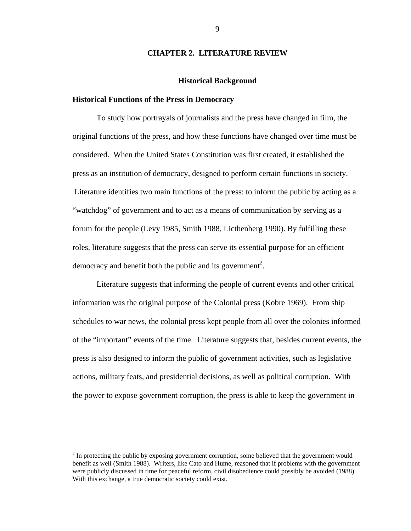## **CHAPTER 2. LITERATURE REVIEW**

#### **Historical Background**

#### **Historical Functions of the Press in Democracy**

To study how portrayals of journalists and the press have changed in film, the original functions of the press, and how these functions have changed over time must be considered. When the United States Constitution was first created, it established the press as an institution of democracy, designed to perform certain functions in society. Literature identifies two main functions of the press: to inform the public by acting as a "watchdog" of government and to act as a means of communication by serving as a forum for the people (Levy 1985, Smith 1988, Licthenberg 1990). By fulfilling these roles, literature suggests that the press can serve its essential purpose for an efficient democracy and benefit both the public and its government<sup>2</sup>.

Literature suggests that informing the people of current events and other critical information was the original purpose of the Colonial press (Kobre 1969). From ship schedules to war news, the colonial press kept people from all over the colonies informed of the "important" events of the time. Literature suggests that, besides current events, the press is also designed to inform the public of government activities, such as legislative actions, military feats, and presidential decisions, as well as political corruption. With the power to expose government corruption, the press is able to keep the government in

<u>.</u>

 $2^{2}$  In protecting the public by exposing government corruption, some believed that the government would benefit as well (Smith 1988). Writers, like Cato and Hume, reasoned that if problems with the government were publicly discussed in time for peaceful reform, civil disobedience could possibly be avoided (1988). With this exchange, a true democratic society could exist.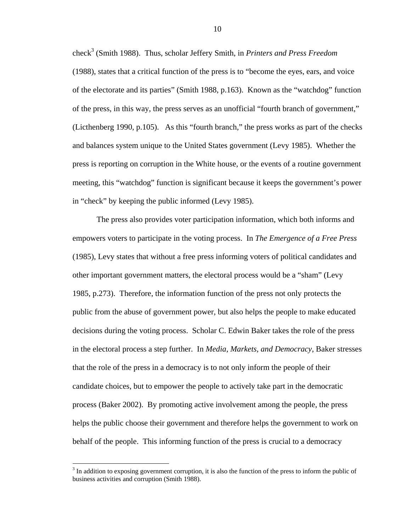check<sup>3</sup> (Smith 1988). Thus, scholar Jeffery Smith, in *Printers and Press Freedom* (1988), states that a critical function of the press is to "become the eyes, ears, and voice of the electorate and its parties" (Smith 1988, p.163). Known as the "watchdog" function of the press, in this way, the press serves as an unofficial "fourth branch of government," (Licthenberg 1990, p.105). As this "fourth branch," the press works as part of the checks and balances system unique to the United States government (Levy 1985). Whether the press is reporting on corruption in the White house, or the events of a routine government meeting, this "watchdog" function is significant because it keeps the government's power in "check" by keeping the public informed (Levy 1985).

The press also provides voter participation information, which both informs and empowers voters to participate in the voting process. In *The Emergence of a Free Press*  (1985), Levy states that without a free press informing voters of political candidates and other important government matters, the electoral process would be a "sham" (Levy 1985, p.273). Therefore, the information function of the press not only protects the public from the abuse of government power, but also helps the people to make educated decisions during the voting process. Scholar C. Edwin Baker takes the role of the press in the electoral process a step further. In *Media*, *Markets, and Democracy*, Baker stresses that the role of the press in a democracy is to not only inform the people of their candidate choices, but to empower the people to actively take part in the democratic process (Baker 2002). By promoting active involvement among the people, the press helps the public choose their government and therefore helps the government to work on behalf of the people. This informing function of the press is crucial to a democracy

 $3$  In addition to exposing government corruption, it is also the function of the press to inform the public of business activities and corruption (Smith 1988).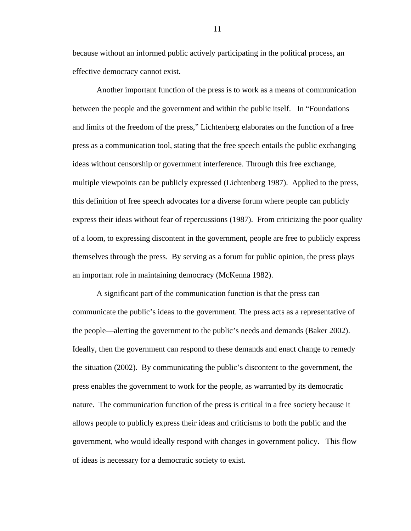because without an informed public actively participating in the political process, an effective democracy cannot exist.

Another important function of the press is to work as a means of communication between the people and the government and within the public itself. In "Foundations and limits of the freedom of the press," Lichtenberg elaborates on the function of a free press as a communication tool, stating that the free speech entails the public exchanging ideas without censorship or government interference. Through this free exchange, multiple viewpoints can be publicly expressed (Lichtenberg 1987). Applied to the press, this definition of free speech advocates for a diverse forum where people can publicly express their ideas without fear of repercussions (1987). From criticizing the poor quality of a loom, to expressing discontent in the government, people are free to publicly express themselves through the press. By serving as a forum for public opinion, the press plays an important role in maintaining democracy (McKenna 1982).

A significant part of the communication function is that the press can communicate the public's ideas to the government. The press acts as a representative of the people—alerting the government to the public's needs and demands (Baker 2002). Ideally, then the government can respond to these demands and enact change to remedy the situation (2002). By communicating the public's discontent to the government, the press enables the government to work for the people, as warranted by its democratic nature. The communication function of the press is critical in a free society because it allows people to publicly express their ideas and criticisms to both the public and the government, who would ideally respond with changes in government policy. This flow of ideas is necessary for a democratic society to exist.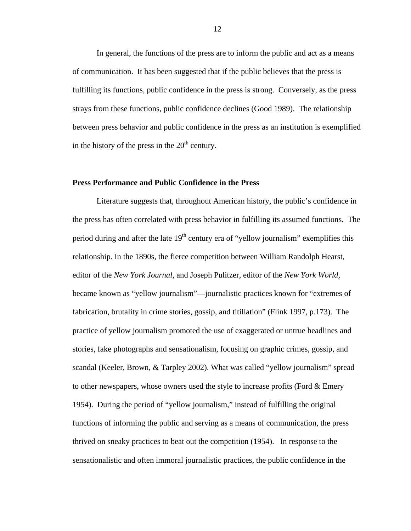In general, the functions of the press are to inform the public and act as a means of communication. It has been suggested that if the public believes that the press is fulfilling its functions, public confidence in the press is strong. Conversely, as the press strays from these functions, public confidence declines (Good 1989). The relationship between press behavior and public confidence in the press as an institution is exemplified in the history of the press in the  $20<sup>th</sup>$  century.

## **Press Performance and Public Confidence in the Press**

Literature suggests that, throughout American history, the public's confidence in the press has often correlated with press behavior in fulfilling its assumed functions. The period during and after the late  $19<sup>th</sup>$  century era of "yellow journalism" exemplifies this relationship. In the 1890s, the fierce competition between William Randolph Hearst, editor of the *New York Journal*, and Joseph Pulitzer, editor of the *New York World*, became known as "yellow journalism"—journalistic practices known for "extremes of fabrication, brutality in crime stories, gossip, and titillation" (Flink 1997, p.173). The practice of yellow journalism promoted the use of exaggerated or untrue headlines and stories, fake photographs and sensationalism, focusing on graphic crimes, gossip, and scandal (Keeler, Brown, & Tarpley 2002). What was called "yellow journalism" spread to other newspapers, whose owners used the style to increase profits (Ford & Emery 1954). During the period of "yellow journalism," instead of fulfilling the original functions of informing the public and serving as a means of communication, the press thrived on sneaky practices to beat out the competition (1954). In response to the sensationalistic and often immoral journalistic practices, the public confidence in the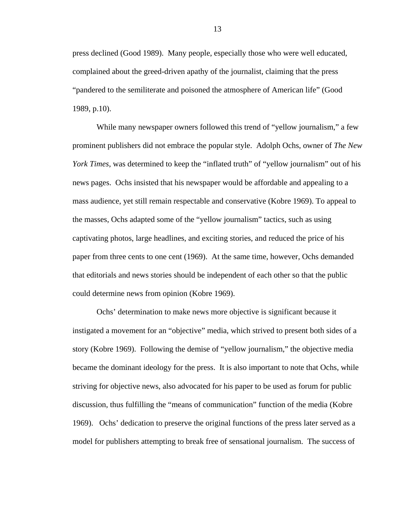press declined (Good 1989). Many people, especially those who were well educated, complained about the greed-driven apathy of the journalist, claiming that the press "pandered to the semiliterate and poisoned the atmosphere of American life" (Good 1989, p.10).

While many newspaper owners followed this trend of "yellow journalism," a few prominent publishers did not embrace the popular style. Adolph Ochs, owner of *The New York Times*, was determined to keep the "inflated truth" of "yellow journalism" out of his news pages. Ochs insisted that his newspaper would be affordable and appealing to a mass audience, yet still remain respectable and conservative (Kobre 1969). To appeal to the masses, Ochs adapted some of the "yellow journalism" tactics, such as using captivating photos, large headlines, and exciting stories, and reduced the price of his paper from three cents to one cent (1969). At the same time, however, Ochs demanded that editorials and news stories should be independent of each other so that the public could determine news from opinion (Kobre 1969).

Ochs' determination to make news more objective is significant because it instigated a movement for an "objective" media, which strived to present both sides of a story (Kobre 1969). Following the demise of "yellow journalism," the objective media became the dominant ideology for the press. It is also important to note that Ochs, while striving for objective news, also advocated for his paper to be used as forum for public discussion, thus fulfilling the "means of communication" function of the media (Kobre 1969). Ochs' dedication to preserve the original functions of the press later served as a model for publishers attempting to break free of sensational journalism. The success of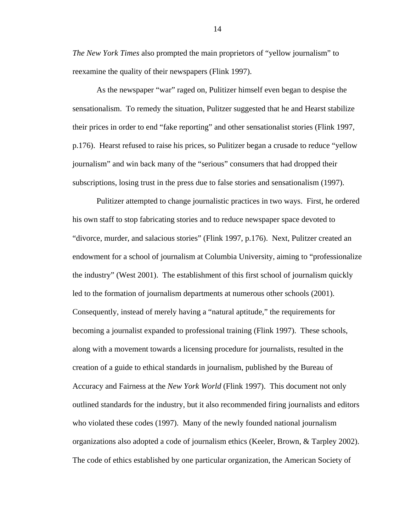*The New York Times* also prompted the main proprietors of "yellow journalism" to reexamine the quality of their newspapers (Flink 1997).

As the newspaper "war" raged on, Pulitizer himself even began to despise the sensationalism. To remedy the situation, Pulitzer suggested that he and Hearst stabilize their prices in order to end "fake reporting" and other sensationalist stories (Flink 1997, p.176). Hearst refused to raise his prices, so Pulitizer began a crusade to reduce "yellow journalism" and win back many of the "serious" consumers that had dropped their subscriptions, losing trust in the press due to false stories and sensationalism (1997).

 Pulitizer attempted to change journalistic practices in two ways. First, he ordered his own staff to stop fabricating stories and to reduce newspaper space devoted to "divorce, murder, and salacious stories" (Flink 1997, p.176). Next, Pulitzer created an endowment for a school of journalism at Columbia University, aiming to "professionalize the industry" (West 2001). The establishment of this first school of journalism quickly led to the formation of journalism departments at numerous other schools (2001). Consequently, instead of merely having a "natural aptitude," the requirements for becoming a journalist expanded to professional training (Flink 1997). These schools, along with a movement towards a licensing procedure for journalists, resulted in the creation of a guide to ethical standards in journalism, published by the Bureau of Accuracy and Fairness at the *New York World* (Flink 1997). This document not only outlined standards for the industry, but it also recommended firing journalists and editors who violated these codes (1997). Many of the newly founded national journalism organizations also adopted a code of journalism ethics (Keeler, Brown, & Tarpley 2002). The code of ethics established by one particular organization, the American Society of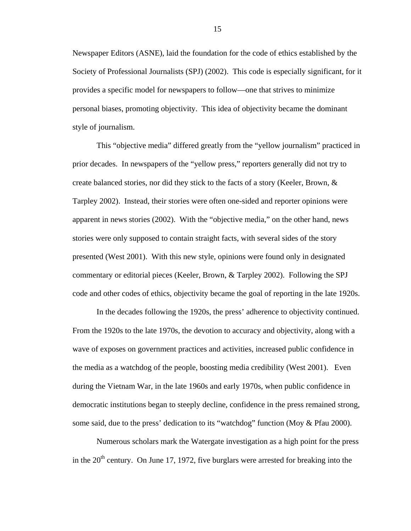Newspaper Editors (ASNE), laid the foundation for the code of ethics established by the Society of Professional Journalists (SPJ) (2002). This code is especially significant, for it provides a specific model for newspapers to follow—one that strives to minimize personal biases, promoting objectivity. This idea of objectivity became the dominant style of journalism.

 This "objective media" differed greatly from the "yellow journalism" practiced in prior decades. In newspapers of the "yellow press," reporters generally did not try to create balanced stories, nor did they stick to the facts of a story (Keeler, Brown, & Tarpley 2002). Instead, their stories were often one-sided and reporter opinions were apparent in news stories (2002). With the "objective media," on the other hand, news stories were only supposed to contain straight facts, with several sides of the story presented (West 2001). With this new style, opinions were found only in designated commentary or editorial pieces (Keeler, Brown, & Tarpley 2002). Following the SPJ code and other codes of ethics, objectivity became the goal of reporting in the late 1920s.

In the decades following the 1920s, the press' adherence to objectivity continued. From the 1920s to the late 1970s, the devotion to accuracy and objectivity, along with a wave of exposes on government practices and activities, increased public confidence in the media as a watchdog of the people, boosting media credibility (West 2001). Even during the Vietnam War, in the late 1960s and early 1970s, when public confidence in democratic institutions began to steeply decline, confidence in the press remained strong, some said, due to the press' dedication to its "watchdog" function (Moy & Pfau 2000).

Numerous scholars mark the Watergate investigation as a high point for the press in the  $20<sup>th</sup>$  century. On June 17, 1972, five burglars were arrested for breaking into the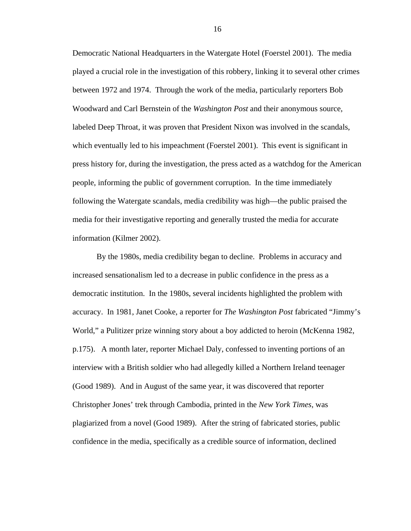Democratic National Headquarters in the Watergate Hotel (Foerstel 2001). The media played a crucial role in the investigation of this robbery, linking it to several other crimes between 1972 and 1974. Through the work of the media, particularly reporters Bob Woodward and Carl Bernstein of the *Washington Post* and their anonymous source, labeled Deep Throat, it was proven that President Nixon was involved in the scandals, which eventually led to his impeachment (Foerstel 2001). This event is significant in press history for, during the investigation, the press acted as a watchdog for the American people, informing the public of government corruption. In the time immediately following the Watergate scandals, media credibility was high—the public praised the media for their investigative reporting and generally trusted the media for accurate information (Kilmer 2002).

 By the 1980s, media credibility began to decline. Problems in accuracy and increased sensationalism led to a decrease in public confidence in the press as a democratic institution. In the 1980s, several incidents highlighted the problem with accuracy. In 1981, Janet Cooke, a reporter for *The Washington Post* fabricated "Jimmy's World," a Pulitizer prize winning story about a boy addicted to heroin (McKenna 1982, p.175). A month later, reporter Michael Daly, confessed to inventing portions of an interview with a British soldier who had allegedly killed a Northern Ireland teenager (Good 1989). And in August of the same year, it was discovered that reporter Christopher Jones' trek through Cambodia, printed in the *New York Times*, was plagiarized from a novel (Good 1989). After the string of fabricated stories, public confidence in the media, specifically as a credible source of information, declined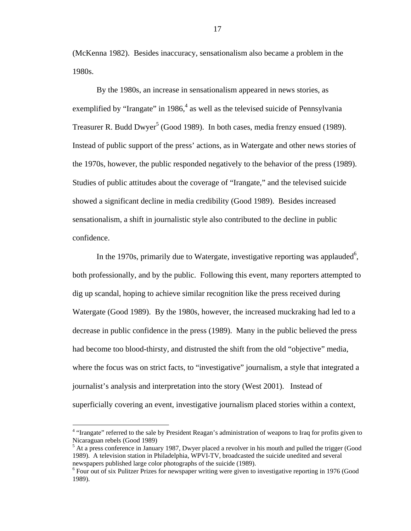(McKenna 1982). Besides inaccuracy, sensationalism also became a problem in the 1980s.

 By the 1980s, an increase in sensationalism appeared in news stories, as exemplified by "Irangate" in 1986, $4$  as well as the televised suicide of Pennsylvania Treasurer R. Budd Dwyer<sup>5</sup> (Good 1989). In both cases, media frenzy ensued (1989). Instead of public support of the press' actions, as in Watergate and other news stories of the 1970s, however, the public responded negatively to the behavior of the press (1989). Studies of public attitudes about the coverage of "Irangate," and the televised suicide showed a significant decline in media credibility (Good 1989). Besides increased sensationalism, a shift in journalistic style also contributed to the decline in public confidence.

In the 1970s, primarily due to Watergate, investigative reporting was applauded<sup>6</sup>, both professionally, and by the public. Following this event, many reporters attempted to dig up scandal, hoping to achieve similar recognition like the press received during Watergate (Good 1989). By the 1980s, however, the increased muckraking had led to a decrease in public confidence in the press (1989). Many in the public believed the press had become too blood-thirsty, and distrusted the shift from the old "objective" media, where the focus was on strict facts, to "investigative" journalism, a style that integrated a journalist's analysis and interpretation into the story (West 2001). Instead of superficially covering an event, investigative journalism placed stories within a context,

<u>.</u>

<sup>&</sup>lt;sup>4</sup> "Irangate" referred to the sale by President Reagan's administration of weapons to Iraq for profits given to Nicaraguan rebels (Good 1989)

<sup>&</sup>lt;sup>5</sup> At a press conference in January 1987, Dwyer placed a revolver in his mouth and pulled the trigger (Good 1989). A television station in Philadelphia, WPVI-TV, broadcasted the suicide unedited and several newspapers published large color photographs of the suicide (1989).

<sup>&</sup>lt;sup>6</sup> Four out of six Pulitzer Prizes for newspaper writing were given to investigative reporting in 1976 (Good 1989).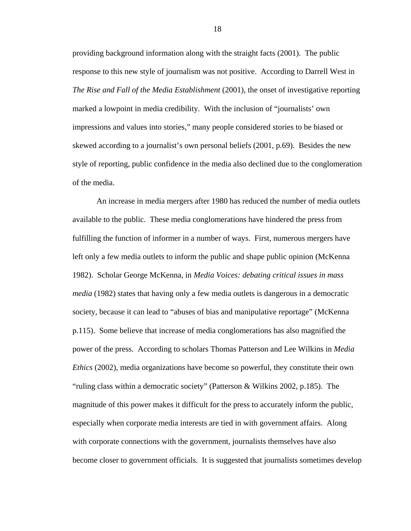providing background information along with the straight facts (2001). The public response to this new style of journalism was not positive. According to Darrell West in *The Rise and Fall of the Media Establishment* (2001), the onset of investigative reporting marked a lowpoint in media credibility. With the inclusion of "journalists' own impressions and values into stories," many people considered stories to be biased or skewed according to a journalist's own personal beliefs (2001, p.69). Besides the new style of reporting, public confidence in the media also declined due to the conglomeration of the media.

An increase in media mergers after 1980 has reduced the number of media outlets available to the public. These media conglomerations have hindered the press from fulfilling the function of informer in a number of ways. First, numerous mergers have left only a few media outlets to inform the public and shape public opinion (McKenna 1982). Scholar George McKenna, in *Media Voices: debating critical issues in mass media* (1982) states that having only a few media outlets is dangerous in a democratic society, because it can lead to "abuses of bias and manipulative reportage" (McKenna p.115). Some believe that increase of media conglomerations has also magnified the power of the press. According to scholars Thomas Patterson and Lee Wilkins in *Media Ethics* (2002), media organizations have become so powerful, they constitute their own "ruling class within a democratic society" (Patterson & Wilkins 2002, p.185). The magnitude of this power makes it difficult for the press to accurately inform the public, especially when corporate media interests are tied in with government affairs. Along with corporate connections with the government, journalists themselves have also become closer to government officials. It is suggested that journalists sometimes develop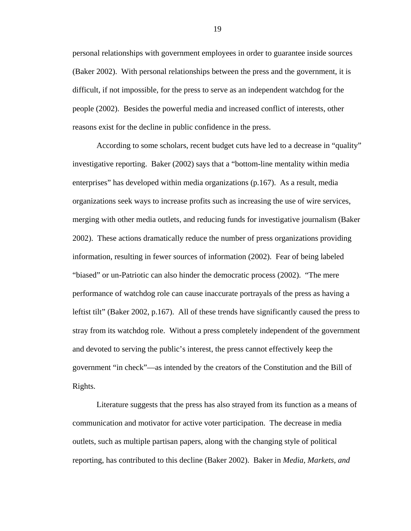personal relationships with government employees in order to guarantee inside sources (Baker 2002). With personal relationships between the press and the government, it is difficult, if not impossible, for the press to serve as an independent watchdog for the people (2002). Besides the powerful media and increased conflict of interests, other reasons exist for the decline in public confidence in the press.

According to some scholars, recent budget cuts have led to a decrease in "quality" investigative reporting. Baker (2002) says that a "bottom-line mentality within media enterprises" has developed within media organizations (p.167). As a result, media organizations seek ways to increase profits such as increasing the use of wire services, merging with other media outlets, and reducing funds for investigative journalism (Baker 2002). These actions dramatically reduce the number of press organizations providing information, resulting in fewer sources of information (2002). Fear of being labeled "biased" or un-Patriotic can also hinder the democratic process (2002). "The mere performance of watchdog role can cause inaccurate portrayals of the press as having a leftist tilt" (Baker 2002, p.167). All of these trends have significantly caused the press to stray from its watchdog role. Without a press completely independent of the government and devoted to serving the public's interest, the press cannot effectively keep the government "in check"—as intended by the creators of the Constitution and the Bill of Rights.

Literature suggests that the press has also strayed from its function as a means of communication and motivator for active voter participation. The decrease in media outlets, such as multiple partisan papers, along with the changing style of political reporting, has contributed to this decline (Baker 2002). Baker in *Media, Markets, and*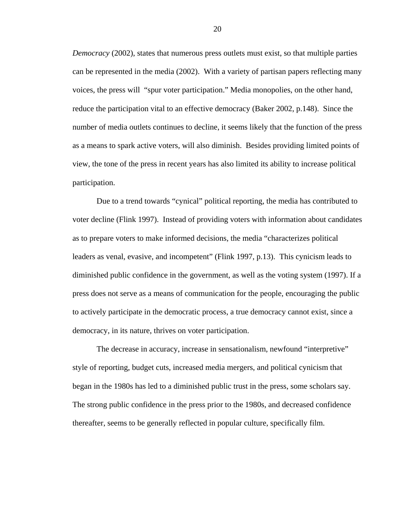*Democracy* (2002), states that numerous press outlets must exist, so that multiple parties can be represented in the media (2002). With a variety of partisan papers reflecting many voices, the press will "spur voter participation." Media monopolies, on the other hand, reduce the participation vital to an effective democracy (Baker 2002, p.148). Since the number of media outlets continues to decline, it seems likely that the function of the press as a means to spark active voters, will also diminish. Besides providing limited points of view, the tone of the press in recent years has also limited its ability to increase political participation.

Due to a trend towards "cynical" political reporting, the media has contributed to voter decline (Flink 1997). Instead of providing voters with information about candidates as to prepare voters to make informed decisions, the media "characterizes political leaders as venal, evasive, and incompetent" (Flink 1997, p.13). This cynicism leads to diminished public confidence in the government, as well as the voting system (1997). If a press does not serve as a means of communication for the people, encouraging the public to actively participate in the democratic process, a true democracy cannot exist, since a democracy, in its nature, thrives on voter participation.

The decrease in accuracy, increase in sensationalism, newfound "interpretive" style of reporting, budget cuts, increased media mergers, and political cynicism that began in the 1980s has led to a diminished public trust in the press, some scholars say. The strong public confidence in the press prior to the 1980s, and decreased confidence thereafter, seems to be generally reflected in popular culture, specifically film.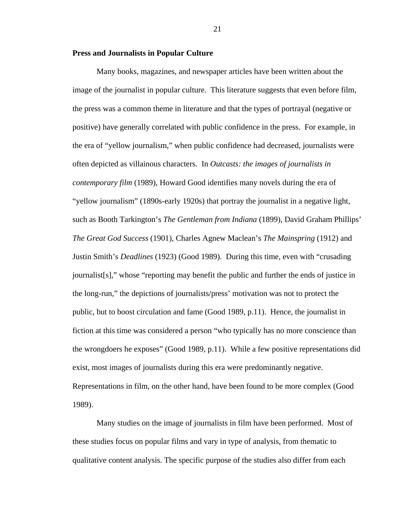#### **Press and Journalists in Popular Culture**

Many books, magazines, and newspaper articles have been written about the image of the journalist in popular culture. This literature suggests that even before film, the press was a common theme in literature and that the types of portrayal (negative or positive) have generally correlated with public confidence in the press. For example, in the era of "yellow journalism," when public confidence had decreased, journalists were often depicted as villainous characters. In *Outcasts: the images of journalists in contemporary film* (1989), Howard Good identifies many novels during the era of "yellow journalism" (1890s-early 1920s) that portray the journalist in a negative light, such as Booth Tarkington's *The Gentleman from Indiana* (1899), David Graham Phillips' *The Great God Success* (1901), Charles Agnew Maclean's *The Mainspring* (1912) and Justin Smith's *Deadlines* (1923) (Good 1989). During this time, even with "crusading journalist[s]," whose "reporting may benefit the public and further the ends of justice in the long-run," the depictions of journalists/press' motivation was not to protect the public, but to boost circulation and fame (Good 1989, p.11). Hence, the journalist in fiction at this time was considered a person "who typically has no more conscience than the wrongdoers he exposes" (Good 1989, p.11). While a few positive representations did exist, most images of journalists during this era were predominantly negative. Representations in film, on the other hand, have been found to be more complex (Good 1989).

Many studies on the image of journalists in film have been performed. Most of these studies focus on popular films and vary in type of analysis, from thematic to qualitative content analysis. The specific purpose of the studies also differ from each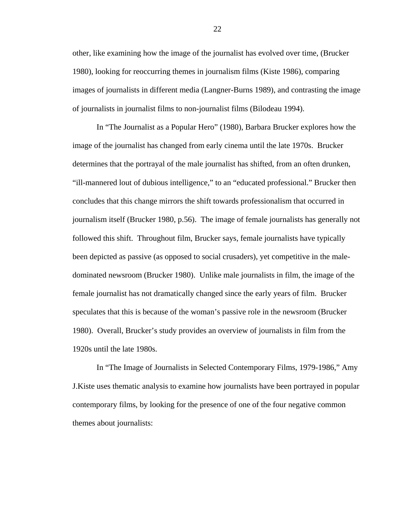other, like examining how the image of the journalist has evolved over time, (Brucker 1980), looking for reoccurring themes in journalism films (Kiste 1986), comparing images of journalists in different media (Langner-Burns 1989), and contrasting the image of journalists in journalist films to non-journalist films (Bilodeau 1994).

In "The Journalist as a Popular Hero" (1980), Barbara Brucker explores how the image of the journalist has changed from early cinema until the late 1970s. Brucker determines that the portrayal of the male journalist has shifted, from an often drunken, "ill-mannered lout of dubious intelligence," to an "educated professional." Brucker then concludes that this change mirrors the shift towards professionalism that occurred in journalism itself (Brucker 1980, p.56). The image of female journalists has generally not followed this shift. Throughout film, Brucker says, female journalists have typically been depicted as passive (as opposed to social crusaders), yet competitive in the maledominated newsroom (Brucker 1980). Unlike male journalists in film, the image of the female journalist has not dramatically changed since the early years of film. Brucker speculates that this is because of the woman's passive role in the newsroom (Brucker 1980). Overall, Brucker's study provides an overview of journalists in film from the 1920s until the late 1980s.

In "The Image of Journalists in Selected Contemporary Films, 1979-1986," Amy J.Kiste uses thematic analysis to examine how journalists have been portrayed in popular contemporary films, by looking for the presence of one of the four negative common themes about journalists: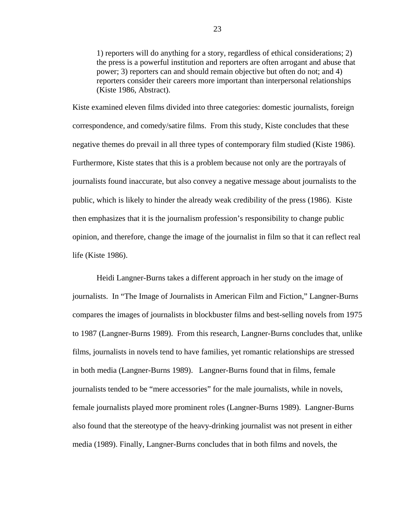1) reporters will do anything for a story, regardless of ethical considerations; 2) the press is a powerful institution and reporters are often arrogant and abuse that power; 3) reporters can and should remain objective but often do not; and 4) reporters consider their careers more important than interpersonal relationships (Kiste 1986, Abstract).

Kiste examined eleven films divided into three categories: domestic journalists, foreign correspondence, and comedy/satire films. From this study, Kiste concludes that these negative themes do prevail in all three types of contemporary film studied (Kiste 1986). Furthermore, Kiste states that this is a problem because not only are the portrayals of journalists found inaccurate, but also convey a negative message about journalists to the public, which is likely to hinder the already weak credibility of the press (1986). Kiste then emphasizes that it is the journalism profession's responsibility to change public opinion, and therefore, change the image of the journalist in film so that it can reflect real life (Kiste 1986).

Heidi Langner-Burns takes a different approach in her study on the image of journalists. In "The Image of Journalists in American Film and Fiction," Langner-Burns compares the images of journalists in blockbuster films and best-selling novels from 1975 to 1987 (Langner-Burns 1989). From this research, Langner-Burns concludes that, unlike films, journalists in novels tend to have families, yet romantic relationships are stressed in both media (Langner-Burns 1989). Langner-Burns found that in films, female journalists tended to be "mere accessories" for the male journalists, while in novels, female journalists played more prominent roles (Langner-Burns 1989). Langner-Burns also found that the stereotype of the heavy-drinking journalist was not present in either media (1989). Finally, Langner-Burns concludes that in both films and novels, the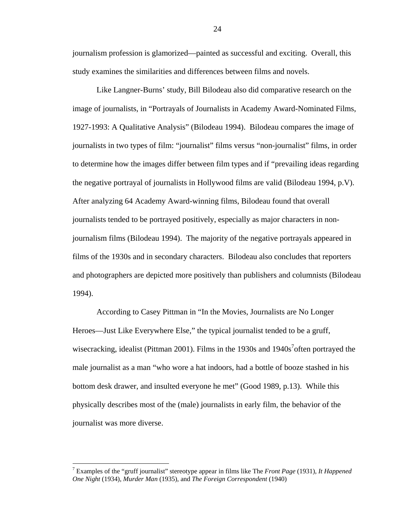journalism profession is glamorized—painted as successful and exciting. Overall, this study examines the similarities and differences between films and novels.

Like Langner-Burns' study, Bill Bilodeau also did comparative research on the image of journalists, in "Portrayals of Journalists in Academy Award-Nominated Films, 1927-1993: A Qualitative Analysis" (Bilodeau 1994). Bilodeau compares the image of journalists in two types of film: "journalist" films versus "non-journalist" films, in order to determine how the images differ between film types and if "prevailing ideas regarding the negative portrayal of journalists in Hollywood films are valid (Bilodeau 1994, p.V). After analyzing 64 Academy Award-winning films, Bilodeau found that overall journalists tended to be portrayed positively, especially as major characters in nonjournalism films (Bilodeau 1994). The majority of the negative portrayals appeared in films of the 1930s and in secondary characters. Bilodeau also concludes that reporters and photographers are depicted more positively than publishers and columnists (Bilodeau 1994).

According to Casey Pittman in "In the Movies, Journalists are No Longer Heroes—Just Like Everywhere Else," the typical journalist tended to be a gruff, wisecracking, idealist (Pittman 2001). Films in the 1930s and  $1940s<sup>7</sup>$ often portrayed the male journalist as a man "who wore a hat indoors, had a bottle of booze stashed in his bottom desk drawer, and insulted everyone he met" (Good 1989, p.13). While this physically describes most of the (male) journalists in early film, the behavior of the journalist was more diverse.

<sup>7</sup> Examples of the "gruff journalist" stereotype appear in films like The *Front Page* (1931), *It Happened One Night* (1934), *Murder Man* (1935), and *The Foreign Correspondent* (1940)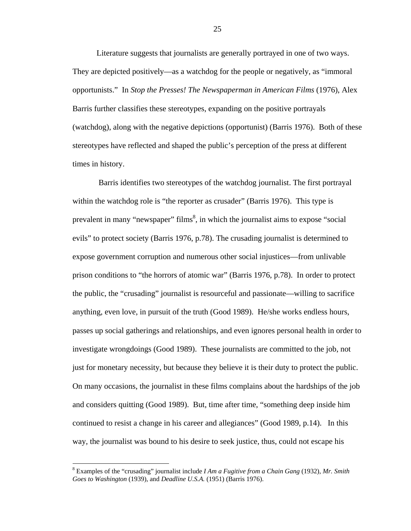Literature suggests that journalists are generally portrayed in one of two ways. They are depicted positively—as a watchdog for the people or negatively, as "immoral opportunists." In *Stop the Presses! The Newspaperman in American Films* (1976), Alex Barris further classifies these stereotypes, expanding on the positive portrayals (watchdog), along with the negative depictions (opportunist) (Barris 1976). Both of these stereotypes have reflected and shaped the public's perception of the press at different times in history.

 Barris identifies two stereotypes of the watchdog journalist. The first portrayal within the watchdog role is "the reporter as crusader" (Barris 1976). This type is prevalent in many "newspaper" films<sup>8</sup>, in which the journalist aims to expose "social evils" to protect society (Barris 1976, p.78). The crusading journalist is determined to expose government corruption and numerous other social injustices—from unlivable prison conditions to "the horrors of atomic war" (Barris 1976, p.78). In order to protect the public, the "crusading" journalist is resourceful and passionate—willing to sacrifice anything, even love, in pursuit of the truth (Good 1989). He/she works endless hours, passes up social gatherings and relationships, and even ignores personal health in order to investigate wrongdoings (Good 1989). These journalists are committed to the job, not just for monetary necessity, but because they believe it is their duty to protect the public. On many occasions, the journalist in these films complains about the hardships of the job and considers quitting (Good 1989). But, time after time, "something deep inside him continued to resist a change in his career and allegiances" (Good 1989, p.14). In this way, the journalist was bound to his desire to seek justice, thus, could not escape his

<sup>8</sup> Examples of the "crusading" journalist include *I Am a Fugitive from a Chain Gang* (1932), *Mr. Smith Goes to Washington* (1939), and *Deadline U.S.A.* (1951) (Barris 1976).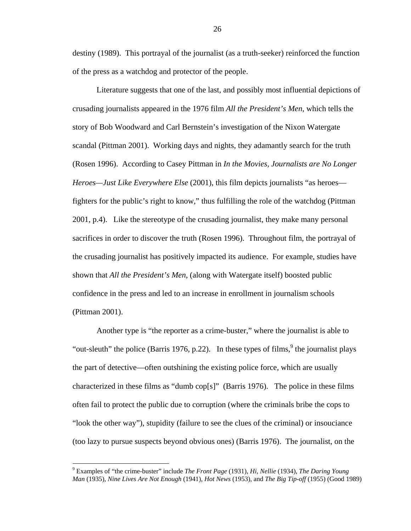destiny (1989). This portrayal of the journalist (as a truth-seeker) reinforced the function of the press as a watchdog and protector of the people.

Literature suggests that one of the last, and possibly most influential depictions of crusading journalists appeared in the 1976 film *All the President's Men*, which tells the story of Bob Woodward and Carl Bernstein's investigation of the Nixon Watergate scandal (Pittman 2001). Working days and nights, they adamantly search for the truth (Rosen 1996). According to Casey Pittman in *In the Movies, Journalists are No Longer Heroes—Just Like Everywhere Else* (2001), this film depicts journalists "as heroes fighters for the public's right to know," thus fulfilling the role of the watchdog (Pittman 2001, p.4). Like the stereotype of the crusading journalist, they make many personal sacrifices in order to discover the truth (Rosen 1996). Throughout film, the portrayal of the crusading journalist has positively impacted its audience. For example, studies have shown that *All the President's Men*, (along with Watergate itself) boosted public confidence in the press and led to an increase in enrollment in journalism schools (Pittman 2001).

Another type is "the reporter as a crime-buster," where the journalist is able to "out-sleuth" the police (Barris 1976, p.22). In these types of films,  $9$  the journalist plays the part of detective—often outshining the existing police force, which are usually characterized in these films as "dumb cop[s]" (Barris 1976). The police in these films often fail to protect the public due to corruption (where the criminals bribe the cops to "look the other way"), stupidity (failure to see the clues of the criminal) or insouciance (too lazy to pursue suspects beyond obvious ones) (Barris 1976). The journalist, on the

<sup>9</sup> Examples of "the crime-buster" include *The Front Page* (1931), *Hi, Nellie* (1934), *The Daring Young Man* (1935), *Nine Lives Are Not Enough* (1941), *Hot News* (1953), and *The Big Tip-off* (1955) (Good 1989)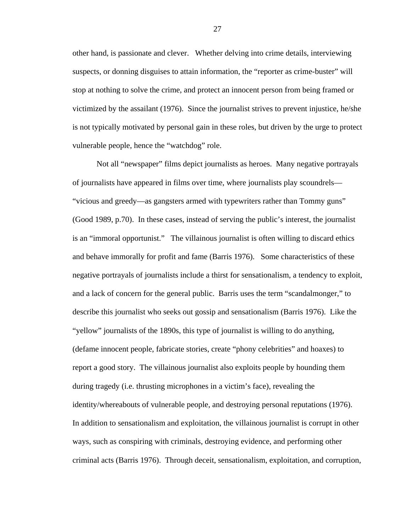other hand, is passionate and clever. Whether delving into crime details, interviewing suspects, or donning disguises to attain information, the "reporter as crime-buster" will stop at nothing to solve the crime, and protect an innocent person from being framed or victimized by the assailant (1976). Since the journalist strives to prevent injustice, he/she is not typically motivated by personal gain in these roles, but driven by the urge to protect vulnerable people, hence the "watchdog" role.

Not all "newspaper" films depict journalists as heroes. Many negative portrayals of journalists have appeared in films over time, where journalists play scoundrels— "vicious and greedy—as gangsters armed with typewriters rather than Tommy guns" (Good 1989, p.70). In these cases, instead of serving the public's interest, the journalist is an "immoral opportunist." The villainous journalist is often willing to discard ethics and behave immorally for profit and fame (Barris 1976). Some characteristics of these negative portrayals of journalists include a thirst for sensationalism, a tendency to exploit, and a lack of concern for the general public. Barris uses the term "scandalmonger," to describe this journalist who seeks out gossip and sensationalism (Barris 1976). Like the "yellow" journalists of the 1890s, this type of journalist is willing to do anything, (defame innocent people, fabricate stories, create "phony celebrities" and hoaxes) to report a good story. The villainous journalist also exploits people by hounding them during tragedy (i.e. thrusting microphones in a victim's face), revealing the identity/whereabouts of vulnerable people, and destroying personal reputations (1976). In addition to sensationalism and exploitation, the villainous journalist is corrupt in other ways, such as conspiring with criminals, destroying evidence, and performing other criminal acts (Barris 1976). Through deceit, sensationalism, exploitation, and corruption,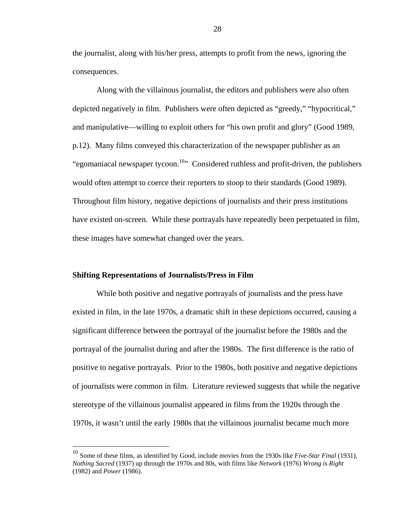the journalist, along with his/her press, attempts to profit from the news, ignoring the consequences.

Along with the villainous journalist, the editors and publishers were also often depicted negatively in film. Publishers were often depicted as "greedy," "hypocritical," and manipulative—willing to exploit others for "his own profit and glory" (Good 1989, p.12). Many films conveyed this characterization of the newspaper publisher as an "egomaniacal newspaper tycoon.<sup>10</sup>" Considered ruthless and profit-driven, the publishers would often attempt to coerce their reporters to stoop to their standards (Good 1989). Throughout film history, negative depictions of journalists and their press institutions have existed on-screen. While these portrayals have repeatedly been perpetuated in film, these images have somewhat changed over the years.

#### **Shifting Representations of Journalists/Press in Film**

 $\overline{a}$ 

While both positive and negative portrayals of journalists and the press have existed in film, in the late 1970s, a dramatic shift in these depictions occurred, causing a significant difference between the portrayal of the journalist before the 1980s and the portrayal of the journalist during and after the 1980s. The first difference is the ratio of positive to negative portrayals. Prior to the 1980s, both positive and negative depictions of journalists were common in film. Literature reviewed suggests that while the negative stereotype of the villainous journalist appeared in films from the 1920s through the 1970s, it wasn't until the early 1980s that the villainous journalist became much more

<sup>10</sup> Some of these films, as identified by Good, include movies from the 1930s like *Five-Star Final* (1931), *Nothing Sacred* (1937) up through the 1970s and 80s, with films like *Network* (1976) *Wrong is Right*  (1982) and *Power* (1986).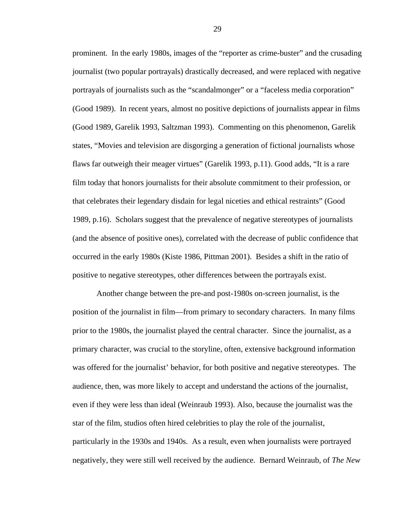prominent. In the early 1980s, images of the "reporter as crime-buster" and the crusading journalist (two popular portrayals) drastically decreased, and were replaced with negative portrayals of journalists such as the "scandalmonger" or a "faceless media corporation" (Good 1989). In recent years, almost no positive depictions of journalists appear in films (Good 1989, Garelik 1993, Saltzman 1993). Commenting on this phenomenon, Garelik states, "Movies and television are disgorging a generation of fictional journalists whose flaws far outweigh their meager virtues" (Garelik 1993, p.11). Good adds, "It is a rare film today that honors journalists for their absolute commitment to their profession, or that celebrates their legendary disdain for legal niceties and ethical restraints" (Good 1989, p.16). Scholars suggest that the prevalence of negative stereotypes of journalists (and the absence of positive ones), correlated with the decrease of public confidence that occurred in the early 1980s (Kiste 1986, Pittman 2001). Besides a shift in the ratio of positive to negative stereotypes, other differences between the portrayals exist.

Another change between the pre-and post-1980s on-screen journalist, is the position of the journalist in film—from primary to secondary characters. In many films prior to the 1980s, the journalist played the central character. Since the journalist, as a primary character, was crucial to the storyline, often, extensive background information was offered for the journalist' behavior, for both positive and negative stereotypes. The audience, then, was more likely to accept and understand the actions of the journalist, even if they were less than ideal (Weinraub 1993). Also, because the journalist was the star of the film, studios often hired celebrities to play the role of the journalist, particularly in the 1930s and 1940s. As a result, even when journalists were portrayed negatively, they were still well received by the audience. Bernard Weinraub, of *The New*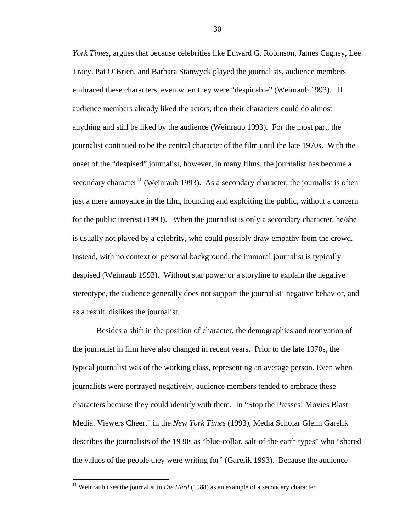*York Times*, argues that because celebrities like Edward G. Robinson, James Cagney, Lee Tracy, Pat O'Brien, and Barbara Stanwyck played the journalists, audience members embraced these characters, even when they were "despicable" (Weinraub 1993). If audience members already liked the actors, then their characters could do almost anything and still be liked by the audience (Weinraub 1993). For the most part, the journalist continued to be the central character of the film until the late 1970s. With the onset of the "despised" journalist, however, in many films, the journalist has become a secondary character<sup>11</sup> (Weinraub 1993). As a secondary character, the journalist is often just a mere annoyance in the film, hounding and exploiting the public, without a concern for the public interest (1993). When the journalist is only a secondary character, he/she is usually not played by a celebrity, who could possibly draw empathy from the crowd. Instead, with no context or personal background, the immoral journalist is typically despised (Weinraub 1993). Without star power or a storyline to explain the negative stereotype, the audience generally does not support the journalist' negative behavior, and as a result, dislikes the journalist.

Besides a shift in the position of character, the demographics and motivation of the journalist in film have also changed in recent years. Prior to the late 1970s, the typical journalist was of the working class, representing an average person. Even when journalists were portrayed negatively, audience members tended to embrace these characters because they could identify with them. In "Stop the Presses! Movies Blast Media. Viewers Cheer," in the *New York Times* (1993), Media Scholar Glenn Garelik describes the journalists of the 1930s as "blue-collar, salt-of-the earth types" who "shared the values of the people they were writing for" (Garelik 1993). Because the audience

<sup>&</sup>lt;sup>11</sup> Weinraub uses the journalist in *Die Hard* (1988) as an example of a secondary character.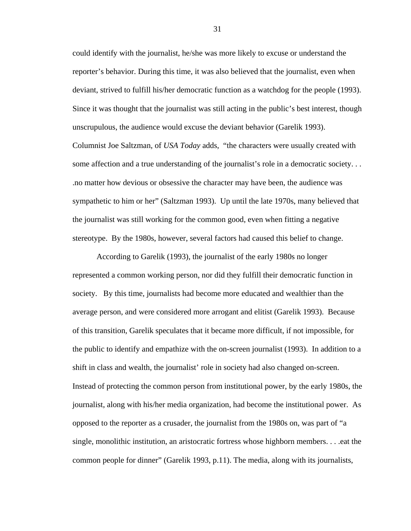could identify with the journalist, he/she was more likely to excuse or understand the reporter's behavior. During this time, it was also believed that the journalist, even when deviant, strived to fulfill his/her democratic function as a watchdog for the people (1993). Since it was thought that the journalist was still acting in the public's best interest, though unscrupulous, the audience would excuse the deviant behavior (Garelik 1993). Columnist Joe Saltzman, of *USA Today* adds, "the characters were usually created with some affection and a true understanding of the journalist's role in a democratic society. . . .no matter how devious or obsessive the character may have been, the audience was sympathetic to him or her" (Saltzman 1993). Up until the late 1970s, many believed that the journalist was still working for the common good, even when fitting a negative stereotype. By the 1980s, however, several factors had caused this belief to change.

According to Garelik (1993), the journalist of the early 1980s no longer represented a common working person, nor did they fulfill their democratic function in society. By this time, journalists had become more educated and wealthier than the average person, and were considered more arrogant and elitist (Garelik 1993). Because of this transition, Garelik speculates that it became more difficult, if not impossible, for the public to identify and empathize with the on-screen journalist (1993). In addition to a shift in class and wealth, the journalist' role in society had also changed on-screen. Instead of protecting the common person from institutional power, by the early 1980s, the journalist, along with his/her media organization, had become the institutional power. As opposed to the reporter as a crusader, the journalist from the 1980s on, was part of "a single, monolithic institution, an aristocratic fortress whose highborn members. . . .eat the common people for dinner" (Garelik 1993, p.11). The media, along with its journalists,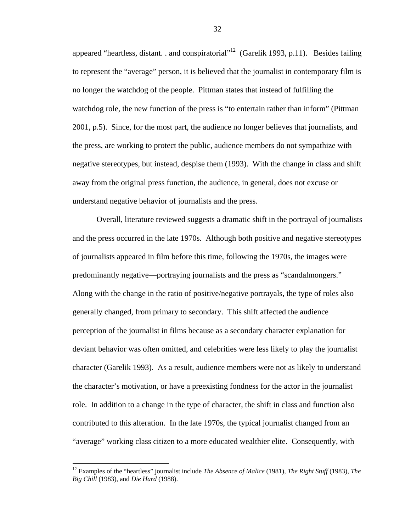appeared "heartless, distant. . and conspiratorial"<sup>12</sup> (Garelik 1993, p.11). Besides failing to represent the "average" person, it is believed that the journalist in contemporary film is no longer the watchdog of the people. Pittman states that instead of fulfilling the watchdog role, the new function of the press is "to entertain rather than inform" (Pittman 2001, p.5). Since, for the most part, the audience no longer believes that journalists, and the press, are working to protect the public, audience members do not sympathize with negative stereotypes, but instead, despise them (1993). With the change in class and shift away from the original press function, the audience, in general, does not excuse or understand negative behavior of journalists and the press.

Overall, literature reviewed suggests a dramatic shift in the portrayal of journalists and the press occurred in the late 1970s. Although both positive and negative stereotypes of journalists appeared in film before this time, following the 1970s, the images were predominantly negative—portraying journalists and the press as "scandalmongers." Along with the change in the ratio of positive/negative portrayals, the type of roles also generally changed, from primary to secondary. This shift affected the audience perception of the journalist in films because as a secondary character explanation for deviant behavior was often omitted, and celebrities were less likely to play the journalist character (Garelik 1993). As a result, audience members were not as likely to understand the character's motivation, or have a preexisting fondness for the actor in the journalist role. In addition to a change in the type of character, the shift in class and function also contributed to this alteration. In the late 1970s, the typical journalist changed from an "average" working class citizen to a more educated wealthier elite. Consequently, with

1

<sup>12</sup> Examples of the "heartless" journalist include *The Absence of Malice* (1981), *The Right Stuff* (1983), *The Big Chill* (1983), and *Die Hard* (1988).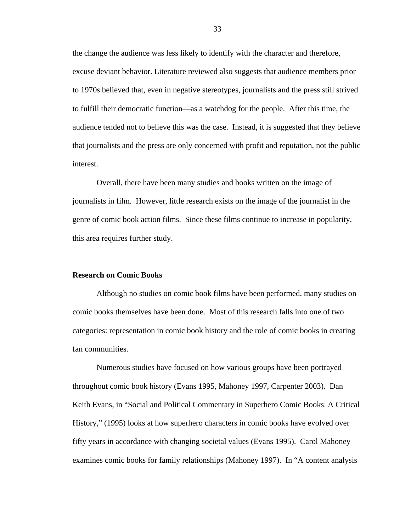the change the audience was less likely to identify with the character and therefore, excuse deviant behavior. Literature reviewed also suggests that audience members prior to 1970s believed that, even in negative stereotypes, journalists and the press still strived to fulfill their democratic function—as a watchdog for the people. After this time, the audience tended not to believe this was the case. Instead, it is suggested that they believe that journalists and the press are only concerned with profit and reputation, not the public interest.

Overall, there have been many studies and books written on the image of journalists in film. However, little research exists on the image of the journalist in the genre of comic book action films. Since these films continue to increase in popularity, this area requires further study.

### **Research on Comic Books**

Although no studies on comic book films have been performed, many studies on comic books themselves have been done. Most of this research falls into one of two categories: representation in comic book history and the role of comic books in creating fan communities.

Numerous studies have focused on how various groups have been portrayed throughout comic book history (Evans 1995, Mahoney 1997, Carpenter 2003). Dan Keith Evans, in "Social and Political Commentary in Superhero Comic Books: A Critical History," (1995) looks at how superhero characters in comic books have evolved over fifty years in accordance with changing societal values (Evans 1995). Carol Mahoney examines comic books for family relationships (Mahoney 1997). In "A content analysis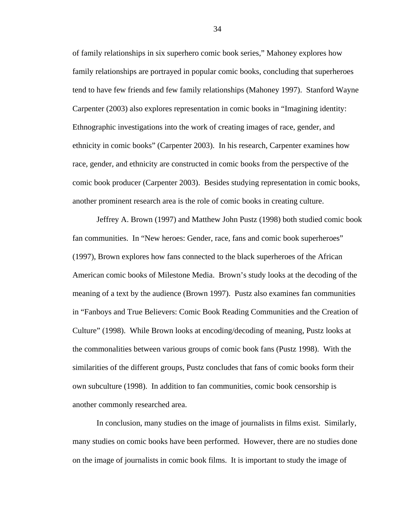of family relationships in six superhero comic book series," Mahoney explores how family relationships are portrayed in popular comic books, concluding that superheroes tend to have few friends and few family relationships (Mahoney 1997). Stanford Wayne Carpenter (2003) also explores representation in comic books in "Imagining identity: Ethnographic investigations into the work of creating images of race, gender, and ethnicity in comic books" (Carpenter 2003). In his research, Carpenter examines how race, gender, and ethnicity are constructed in comic books from the perspective of the comic book producer (Carpenter 2003). Besides studying representation in comic books, another prominent research area is the role of comic books in creating culture.

Jeffrey A. Brown (1997) and Matthew John Pustz (1998) both studied comic book fan communities. In "New heroes: Gender, race, fans and comic book superheroes" (1997), Brown explores how fans connected to the black superheroes of the African American comic books of Milestone Media. Brown's study looks at the decoding of the meaning of a text by the audience (Brown 1997). Pustz also examines fan communities in "Fanboys and True Believers: Comic Book Reading Communities and the Creation of Culture" (1998). While Brown looks at encoding/decoding of meaning, Pustz looks at the commonalities between various groups of comic book fans (Pustz 1998). With the similarities of the different groups, Pustz concludes that fans of comic books form their own subculture (1998). In addition to fan communities, comic book censorship is another commonly researched area.

In conclusion, many studies on the image of journalists in films exist. Similarly, many studies on comic books have been performed. However, there are no studies done on the image of journalists in comic book films. It is important to study the image of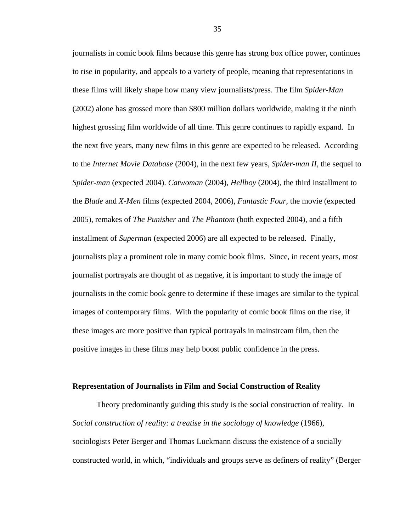journalists in comic book films because this genre has strong box office power, continues to rise in popularity, and appeals to a variety of people, meaning that representations in these films will likely shape how many view journalists/press. The film *Spider-Man*  (2002) alone has grossed more than \$800 million dollars worldwide, making it the ninth highest grossing film worldwide of all time. This genre continues to rapidly expand. In the next five years, many new films in this genre are expected to be released. According to the *Internet Movie Database* (2004), in the next few years, *Spider-man II*, the sequel to *Spider-man* (expected 2004). *Catwoman* (2004), *Hellboy* (2004), the third installment to the *Blade* and *X-Men* films (expected 2004, 2006), *Fantastic Four*, the movie (expected 2005), remakes of *The Punisher* and *The Phantom* (both expected 2004), and a fifth installment of *Superman* (expected 2006) are all expected to be released. Finally, journalists play a prominent role in many comic book films. Since, in recent years, most journalist portrayals are thought of as negative, it is important to study the image of journalists in the comic book genre to determine if these images are similar to the typical images of contemporary films. With the popularity of comic book films on the rise, if these images are more positive than typical portrayals in mainstream film, then the positive images in these films may help boost public confidence in the press.

#### **Representation of Journalists in Film and Social Construction of Reality**

 Theory predominantly guiding this study is the social construction of reality. In *Social construction of reality: a treatise in the sociology of knowledge* (1966), sociologists Peter Berger and Thomas Luckmann discuss the existence of a socially constructed world, in which, "individuals and groups serve as definers of reality" (Berger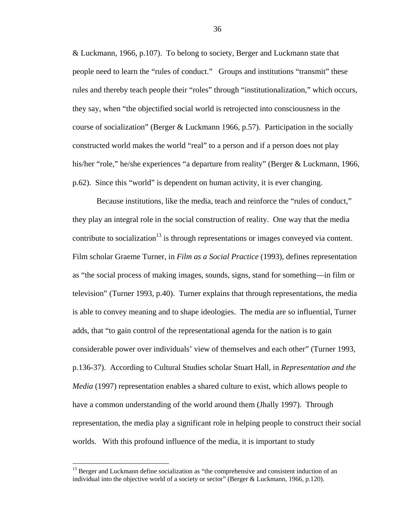& Luckmann, 1966, p.107). To belong to society, Berger and Luckmann state that people need to learn the "rules of conduct." Groups and institutions "transmit" these rules and thereby teach people their "roles" through "institutionalization," which occurs, they say, when "the objectified social world is retrojected into consciousness in the course of socialization" (Berger & Luckmann 1966, p.57). Participation in the socially constructed world makes the world "real" to a person and if a person does not play his/her "role," he/she experiences "a departure from reality" (Berger & Luckmann, 1966, p.62). Since this "world" is dependent on human activity, it is ever changing.

Because institutions, like the media, teach and reinforce the "rules of conduct," they play an integral role in the social construction of reality. One way that the media contribute to socialization<sup>13</sup> is through representations or images conveyed via content. Film scholar Graeme Turner, in *Film as a Social Practice* (1993), defines representation as "the social process of making images, sounds, signs, stand for something—in film or television" (Turner 1993, p.40). Turner explains that through representations, the media is able to convey meaning and to shape ideologies. The media are so influential, Turner adds, that "to gain control of the representational agenda for the nation is to gain considerable power over individuals' view of themselves and each other" (Turner 1993, p.136-37). According to Cultural Studies scholar Stuart Hall, in *Representation and the Media* (1997) representation enables a shared culture to exist, which allows people to have a common understanding of the world around them (Jhally 1997). Through representation, the media play a significant role in helping people to construct their social worlds. With this profound influence of the media, it is important to study

 $\overline{a}$ 

 $13$  Berger and Luckmann define socialization as "the comprehensive and consistent induction of an individual into the objective world of a society or sector" (Berger & Luckmann, 1966, p.120).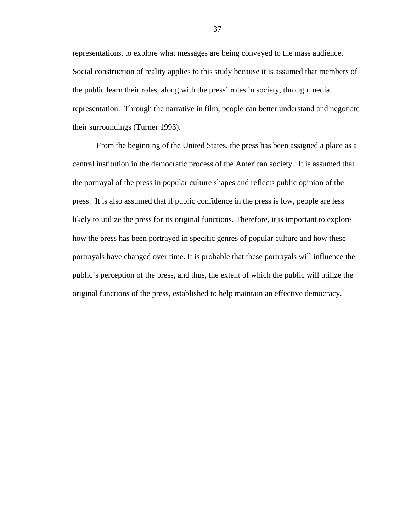representations, to explore what messages are being conveyed to the mass audience. Social construction of reality applies to this study because it is assumed that members of the public learn their roles, along with the press' roles in society, through media representation. Through the narrative in film, people can better understand and negotiate their surroundings (Turner 1993).

From the beginning of the United States, the press has been assigned a place as a central institution in the democratic process of the American society. It is assumed that the portrayal of the press in popular culture shapes and reflects public opinion of the press. It is also assumed that if public confidence in the press is low, people are less likely to utilize the press for its original functions. Therefore, it is important to explore how the press has been portrayed in specific genres of popular culture and how these portrayals have changed over time. It is probable that these portrayals will influence the public's perception of the press, and thus, the extent of which the public will utilize the original functions of the press, established to help maintain an effective democracy.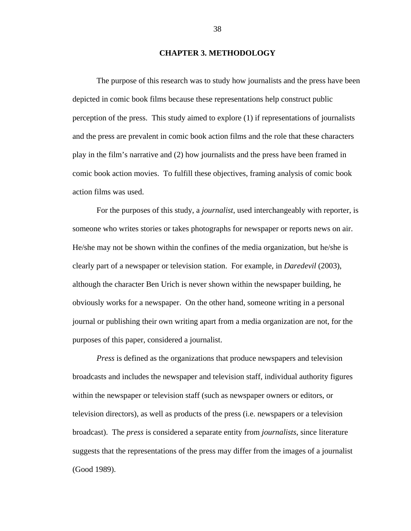## **CHAPTER 3. METHODOLOGY**

The purpose of this research was to study how journalists and the press have been depicted in comic book films because these representations help construct public perception of the press. This study aimed to explore (1) if representations of journalists and the press are prevalent in comic book action films and the role that these characters play in the film's narrative and (2) how journalists and the press have been framed in comic book action movies. To fulfill these objectives, framing analysis of comic book action films was used.

For the purposes of this study, a *journalist*, used interchangeably with reporter, is someone who writes stories or takes photographs for newspaper or reports news on air. He/she may not be shown within the confines of the media organization, but he/she is clearly part of a newspaper or television station. For example, in *Daredevil* (2003), although the character Ben Urich is never shown within the newspaper building, he obviously works for a newspaper. On the other hand, someone writing in a personal journal or publishing their own writing apart from a media organization are not, for the purposes of this paper, considered a journalist.

*Press* is defined as the organizations that produce newspapers and television broadcasts and includes the newspaper and television staff, individual authority figures within the newspaper or television staff (such as newspaper owners or editors, or television directors), as well as products of the press (i.e. newspapers or a television broadcast). The *press* is considered a separate entity from *journalists*, since literature suggests that the representations of the press may differ from the images of a journalist (Good 1989).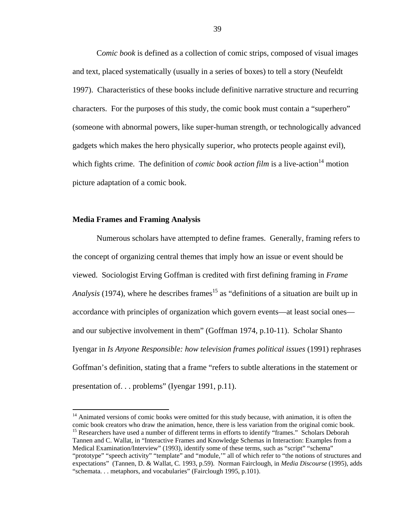C*omic book* is defined as a collection of comic strips, composed of visual images and text, placed systematically (usually in a series of boxes) to tell a story (Neufeldt 1997). Characteristics of these books include definitive narrative structure and recurring characters. For the purposes of this study, the comic book must contain a "superhero" (someone with abnormal powers, like super-human strength, or technologically advanced gadgets which makes the hero physically superior, who protects people against evil), which fights crime. The definition of *comic book action film* is a live-action<sup>14</sup> motion picture adaptation of a comic book.

#### **Media Frames and Framing Analysis**

 $\overline{a}$ 

Numerous scholars have attempted to define frames. Generally, framing refers to the concept of organizing central themes that imply how an issue or event should be viewed. Sociologist Erving Goffman is credited with first defining framing in *Frame Analysis* (1974), where he describes frames<sup>15</sup> as "definitions of a situation are built up in accordance with principles of organization which govern events—at least social ones and our subjective involvement in them" (Goffman 1974, p.10-11). Scholar Shanto Iyengar in *Is Anyone Responsible: how television frames political issues* (1991) rephrases Goffman's definition, stating that a frame "refers to subtle alterations in the statement or presentation of. . . problems" (Iyengar 1991, p.11).

<sup>&</sup>lt;sup>14</sup> Animated versions of comic books were omitted for this study because, with animation, it is often the comic book creators who draw the animation, hence, there is less variation from the original comic book. <sup>15</sup> Researchers have used a number of different terms in efforts to identify "frames." Scholars Deborah Tannen and C. Wallat, in "Interactive Frames and Knowledge Schemas in Interaction: Examples from a Medical Examination/Interview" (1993), identify some of these terms, such as "script" "schema" "prototype" "speech activity" "template" and "module,'" all of which refer to "the notions of structures and expectations" (Tannen, D. & Wallat, C. 1993, p.59). Norman Fairclough, in *Media Discourse* (1995), adds "schemata. . . metaphors, and vocabularies" (Fairclough 1995, p.101).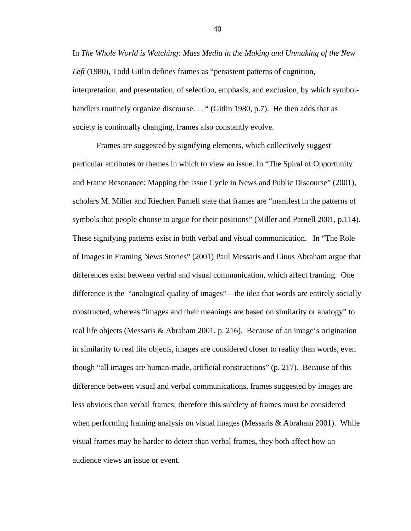In *The Whole World is Watching: Mass Media in the Making and Unmaking of the New Left* (1980), Todd Gitlin defines frames as "persistent patterns of cognition, interpretation, and presentation, of selection, emphasis, and exclusion, by which symbolhandlers routinely organize discourse. . . " (Gitlin 1980, p.7). He then adds that as society is continually changing, frames also constantly evolve.

Frames are suggested by signifying elements, which collectively suggest particular attributes or themes in which to view an issue. In "The Spiral of Opportunity and Frame Resonance: Mapping the Issue Cycle in News and Public Discourse" (2001), scholars M. Miller and Riechert Parnell state that frames are "manifest in the patterns of symbols that people choose to argue for their positions" (Miller and Parnell 2001, p.114). These signifying patterns exist in both verbal and visual communication. In "The Role of Images in Framing News Stories" (2001) Paul Messaris and Linus Abraham argue that differences exist between verbal and visual communication, which affect framing. One difference is the "analogical quality of images"—the idea that words are entirely socially constructed, whereas "images and their meanings are based on similarity or analogy" to real life objects (Messaris & Abraham 2001, p. 216). Because of an image's origination in similarity to real life objects, images are considered closer to reality than words, even though "all images are human-made, artificial constructions" (p. 217). Because of this difference between visual and verbal communications, frames suggested by images are less obvious than verbal frames; therefore this subtlety of frames must be considered when performing framing analysis on visual images (Messaris & Abraham 2001). While visual frames may be harder to detect than verbal frames, they both affect how an audience views an issue or event.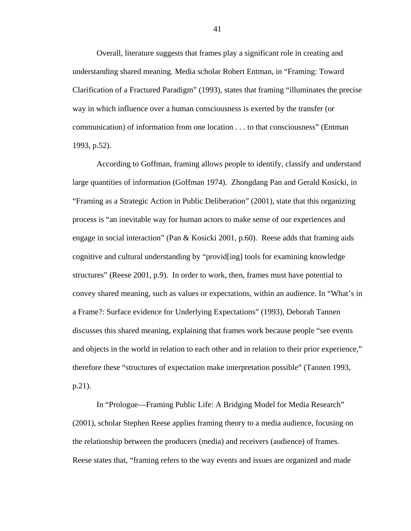Overall, literature suggests that frames play a significant role in creating and understanding shared meaning. Media scholar Robert Entman, in "Framing: Toward Clarification of a Fractured Paradigm" (1993), states that framing "illuminates the precise way in which influence over a human consciousness is exerted by the transfer (or communication) of information from one location . . . to that consciousness" (Entman 1993, p.52).

According to Goffman, framing allows people to identify, classify and understand large quantities of information (Goffman 1974). Zhongdang Pan and Gerald Kosicki, in "Framing as a Strategic Action in Public Deliberation" (2001), state that this organizing process is "an inevitable way for human actors to make sense of our experiences and engage in social interaction" (Pan & Kosicki 2001, p.60). Reese adds that framing aids cognitive and cultural understanding by "provid[ing] tools for examining knowledge structures" (Reese 2001, p.9). In order to work, then, frames must have potential to convey shared meaning, such as values or expectations, within an audience. In "What's in a Frame?: Surface evidence for Underlying Expectations" (1993), Deborah Tannen discusses this shared meaning, explaining that frames work because people "see events and objects in the world in relation to each other and in relation to their prior experience," therefore these "structures of expectation make interpretation possible" (Tannen 1993, p.21).

 In "Prologue—Framing Public Life: A Bridging Model for Media Research" (2001), scholar Stephen Reese applies framing theory to a media audience, focusing on the relationship between the producers (media) and receivers (audience) of frames. Reese states that, "framing refers to the way events and issues are organized and made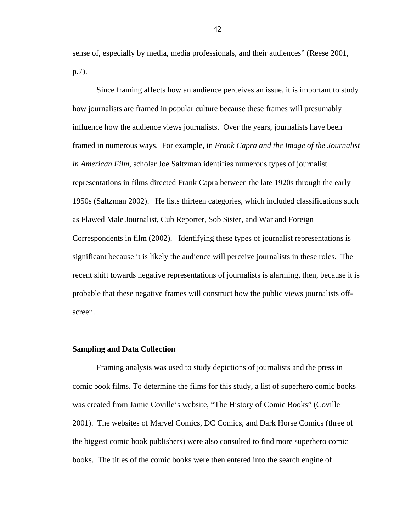sense of, especially by media, media professionals, and their audiences" (Reese 2001, p.7).

Since framing affects how an audience perceives an issue, it is important to study how journalists are framed in popular culture because these frames will presumably influence how the audience views journalists. Over the years, journalists have been framed in numerous ways. For example, in *Frank Capra and the Image of the Journalist in American Film*, scholar Joe Saltzman identifies numerous types of journalist representations in films directed Frank Capra between the late 1920s through the early 1950s (Saltzman 2002). He lists thirteen categories, which included classifications such as Flawed Male Journalist, Cub Reporter, Sob Sister, and War and Foreign Correspondents in film (2002). Identifying these types of journalist representations is significant because it is likely the audience will perceive journalists in these roles. The recent shift towards negative representations of journalists is alarming, then, because it is probable that these negative frames will construct how the public views journalists offscreen.

#### **Sampling and Data Collection**

Framing analysis was used to study depictions of journalists and the press in comic book films. To determine the films for this study, a list of superhero comic books was created from Jamie Coville's website, "The History of Comic Books" (Coville 2001). The websites of Marvel Comics, DC Comics, and Dark Horse Comics (three of the biggest comic book publishers) were also consulted to find more superhero comic books. The titles of the comic books were then entered into the search engine of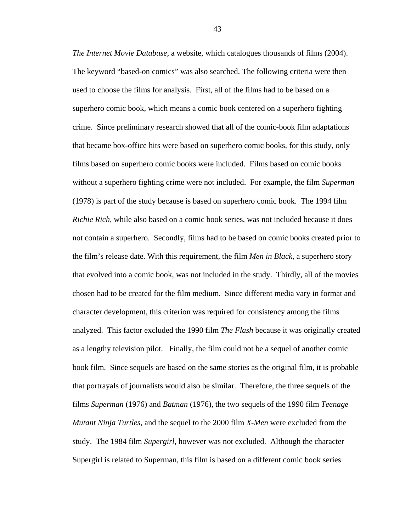*The Internet Movie Database*, a website, which catalogues thousands of films (2004). The keyword "based-on comics" was also searched. The following criteria were then used to choose the films for analysis. First, all of the films had to be based on a superhero comic book, which means a comic book centered on a superhero fighting crime. Since preliminary research showed that all of the comic-book film adaptations that became box-office hits were based on superhero comic books, for this study, only films based on superhero comic books were included. Films based on comic books without a superhero fighting crime were not included. For example, the film *Superman*  (1978) is part of the study because is based on superhero comic book. The 1994 film *Richie Rich*, while also based on a comic book series, was not included because it does not contain a superhero. Secondly, films had to be based on comic books created prior to the film's release date. With this requirement, the film *Men in Black*, a superhero story that evolved into a comic book, was not included in the study. Thirdly, all of the movies chosen had to be created for the film medium. Since different media vary in format and character development, this criterion was required for consistency among the films analyzed. This factor excluded the 1990 film *The Flash* because it was originally created as a lengthy television pilot. Finally, the film could not be a sequel of another comic book film. Since sequels are based on the same stories as the original film, it is probable that portrayals of journalists would also be similar. Therefore, the three sequels of the films *Superman* (1976) and *Batman* (1976), the two sequels of the 1990 film *Teenage Mutant Ninja Turtles*, and the sequel to the 2000 film *X-Men* were excluded from the study. The 1984 film *Supergirl*, however was not excluded. Although the character Supergirl is related to Superman, this film is based on a different comic book series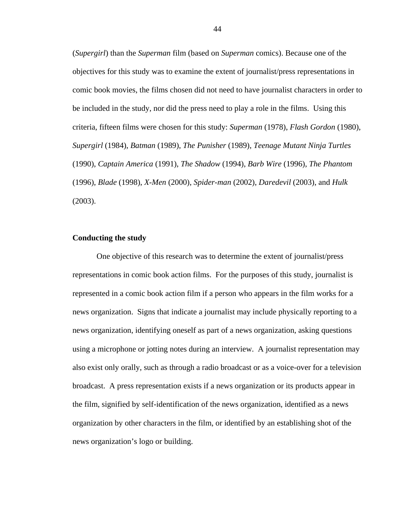(*Supergirl*) than the *Superman* film (based on *Superman* comics). Because one of the objectives for this study was to examine the extent of journalist/press representations in comic book movies, the films chosen did not need to have journalist characters in order to be included in the study, nor did the press need to play a role in the films. Using this criteria, fifteen films were chosen for this study: *Superman* (1978), *Flash Gordon* (1980), *Supergirl* (1984), *Batman* (1989), *The Punisher* (1989), *Teenage Mutant Ninja Turtles*  (1990), *Captain America* (1991), *The Shadow* (1994), *Barb Wire* (1996), *The Phantom*  (1996), *Blade* (1998), *X-Men* (2000), *Spider-man* (2002), *Daredevil* (2003), and *Hulk*  (2003).

# **Conducting the study**

 One objective of this research was to determine the extent of journalist/press representations in comic book action films. For the purposes of this study, journalist is represented in a comic book action film if a person who appears in the film works for a news organization. Signs that indicate a journalist may include physically reporting to a news organization, identifying oneself as part of a news organization, asking questions using a microphone or jotting notes during an interview. A journalist representation may also exist only orally, such as through a radio broadcast or as a voice-over for a television broadcast. A press representation exists if a news organization or its products appear in the film, signified by self-identification of the news organization, identified as a news organization by other characters in the film, or identified by an establishing shot of the news organization's logo or building.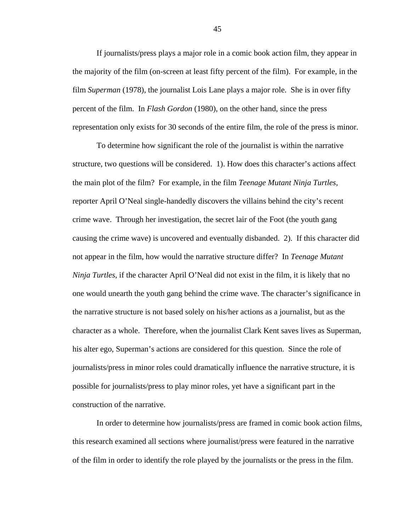If journalists/press plays a major role in a comic book action film, they appear in the majority of the film (on-screen at least fifty percent of the film). For example, in the film *Superman* (1978), the journalist Lois Lane plays a major role. She is in over fifty percent of the film. In *Flash Gordon* (1980), on the other hand, since the press representation only exists for 30 seconds of the entire film, the role of the press is minor.

To determine how significant the role of the journalist is within the narrative structure, two questions will be considered. 1). How does this character's actions affect the main plot of the film? For example, in the film *Teenage Mutant Ninja Turtles*, reporter April O'Neal single-handedly discovers the villains behind the city's recent crime wave. Through her investigation, the secret lair of the Foot (the youth gang causing the crime wave) is uncovered and eventually disbanded. 2). If this character did not appear in the film, how would the narrative structure differ? In *Teenage Mutant Ninja Turtles*, if the character April O'Neal did not exist in the film, it is likely that no one would unearth the youth gang behind the crime wave. The character's significance in the narrative structure is not based solely on his/her actions as a journalist, but as the character as a whole. Therefore, when the journalist Clark Kent saves lives as Superman, his alter ego, Superman's actions are considered for this question. Since the role of journalists/press in minor roles could dramatically influence the narrative structure, it is possible for journalists/press to play minor roles, yet have a significant part in the construction of the narrative.

In order to determine how journalists/press are framed in comic book action films, this research examined all sections where journalist/press were featured in the narrative of the film in order to identify the role played by the journalists or the press in the film.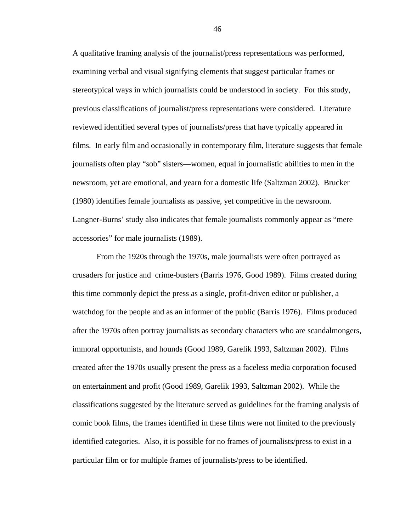A qualitative framing analysis of the journalist/press representations was performed, examining verbal and visual signifying elements that suggest particular frames or stereotypical ways in which journalists could be understood in society. For this study, previous classifications of journalist/press representations were considered. Literature reviewed identified several types of journalists/press that have typically appeared in films. In early film and occasionally in contemporary film, literature suggests that female journalists often play "sob" sisters—women, equal in journalistic abilities to men in the newsroom, yet are emotional, and yearn for a domestic life (Saltzman 2002). Brucker (1980) identifies female journalists as passive, yet competitive in the newsroom. Langner-Burns' study also indicates that female journalists commonly appear as "mere accessories" for male journalists (1989).

From the 1920s through the 1970s, male journalists were often portrayed as crusaders for justice and crime-busters (Barris 1976, Good 1989). Films created during this time commonly depict the press as a single, profit-driven editor or publisher, a watchdog for the people and as an informer of the public (Barris 1976). Films produced after the 1970s often portray journalists as secondary characters who are scandalmongers, immoral opportunists, and hounds (Good 1989, Garelik 1993, Saltzman 2002). Films created after the 1970s usually present the press as a faceless media corporation focused on entertainment and profit (Good 1989, Garelik 1993, Saltzman 2002). While the classifications suggested by the literature served as guidelines for the framing analysis of comic book films, the frames identified in these films were not limited to the previously identified categories. Also, it is possible for no frames of journalists/press to exist in a particular film or for multiple frames of journalists/press to be identified.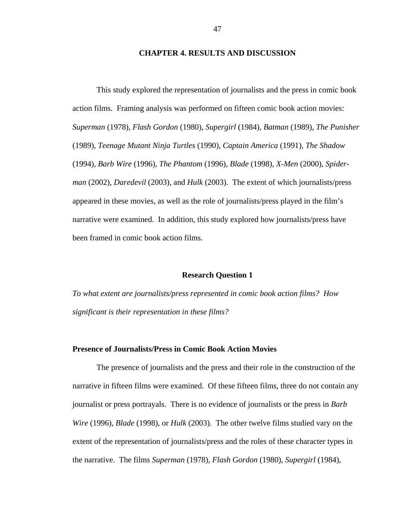## **CHAPTER 4. RESULTS AND DISCUSSION**

 This study explored the representation of journalists and the press in comic book action films. Framing analysis was performed on fifteen comic book action movies: *Superman* (1978), *Flash Gordon* (1980), *Supergirl* (1984), *Batman* (1989), *The Punisher*  (1989), *Teenage Mutant Ninja Turtles* (1990), *Captain America* (1991), *The Shadow*  (1994), *Barb Wire* (1996), *The Phantom* (1996), *Blade* (1998), *X-Men* (2000), *Spiderman* (2002), *Daredevil* (2003), and *Hulk* (2003). The extent of which journalists/press appeared in these movies, as well as the role of journalists/press played in the film's narrative were examined. In addition, this study explored how journalists/press have been framed in comic book action films.

#### **Research Question 1**

*To what extent are journalists/press represented in comic book action films? How significant is their representation in these films?*

## **Presence of Journalists/Press in Comic Book Action Movies**

The presence of journalists and the press and their role in the construction of the narrative in fifteen films were examined. Of these fifteen films, three do not contain any journalist or press portrayals. There is no evidence of journalists or the press in *Barb Wire* (1996), *Blade* (1998), or *Hulk* (2003). The other twelve films studied vary on the extent of the representation of journalists/press and the roles of these character types in the narrative. The films *Superman* (1978), *Flash Gordon* (1980), *Supergirl* (1984),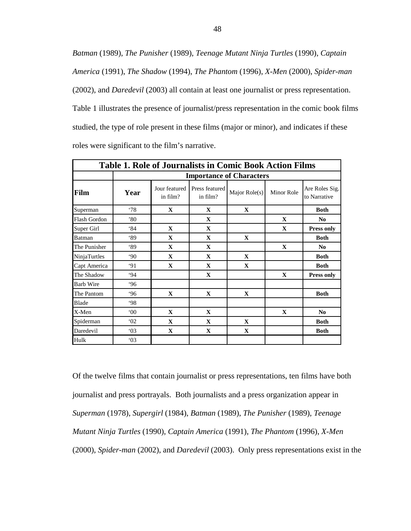*Batman* (1989), *The Punisher* (1989), *Teenage Mutant Ninja Turtles* (1990), *Captain America* (1991), *The Shadow* (1994), *The Phantom* (1996), *X-Men* (2000), *Spider-man*  (2002), and *Daredevil* (2003) all contain at least one journalist or press representation. Table 1 illustrates the presence of journalist/press representation in the comic book films studied, the type of role present in these films (major or minor), and indicates if these roles were significant to the film's narrative.

| <b>Table 1. Role of Journalists in Comic Book Action Films</b> |                                 |                           |                            |                 |              |                                |  |  |  |
|----------------------------------------------------------------|---------------------------------|---------------------------|----------------------------|-----------------|--------------|--------------------------------|--|--|--|
|                                                                | <b>Importance of Characters</b> |                           |                            |                 |              |                                |  |  |  |
| Film                                                           | Year                            | Jour featured<br>in film? | Press featured<br>in film? | Major $Role(s)$ | Minor Role   | Are Roles Sig.<br>to Narrative |  |  |  |
| Superman                                                       | $^{\circ}78$                    | $\mathbf{X}$              | $\mathbf X$                | $\mathbf{X}$    |              | <b>Both</b>                    |  |  |  |
| <b>Flash Gordon</b>                                            | $80^\circ$                      |                           | $\mathbf X$                |                 | $\mathbf{X}$ | N <sub>0</sub>                 |  |  |  |
| Super Girl                                                     | 84                              | $\mathbf{X}$              | $\mathbf{X}$               |                 | $\mathbf{X}$ | <b>Press only</b>              |  |  |  |
| Batman                                                         | 89                              | $\mathbf{X}$              | $\mathbf{X}$               | $\mathbf{X}$    |              | <b>Both</b>                    |  |  |  |
| The Punisher                                                   | 89                              | $\mathbf{X}$              | $\mathbf X$                |                 | $\mathbf{X}$ | N <sub>0</sub>                 |  |  |  |
| NinjaTurtles                                                   | .90 <sub>o</sub>                | $\mathbf X$               | $\mathbf{X}$               | $\mathbf{X}$    |              | <b>Both</b>                    |  |  |  |
| Capt America                                                   | 91                              | $\mathbf{X}$              | $\mathbf{X}$               | $\mathbf{X}$    |              | <b>Both</b>                    |  |  |  |
| The Shadow                                                     | 94                              |                           | $\mathbf{X}$               |                 | $\mathbf X$  | <b>Press only</b>              |  |  |  |
| <b>Barb Wire</b>                                               | .96                             |                           |                            |                 |              |                                |  |  |  |
| The Pantom                                                     | .96                             | $\mathbf X$               | $\mathbf X$                | $\mathbf X$     |              | <b>Both</b>                    |  |  |  |
| Blade                                                          | 98                              |                           |                            |                 |              |                                |  |  |  |
| X-Men                                                          | $00^{\circ}$                    | $\mathbf{X}$              | $\mathbf X$                |                 | $\mathbf X$  | N <sub>0</sub>                 |  |  |  |
| Spiderman                                                      | 02                              | $\mathbf{X}$              | $\mathbf{X}$               | $\mathbf{X}$    |              | <b>Both</b>                    |  |  |  |
| Daredevil                                                      | 03                              | $\mathbf{X}$              | X                          | $\mathbf X$     |              | <b>Both</b>                    |  |  |  |
| Hulk                                                           | 03                              |                           |                            |                 |              |                                |  |  |  |

Of the twelve films that contain journalist or press representations, ten films have both journalist and press portrayals. Both journalists and a press organization appear in *Superman* (1978), *Supergirl* (1984), *Batman* (1989), *The Punisher* (1989), *Teenage Mutant Ninja Turtles* (1990), *Captain America* (1991), *The Phantom* (1996), *X-Men*  (2000), *Spider-man* (2002), and *Daredevil* (2003). Only press representations exist in the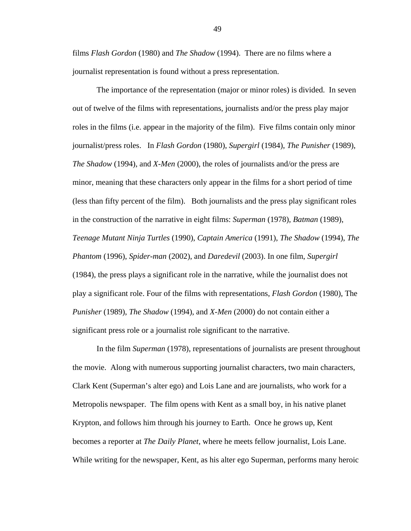films *Flash Gordon* (1980) and *The Shadow* (1994). There are no films where a journalist representation is found without a press representation.

 The importance of the representation (major or minor roles) is divided. In seven out of twelve of the films with representations, journalists and/or the press play major roles in the films (i.e. appear in the majority of the film). Five films contain only minor journalist/press roles. In *Flash Gordon* (1980), *Supergirl* (1984), *The Punisher* (1989), *The Shadow* (1994), and *X-Men* (2000), the roles of journalists and/or the press are minor, meaning that these characters only appear in the films for a short period of time (less than fifty percent of the film). Both journalists and the press play significant roles in the construction of the narrative in eight films: *Superman* (1978), *Batman* (1989), *Teenage Mutant Ninja Turtles* (1990), *Captain America* (1991), *The Shadow* (1994), *The Phantom* (1996), *Spider-man* (2002), and *Daredevil* (2003). In one film, *Supergirl*  (1984), the press plays a significant role in the narrative, while the journalist does not play a significant role. Four of the films with representations, *Flash Gordon* (1980), The *Punisher* (1989), *The Shadow* (1994), and *X-Men* (2000) do not contain either a significant press role or a journalist role significant to the narrative.

In the film *Superman* (1978), representations of journalists are present throughout the movie. Along with numerous supporting journalist characters, two main characters, Clark Kent (Superman's alter ego) and Lois Lane and are journalists, who work for a Metropolis newspaper.The film opens with Kent as a small boy, in his native planet Krypton, and follows him through his journey to Earth. Once he grows up, Kent becomes a reporter at *The Daily Planet*, where he meets fellow journalist, Lois Lane. While writing for the newspaper, Kent, as his alter ego Superman, performs many heroic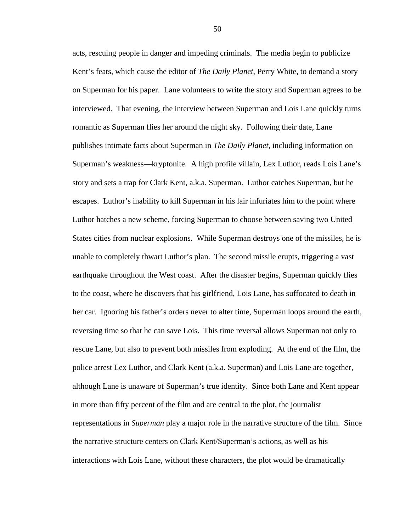acts, rescuing people in danger and impeding criminals. The media begin to publicize Kent's feats, which cause the editor of *The Daily Planet*, Perry White, to demand a story on Superman for his paper. Lane volunteers to write the story and Superman agrees to be interviewed. That evening, the interview between Superman and Lois Lane quickly turns romantic as Superman flies her around the night sky. Following their date, Lane publishes intimate facts about Superman in *The Daily Planet*, including information on Superman's weakness—kryptonite. A high profile villain, Lex Luthor, reads Lois Lane's story and sets a trap for Clark Kent, a.k.a. Superman. Luthor catches Superman, but he escapes. Luthor's inability to kill Superman in his lair infuriates him to the point where Luthor hatches a new scheme, forcing Superman to choose between saving two United States cities from nuclear explosions. While Superman destroys one of the missiles, he is unable to completely thwart Luthor's plan. The second missile erupts, triggering a vast earthquake throughout the West coast. After the disaster begins, Superman quickly flies to the coast, where he discovers that his girlfriend, Lois Lane, has suffocated to death in her car. Ignoring his father's orders never to alter time, Superman loops around the earth, reversing time so that he can save Lois. This time reversal allows Superman not only to rescue Lane, but also to prevent both missiles from exploding. At the end of the film, the police arrest Lex Luthor, and Clark Kent (a.k.a. Superman) and Lois Lane are together, although Lane is unaware of Superman's true identity. Since both Lane and Kent appear in more than fifty percent of the film and are central to the plot, the journalist representations in *Superman* play a major role in the narrative structure of the film. Since the narrative structure centers on Clark Kent/Superman's actions, as well as his interactions with Lois Lane, without these characters, the plot would be dramatically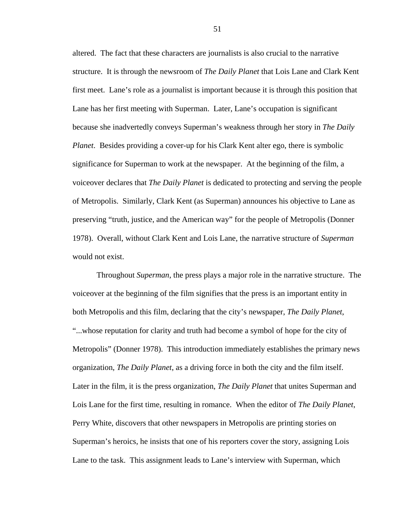altered. The fact that these characters are journalists is also crucial to the narrative structure. It is through the newsroom of *The Daily Planet* that Lois Lane and Clark Kent first meet. Lane's role as a journalist is important because it is through this position that Lane has her first meeting with Superman. Later, Lane's occupation is significant because she inadvertedly conveys Superman's weakness through her story in *The Daily Planet*. Besides providing a cover-up for his Clark Kent alter ego, there is symbolic significance for Superman to work at the newspaper. At the beginning of the film, a voiceover declares that *The Daily Planet* is dedicated to protecting and serving the people of Metropolis. Similarly, Clark Kent (as Superman) announces his objective to Lane as preserving "truth, justice, and the American way" for the people of Metropolis (Donner 1978). Overall, without Clark Kent and Lois Lane, the narrative structure of *Superman*  would not exist.

Throughout *Superman*, the press plays a major role in the narrative structure. The voiceover at the beginning of the film signifies that the press is an important entity in both Metropolis and this film, declaring that the city's newspaper, *The Daily Planet*, "...whose reputation for clarity and truth had become a symbol of hope for the city of Metropolis" (Donner 1978). This introduction immediately establishes the primary news organization, *The Daily Planet*, as a driving force in both the city and the film itself. Later in the film, it is the press organization, *The Daily Planet* that unites Superman and Lois Lane for the first time, resulting in romance. When the editor of *The Daily Planet*, Perry White, discovers that other newspapers in Metropolis are printing stories on Superman's heroics, he insists that one of his reporters cover the story, assigning Lois Lane to the task. This assignment leads to Lane's interview with Superman, which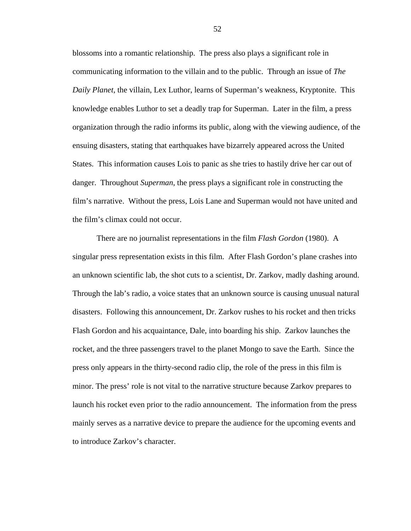blossoms into a romantic relationship. The press also plays a significant role in communicating information to the villain and to the public. Through an issue of *The Daily Planet*, the villain, Lex Luthor, learns of Superman's weakness, Kryptonite. This knowledge enables Luthor to set a deadly trap for Superman. Later in the film, a press organization through the radio informs its public, along with the viewing audience, of the ensuing disasters, stating that earthquakes have bizarrely appeared across the United States. This information causes Lois to panic as she tries to hastily drive her car out of danger. Throughout *Superman*, the press plays a significant role in constructing the film's narrative. Without the press, Lois Lane and Superman would not have united and the film's climax could not occur.

There are no journalist representations in the film *Flash Gordon* (1980). A singular press representation exists in this film. After Flash Gordon's plane crashes into an unknown scientific lab, the shot cuts to a scientist, Dr. Zarkov, madly dashing around. Through the lab's radio, a voice states that an unknown source is causing unusual natural disasters. Following this announcement, Dr. Zarkov rushes to his rocket and then tricks Flash Gordon and his acquaintance, Dale, into boarding his ship. Zarkov launches the rocket, and the three passengers travel to the planet Mongo to save the Earth. Since the press only appears in the thirty-second radio clip, the role of the press in this film is minor. The press' role is not vital to the narrative structure because Zarkov prepares to launch his rocket even prior to the radio announcement. The information from the press mainly serves as a narrative device to prepare the audience for the upcoming events and to introduce Zarkov's character.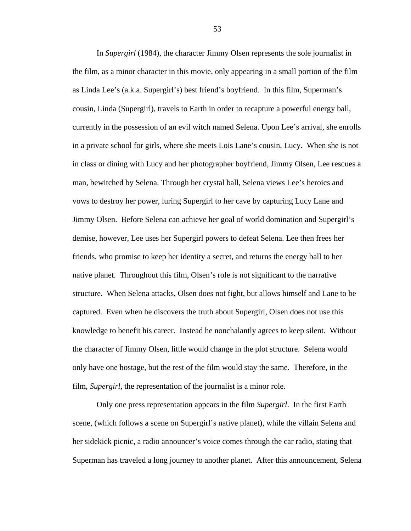In *Supergirl* (1984), the character Jimmy Olsen represents the sole journalist in the film, as a minor character in this movie, only appearing in a small portion of the film as Linda Lee's (a.k.a. Supergirl's) best friend's boyfriend. In this film, Superman's cousin, Linda (Supergirl), travels to Earth in order to recapture a powerful energy ball, currently in the possession of an evil witch named Selena. Upon Lee's arrival, she enrolls in a private school for girls, where she meets Lois Lane's cousin, Lucy. When she is not in class or dining with Lucy and her photographer boyfriend, Jimmy Olsen, Lee rescues a man, bewitched by Selena. Through her crystal ball, Selena views Lee's heroics and vows to destroy her power, luring Supergirl to her cave by capturing Lucy Lane and Jimmy Olsen. Before Selena can achieve her goal of world domination and Supergirl's demise, however, Lee uses her Supergirl powers to defeat Selena. Lee then frees her friends, who promise to keep her identity a secret, and returns the energy ball to her native planet. Throughout this film, Olsen's role is not significant to the narrative structure. When Selena attacks, Olsen does not fight, but allows himself and Lane to be captured. Even when he discovers the truth about Supergirl, Olsen does not use this knowledge to benefit his career. Instead he nonchalantly agrees to keep silent. Without the character of Jimmy Olsen, little would change in the plot structure. Selena would only have one hostage, but the rest of the film would stay the same. Therefore, in the film, *Supergirl*, the representation of the journalist is a minor role.

Only one press representation appears in the film *Supergirl*. In the first Earth scene, (which follows a scene on Supergirl's native planet), while the villain Selena and her sidekick picnic, a radio announcer's voice comes through the car radio, stating that Superman has traveled a long journey to another planet. After this announcement, Selena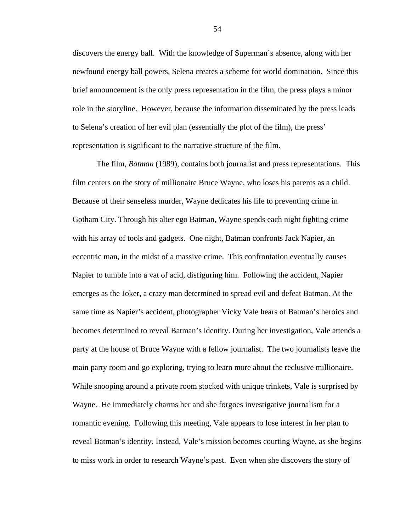discovers the energy ball. With the knowledge of Superman's absence, along with her newfound energy ball powers, Selena creates a scheme for world domination. Since this brief announcement is the only press representation in the film, the press plays a minor role in the storyline. However, because the information disseminated by the press leads to Selena's creation of her evil plan (essentially the plot of the film), the press' representation is significant to the narrative structure of the film.

The film, *Batman* (1989), contains both journalist and press representations. This film centers on the story of millionaire Bruce Wayne, who loses his parents as a child. Because of their senseless murder, Wayne dedicates his life to preventing crime in Gotham City. Through his alter ego Batman, Wayne spends each night fighting crime with his array of tools and gadgets. One night, Batman confronts Jack Napier, an eccentric man, in the midst of a massive crime. This confrontation eventually causes Napier to tumble into a vat of acid, disfiguring him. Following the accident, Napier emerges as the Joker, a crazy man determined to spread evil and defeat Batman. At the same time as Napier's accident, photographer Vicky Vale hears of Batman's heroics and becomes determined to reveal Batman's identity. During her investigation, Vale attends a party at the house of Bruce Wayne with a fellow journalist. The two journalists leave the main party room and go exploring, trying to learn more about the reclusive millionaire. While snooping around a private room stocked with unique trinkets, Vale is surprised by Wayne. He immediately charms her and she forgoes investigative journalism for a romantic evening. Following this meeting, Vale appears to lose interest in her plan to reveal Batman's identity. Instead, Vale's mission becomes courting Wayne, as she begins to miss work in order to research Wayne's past. Even when she discovers the story of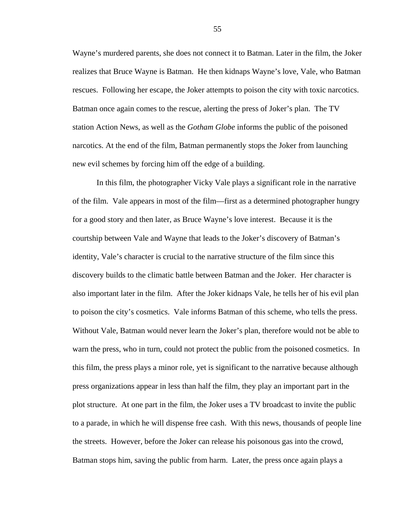Wayne's murdered parents, she does not connect it to Batman. Later in the film, the Joker realizes that Bruce Wayne is Batman. He then kidnaps Wayne's love, Vale, who Batman rescues. Following her escape, the Joker attempts to poison the city with toxic narcotics. Batman once again comes to the rescue, alerting the press of Joker's plan. The TV station Action News, as well as the *Gotham Globe* informs the public of the poisoned narcotics. At the end of the film, Batman permanently stops the Joker from launching new evil schemes by forcing him off the edge of a building.

In this film, the photographer Vicky Vale plays a significant role in the narrative of the film. Vale appears in most of the film—first as a determined photographer hungry for a good story and then later, as Bruce Wayne's love interest. Because it is the courtship between Vale and Wayne that leads to the Joker's discovery of Batman's identity, Vale's character is crucial to the narrative structure of the film since this discovery builds to the climatic battle between Batman and the Joker. Her character is also important later in the film. After the Joker kidnaps Vale, he tells her of his evil plan to poison the city's cosmetics. Vale informs Batman of this scheme, who tells the press. Without Vale, Batman would never learn the Joker's plan, therefore would not be able to warn the press, who in turn, could not protect the public from the poisoned cosmetics. In this film, the press plays a minor role, yet is significant to the narrative because although press organizations appear in less than half the film, they play an important part in the plot structure. At one part in the film, the Joker uses a TV broadcast to invite the public to a parade, in which he will dispense free cash. With this news, thousands of people line the streets. However, before the Joker can release his poisonous gas into the crowd, Batman stops him, saving the public from harm. Later, the press once again plays a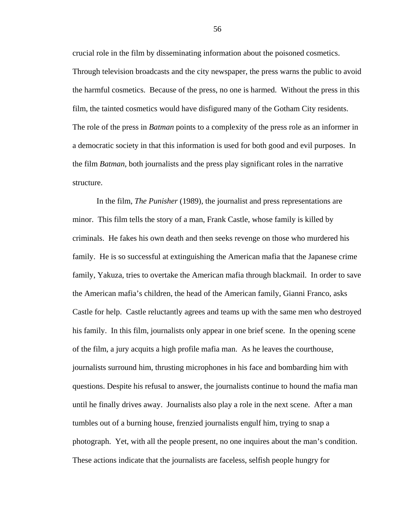crucial role in the film by disseminating information about the poisoned cosmetics. Through television broadcasts and the city newspaper, the press warns the public to avoid the harmful cosmetics. Because of the press, no one is harmed. Without the press in this film, the tainted cosmetics would have disfigured many of the Gotham City residents. The role of the press in *Batman* points to a complexity of the press role as an informer in a democratic society in that this information is used for both good and evil purposes. In the film *Batman*, both journalists and the press play significant roles in the narrative structure.

In the film, *The Punisher* (1989), the journalist and press representations are minor. This film tells the story of a man, Frank Castle, whose family is killed by criminals. He fakes his own death and then seeks revenge on those who murdered his family. He is so successful at extinguishing the American mafia that the Japanese crime family, Yakuza, tries to overtake the American mafia through blackmail. In order to save the American mafia's children, the head of the American family, Gianni Franco, asks Castle for help. Castle reluctantly agrees and teams up with the same men who destroyed his family. In this film, journalists only appear in one brief scene. In the opening scene of the film, a jury acquits a high profile mafia man. As he leaves the courthouse, journalists surround him, thrusting microphones in his face and bombarding him with questions. Despite his refusal to answer, the journalists continue to hound the mafia man until he finally drives away. Journalists also play a role in the next scene. After a man tumbles out of a burning house, frenzied journalists engulf him, trying to snap a photograph. Yet, with all the people present, no one inquires about the man's condition. These actions indicate that the journalists are faceless, selfish people hungry for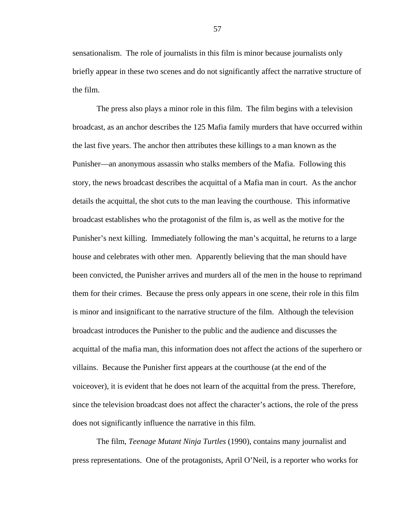sensationalism. The role of journalists in this film is minor because journalists only briefly appear in these two scenes and do not significantly affect the narrative structure of the film.

The press also plays a minor role in this film. The film begins with a television broadcast, as an anchor describes the 125 Mafia family murders that have occurred within the last five years. The anchor then attributes these killings to a man known as the Punisher—an anonymous assassin who stalks members of the Mafia. Following this story, the news broadcast describes the acquittal of a Mafia man in court. As the anchor details the acquittal, the shot cuts to the man leaving the courthouse. This informative broadcast establishes who the protagonist of the film is, as well as the motive for the Punisher's next killing. Immediately following the man's acquittal, he returns to a large house and celebrates with other men. Apparently believing that the man should have been convicted, the Punisher arrives and murders all of the men in the house to reprimand them for their crimes. Because the press only appears in one scene, their role in this film is minor and insignificant to the narrative structure of the film. Although the television broadcast introduces the Punisher to the public and the audience and discusses the acquittal of the mafia man, this information does not affect the actions of the superhero or villains. Because the Punisher first appears at the courthouse (at the end of the voiceover), it is evident that he does not learn of the acquittal from the press. Therefore, since the television broadcast does not affect the character's actions, the role of the press does not significantly influence the narrative in this film.

The film, *Teenage Mutant Ninja Turtles* (1990), contains many journalist and press representations. One of the protagonists, April O'Neil, is a reporter who works for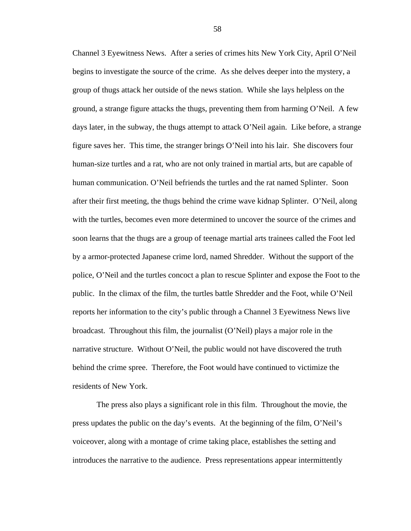Channel 3 Eyewitness News. After a series of crimes hits New York City, April O'Neil begins to investigate the source of the crime. As she delves deeper into the mystery, a group of thugs attack her outside of the news station. While she lays helpless on the ground, a strange figure attacks the thugs, preventing them from harming O'Neil. A few days later, in the subway, the thugs attempt to attack O'Neil again. Like before, a strange figure saves her. This time, the stranger brings O'Neil into his lair. She discovers four human-size turtles and a rat, who are not only trained in martial arts, but are capable of human communication. O'Neil befriends the turtles and the rat named Splinter. Soon after their first meeting, the thugs behind the crime wave kidnap Splinter. O'Neil, along with the turtles, becomes even more determined to uncover the source of the crimes and soon learns that the thugs are a group of teenage martial arts trainees called the Foot led by a armor-protected Japanese crime lord, named Shredder. Without the support of the police, O'Neil and the turtles concoct a plan to rescue Splinter and expose the Foot to the public. In the climax of the film, the turtles battle Shredder and the Foot, while O'Neil reports her information to the city's public through a Channel 3 Eyewitness News live broadcast. Throughout this film, the journalist (O'Neil) plays a major role in the narrative structure. Without O'Neil, the public would not have discovered the truth behind the crime spree. Therefore, the Foot would have continued to victimize the residents of New York.

The press also plays a significant role in this film. Throughout the movie, the press updates the public on the day's events. At the beginning of the film, O'Neil's voiceover, along with a montage of crime taking place, establishes the setting and introduces the narrative to the audience. Press representations appear intermittently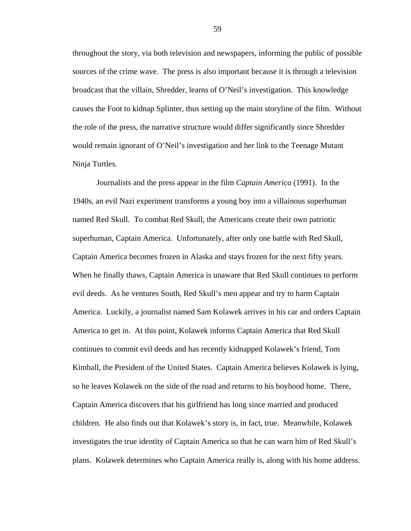throughout the story, via both television and newspapers, informing the public of possible sources of the crime wave. The press is also important because it is through a television broadcast that the villain, Shredder, learns of O'Neil's investigation. This knowledge causes the Foot to kidnap Splinter, thus setting up the main storyline of the film. Without the role of the press, the narrative structure would differ significantly since Shredder would remain ignorant of O'Neil's investigation and her link to the Teenage Mutant Ninja Turtles.

Journalists and the press appear in the film *Captain America* (1991). In the 1940s, an evil Nazi experiment transforms a young boy into a villainous superhuman named Red Skull. To combat Red Skull, the Americans create their own patriotic superhuman, Captain America. Unfortunately, after only one battle with Red Skull, Captain America becomes frozen in Alaska and stays frozen for the next fifty years. When he finally thaws, Captain America is unaware that Red Skull continues to perform evil deeds. As he ventures South, Red Skull's men appear and try to harm Captain America. Luckily, a journalist named Sam Kolawek arrives in his car and orders Captain America to get in. At this point, Kolawek informs Captain America that Red Skull continues to commit evil deeds and has recently kidnapped Kolawek's friend, Tom Kimball, the President of the United States. Captain America believes Kolawek is lying, so he leaves Kolawek on the side of the road and returns to his boyhood home. There, Captain America discovers that his girlfriend has long since married and produced children. He also finds out that Kolawek's story is, in fact, true. Meanwhile, Kolawek investigates the true identity of Captain America so that he can warn him of Red Skull's plans. Kolawek determines who Captain America really is, along with his home address.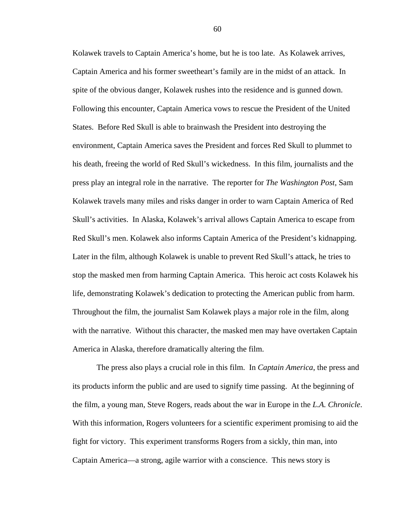Kolawek travels to Captain America's home, but he is too late. As Kolawek arrives, Captain America and his former sweetheart's family are in the midst of an attack. In spite of the obvious danger, Kolawek rushes into the residence and is gunned down. Following this encounter, Captain America vows to rescue the President of the United States. Before Red Skull is able to brainwash the President into destroying the environment, Captain America saves the President and forces Red Skull to plummet to his death, freeing the world of Red Skull's wickedness. In this film, journalists and the press play an integral role in the narrative. The reporter for *The Washington Post*, Sam Kolawek travels many miles and risks danger in order to warn Captain America of Red Skull's activities. In Alaska, Kolawek's arrival allows Captain America to escape from Red Skull's men. Kolawek also informs Captain America of the President's kidnapping. Later in the film, although Kolawek is unable to prevent Red Skull's attack, he tries to stop the masked men from harming Captain America. This heroic act costs Kolawek his life, demonstrating Kolawek's dedication to protecting the American public from harm. Throughout the film, the journalist Sam Kolawek plays a major role in the film, along with the narrative. Without this character, the masked men may have overtaken Captain America in Alaska, therefore dramatically altering the film.

The press also plays a crucial role in this film. In *Captain America*, the press and its products inform the public and are used to signify time passing. At the beginning of the film, a young man, Steve Rogers, reads about the war in Europe in the *L.A. Chronicle*. With this information, Rogers volunteers for a scientific experiment promising to aid the fight for victory. This experiment transforms Rogers from a sickly, thin man, into Captain America—a strong, agile warrior with a conscience. This news story is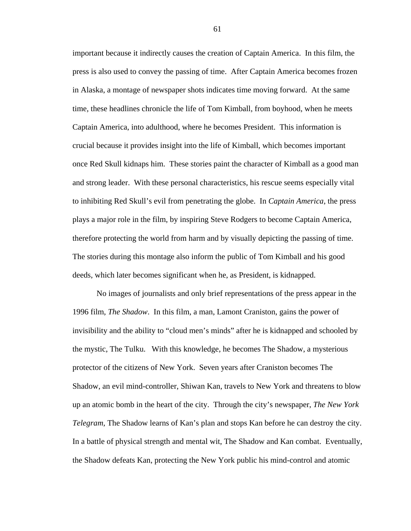important because it indirectly causes the creation of Captain America. In this film, the press is also used to convey the passing of time. After Captain America becomes frozen in Alaska, a montage of newspaper shots indicates time moving forward. At the same time, these headlines chronicle the life of Tom Kimball, from boyhood, when he meets Captain America, into adulthood, where he becomes President. This information is crucial because it provides insight into the life of Kimball, which becomes important once Red Skull kidnaps him. These stories paint the character of Kimball as a good man and strong leader. With these personal characteristics, his rescue seems especially vital to inhibiting Red Skull's evil from penetrating the globe. In *Captain America*, the press plays a major role in the film, by inspiring Steve Rodgers to become Captain America, therefore protecting the world from harm and by visually depicting the passing of time. The stories during this montage also inform the public of Tom Kimball and his good deeds, which later becomes significant when he, as President, is kidnapped.

No images of journalists and only brief representations of the press appear in the 1996 film, *The Shadow*. In this film, a man, Lamont Craniston, gains the power of invisibility and the ability to "cloud men's minds" after he is kidnapped and schooled by the mystic, The Tulku. With this knowledge, he becomes The Shadow, a mysterious protector of the citizens of New York. Seven years after Craniston becomes The Shadow, an evil mind-controller, Shiwan Kan, travels to New York and threatens to blow up an atomic bomb in the heart of the city. Through the city's newspaper, *The New York Telegram*, The Shadow learns of Kan's plan and stops Kan before he can destroy the city. In a battle of physical strength and mental wit, The Shadow and Kan combat. Eventually, the Shadow defeats Kan, protecting the New York public his mind-control and atomic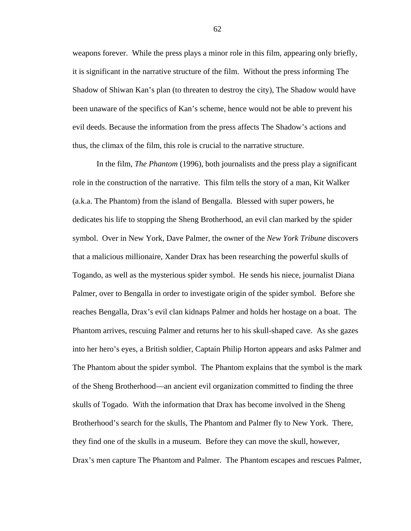weapons forever. While the press plays a minor role in this film, appearing only briefly, it is significant in the narrative structure of the film. Without the press informing The Shadow of Shiwan Kan's plan (to threaten to destroy the city), The Shadow would have been unaware of the specifics of Kan's scheme, hence would not be able to prevent his evil deeds. Because the information from the press affects The Shadow's actions and thus, the climax of the film, this role is crucial to the narrative structure.

 In the film, *The Phantom* (1996), both journalists and the press play a significant role in the construction of the narrative. This film tells the story of a man, Kit Walker (a.k.a. The Phantom) from the island of Bengalla. Blessed with super powers, he dedicates his life to stopping the Sheng Brotherhood, an evil clan marked by the spider symbol. Over in New York, Dave Palmer, the owner of the *New York Tribune* discovers that a malicious millionaire, Xander Drax has been researching the powerful skulls of Togando, as well as the mysterious spider symbol. He sends his niece, journalist Diana Palmer, over to Bengalla in order to investigate origin of the spider symbol. Before she reaches Bengalla, Drax's evil clan kidnaps Palmer and holds her hostage on a boat. The Phantom arrives, rescuing Palmer and returns her to his skull-shaped cave. As she gazes into her hero's eyes, a British soldier, Captain Philip Horton appears and asks Palmer and The Phantom about the spider symbol. The Phantom explains that the symbol is the mark of the Sheng Brotherhood—an ancient evil organization committed to finding the three skulls of Togado. With the information that Drax has become involved in the Sheng Brotherhood's search for the skulls, The Phantom and Palmer fly to New York. There, they find one of the skulls in a museum. Before they can move the skull, however, Drax's men capture The Phantom and Palmer. The Phantom escapes and rescues Palmer,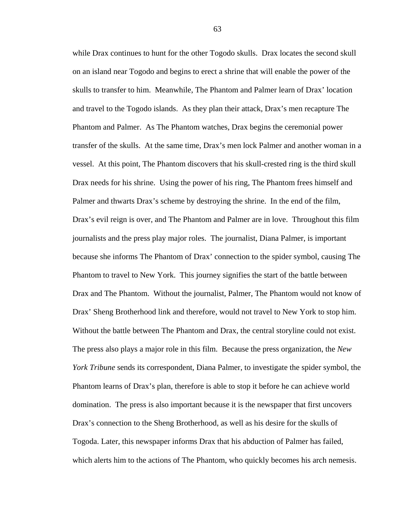while Drax continues to hunt for the other Togodo skulls. Drax locates the second skull on an island near Togodo and begins to erect a shrine that will enable the power of the skulls to transfer to him. Meanwhile, The Phantom and Palmer learn of Drax' location and travel to the Togodo islands. As they plan their attack, Drax's men recapture The Phantom and Palmer. As The Phantom watches, Drax begins the ceremonial power transfer of the skulls. At the same time, Drax's men lock Palmer and another woman in a vessel. At this point, The Phantom discovers that his skull-crested ring is the third skull Drax needs for his shrine. Using the power of his ring, The Phantom frees himself and Palmer and thwarts Drax's scheme by destroying the shrine. In the end of the film, Drax's evil reign is over, and The Phantom and Palmer are in love. Throughout this film journalists and the press play major roles. The journalist, Diana Palmer, is important because she informs The Phantom of Drax' connection to the spider symbol, causing The Phantom to travel to New York. This journey signifies the start of the battle between Drax and The Phantom. Without the journalist, Palmer, The Phantom would not know of Drax' Sheng Brotherhood link and therefore, would not travel to New York to stop him. Without the battle between The Phantom and Drax, the central storyline could not exist. The press also plays a major role in this film. Because the press organization, the *New York Tribune* sends its correspondent, Diana Palmer, to investigate the spider symbol, the Phantom learns of Drax's plan, therefore is able to stop it before he can achieve world domination. The press is also important because it is the newspaper that first uncovers Drax's connection to the Sheng Brotherhood, as well as his desire for the skulls of Togoda. Later, this newspaper informs Drax that his abduction of Palmer has failed, which alerts him to the actions of The Phantom, who quickly becomes his arch nemesis.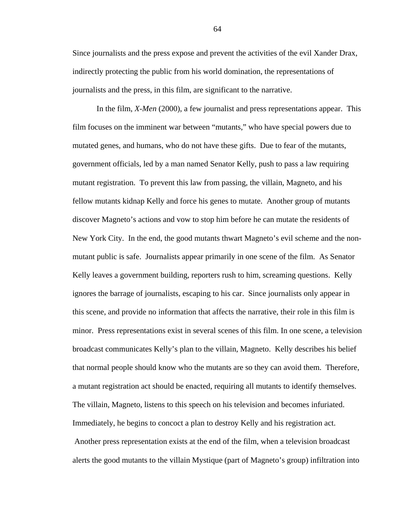Since journalists and the press expose and prevent the activities of the evil Xander Drax, indirectly protecting the public from his world domination, the representations of journalists and the press, in this film, are significant to the narrative.

In the film, *X-Men* (2000), a few journalist and press representations appear. This film focuses on the imminent war between "mutants," who have special powers due to mutated genes, and humans, who do not have these gifts. Due to fear of the mutants, government officials, led by a man named Senator Kelly, push to pass a law requiring mutant registration. To prevent this law from passing, the villain, Magneto, and his fellow mutants kidnap Kelly and force his genes to mutate. Another group of mutants discover Magneto's actions and vow to stop him before he can mutate the residents of New York City. In the end, the good mutants thwart Magneto's evil scheme and the nonmutant public is safe. Journalists appear primarily in one scene of the film. As Senator Kelly leaves a government building, reporters rush to him, screaming questions. Kelly ignores the barrage of journalists, escaping to his car. Since journalists only appear in this scene, and provide no information that affects the narrative, their role in this film is minor. Press representations exist in several scenes of this film. In one scene, a television broadcast communicates Kelly's plan to the villain, Magneto. Kelly describes his belief that normal people should know who the mutants are so they can avoid them. Therefore, a mutant registration act should be enacted, requiring all mutants to identify themselves. The villain, Magneto, listens to this speech on his television and becomes infuriated. Immediately, he begins to concoct a plan to destroy Kelly and his registration act. Another press representation exists at the end of the film, when a television broadcast alerts the good mutants to the villain Mystique (part of Magneto's group) infiltration into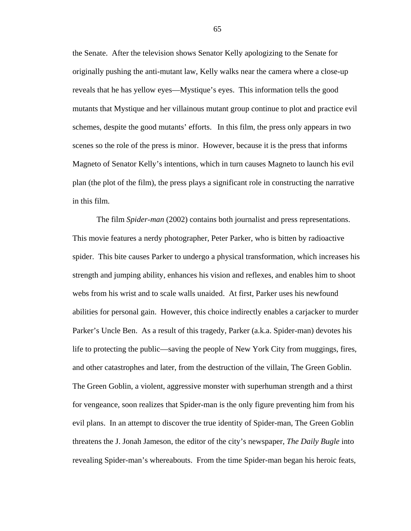the Senate. After the television shows Senator Kelly apologizing to the Senate for originally pushing the anti-mutant law, Kelly walks near the camera where a close-up reveals that he has yellow eyes—Mystique's eyes. This information tells the good mutants that Mystique and her villainous mutant group continue to plot and practice evil schemes, despite the good mutants' efforts. In this film, the press only appears in two scenes so the role of the press is minor. However, because it is the press that informs Magneto of Senator Kelly's intentions, which in turn causes Magneto to launch his evil plan (the plot of the film), the press plays a significant role in constructing the narrative in this film.

The film *Spider-man* (2002) contains both journalist and press representations. This movie features a nerdy photographer, Peter Parker, who is bitten by radioactive spider. This bite causes Parker to undergo a physical transformation, which increases his strength and jumping ability, enhances his vision and reflexes, and enables him to shoot webs from his wrist and to scale walls unaided. At first, Parker uses his newfound abilities for personal gain. However, this choice indirectly enables a carjacker to murder Parker's Uncle Ben. As a result of this tragedy, Parker (a.k.a. Spider-man) devotes his life to protecting the public—saving the people of New York City from muggings, fires, and other catastrophes and later, from the destruction of the villain, The Green Goblin. The Green Goblin, a violent, aggressive monster with superhuman strength and a thirst for vengeance, soon realizes that Spider-man is the only figure preventing him from his evil plans. In an attempt to discover the true identity of Spider-man, The Green Goblin threatens the J. Jonah Jameson, the editor of the city's newspaper, *The Daily Bugle* into revealing Spider-man's whereabouts. From the time Spider-man began his heroic feats,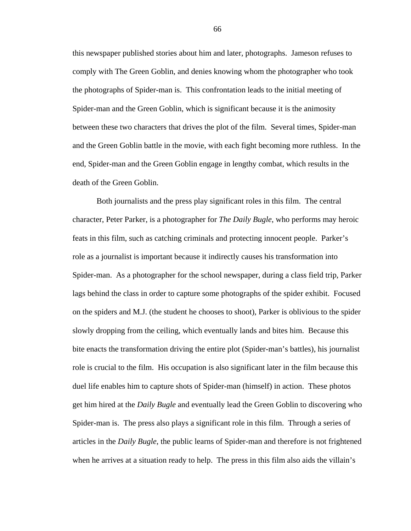this newspaper published stories about him and later, photographs. Jameson refuses to comply with The Green Goblin, and denies knowing whom the photographer who took the photographs of Spider-man is. This confrontation leads to the initial meeting of Spider-man and the Green Goblin, which is significant because it is the animosity between these two characters that drives the plot of the film. Several times, Spider-man and the Green Goblin battle in the movie, with each fight becoming more ruthless. In the end, Spider-man and the Green Goblin engage in lengthy combat, which results in the death of the Green Goblin.

Both journalists and the press play significant roles in this film. The central character, Peter Parker, is a photographer for *The Daily Bugle*, who performs may heroic feats in this film, such as catching criminals and protecting innocent people. Parker's role as a journalist is important because it indirectly causes his transformation into Spider-man. As a photographer for the school newspaper, during a class field trip, Parker lags behind the class in order to capture some photographs of the spider exhibit. Focused on the spiders and M.J. (the student he chooses to shoot), Parker is oblivious to the spider slowly dropping from the ceiling, which eventually lands and bites him. Because this bite enacts the transformation driving the entire plot (Spider-man's battles), his journalist role is crucial to the film. His occupation is also significant later in the film because this duel life enables him to capture shots of Spider-man (himself) in action. These photos get him hired at the *Daily Bugle* and eventually lead the Green Goblin to discovering who Spider-man is. The press also plays a significant role in this film. Through a series of articles in the *Daily Bugle*, the public learns of Spider-man and therefore is not frightened when he arrives at a situation ready to help. The press in this film also aids the villain's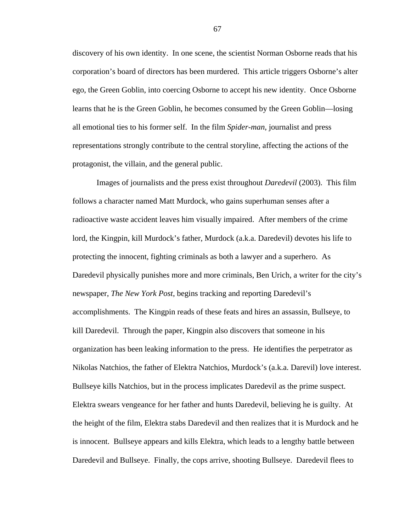discovery of his own identity. In one scene, the scientist Norman Osborne reads that his corporation's board of directors has been murdered. This article triggers Osborne's alter ego, the Green Goblin, into coercing Osborne to accept his new identity. Once Osborne learns that he is the Green Goblin, he becomes consumed by the Green Goblin—losing all emotional ties to his former self. In the film *Spider-man*, journalist and press representations strongly contribute to the central storyline, affecting the actions of the protagonist, the villain, and the general public.

Images of journalists and the press exist throughout *Daredevil* (2003). This film follows a character named Matt Murdock, who gains superhuman senses after a radioactive waste accident leaves him visually impaired. After members of the crime lord, the Kingpin, kill Murdock's father, Murdock (a.k.a. Daredevil) devotes his life to protecting the innocent, fighting criminals as both a lawyer and a superhero. As Daredevil physically punishes more and more criminals, Ben Urich, a writer for the city's newspaper, *The New York Post*, begins tracking and reporting Daredevil's accomplishments. The Kingpin reads of these feats and hires an assassin, Bullseye, to kill Daredevil. Through the paper, Kingpin also discovers that someone in his organization has been leaking information to the press. He identifies the perpetrator as Nikolas Natchios, the father of Elektra Natchios, Murdock's (a.k.a. Darevil) love interest. Bullseye kills Natchios, but in the process implicates Daredevil as the prime suspect. Elektra swears vengeance for her father and hunts Daredevil, believing he is guilty. At the height of the film, Elektra stabs Daredevil and then realizes that it is Murdock and he is innocent. Bullseye appears and kills Elektra, which leads to a lengthy battle between Daredevil and Bullseye. Finally, the cops arrive, shooting Bullseye. Daredevil flees to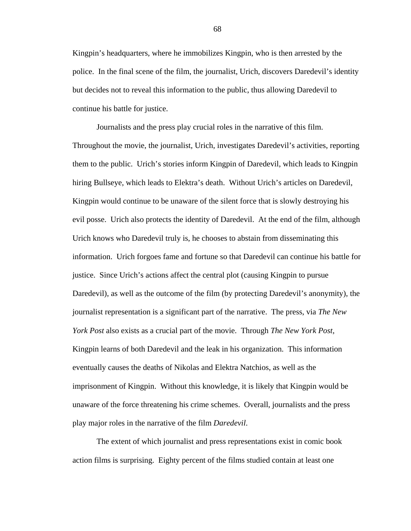Kingpin's headquarters, where he immobilizes Kingpin, who is then arrested by the police. In the final scene of the film, the journalist, Urich, discovers Daredevil's identity but decides not to reveal this information to the public, thus allowing Daredevil to continue his battle for justice.

Journalists and the press play crucial roles in the narrative of this film. Throughout the movie, the journalist, Urich, investigates Daredevil's activities, reporting them to the public. Urich's stories inform Kingpin of Daredevil, which leads to Kingpin hiring Bullseye, which leads to Elektra's death. Without Urich's articles on Daredevil, Kingpin would continue to be unaware of the silent force that is slowly destroying his evil posse. Urich also protects the identity of Daredevil. At the end of the film, although Urich knows who Daredevil truly is, he chooses to abstain from disseminating this information. Urich forgoes fame and fortune so that Daredevil can continue his battle for justice. Since Urich's actions affect the central plot (causing Kingpin to pursue Daredevil), as well as the outcome of the film (by protecting Daredevil's anonymity), the journalist representation is a significant part of the narrative. The press, via *The New York Post* also exists as a crucial part of the movie. Through *The New York Post*, Kingpin learns of both Daredevil and the leak in his organization. This information eventually causes the deaths of Nikolas and Elektra Natchios, as well as the imprisonment of Kingpin. Without this knowledge, it is likely that Kingpin would be unaware of the force threatening his crime schemes. Overall, journalists and the press play major roles in the narrative of the film *Daredevil*.

 The extent of which journalist and press representations exist in comic book action films is surprising. Eighty percent of the films studied contain at least one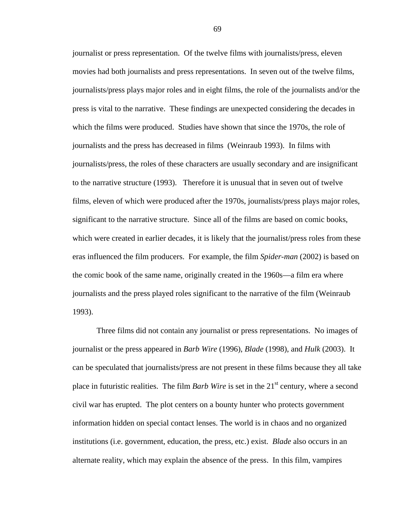journalist or press representation. Of the twelve films with journalists/press, eleven movies had both journalists and press representations. In seven out of the twelve films, journalists/press plays major roles and in eight films, the role of the journalists and/or the press is vital to the narrative. These findings are unexpected considering the decades in which the films were produced. Studies have shown that since the 1970s, the role of journalists and the press has decreased in films (Weinraub 1993). In films with journalists/press, the roles of these characters are usually secondary and are insignificant to the narrative structure (1993).Therefore it is unusual that in seven out of twelve films, eleven of which were produced after the 1970s, journalists/press plays major roles, significant to the narrative structure. Since all of the films are based on comic books, which were created in earlier decades, it is likely that the journalist/press roles from these eras influenced the film producers. For example, the film *Spider-man* (2002) is based on the comic book of the same name, originally created in the 1960s—a film era where journalists and the press played roles significant to the narrative of the film (Weinraub 1993).

 Three films did not contain any journalist or press representations. No images of journalist or the press appeared in *Barb Wire* (1996), *Blade* (1998), and *Hulk* (2003). It can be speculated that journalists/press are not present in these films because they all take place in futuristic realities. The film *Barb Wire* is set in the 21<sup>st</sup> century, where a second civil war has erupted. The plot centers on a bounty hunter who protects government information hidden on special contact lenses. The world is in chaos and no organized institutions (i.e. government, education, the press, etc.) exist. *Blade* also occurs in an alternate reality, which may explain the absence of the press. In this film, vampires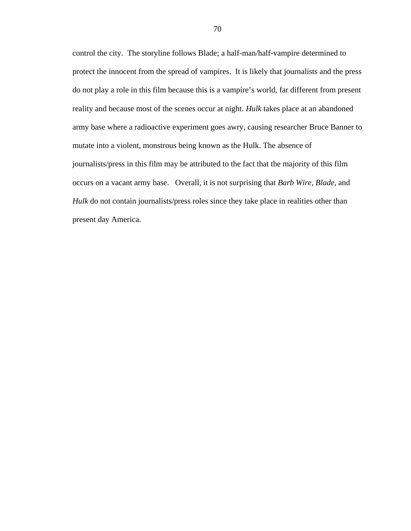control the city. The storyline follows Blade; a half-man/half-vampire determined to protect the innocent from the spread of vampires. It is likely that journalists and the press do not play a role in this film because this is a vampire's world, far different from present reality and because most of the scenes occur at night. *Hulk* takes place at an abandoned army base where a radioactive experiment goes awry, causing researcher Bruce Banner to mutate into a violent, monstrous being known as the Hulk. The absence of journalists/press in this film may be attributed to the fact that the majority of this film occurs on a vacant army base. Overall, it is not surprising that *Barb Wire*, *Blade*, and *Hulk* do not contain journalists/press roles since they take place in realities other than present day America.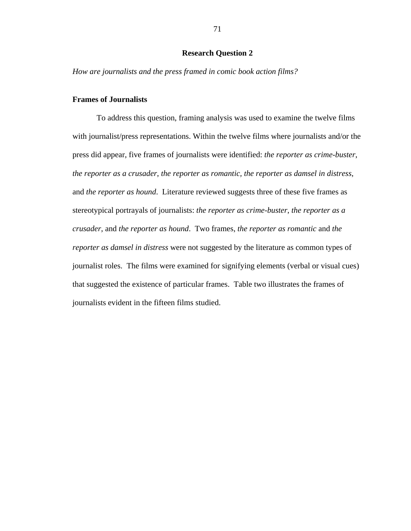# **Research Question 2**

*How are journalists and the press framed in comic book action films?* 

## **Frames of Journalists**

To address this question, framing analysis was used to examine the twelve films with journalist/press representations. Within the twelve films where journalists and/or the press did appear, five frames of journalists were identified: *the reporter as crime-buster*, *the reporter as a crusader*, *the reporter as romantic, the reporter as damsel in distress*, and *the reporter as hound*. Literature reviewed suggests three of these five frames as stereotypical portrayals of journalists: *the reporter as crime-buster*, *the reporter as a crusader*, and *the reporter as hound*. Two frames, *the reporter as romantic* and *the reporter as damsel in distress* were not suggested by the literature as common types of journalist roles. The films were examined for signifying elements (verbal or visual cues) that suggested the existence of particular frames. Table two illustrates the frames of journalists evident in the fifteen films studied.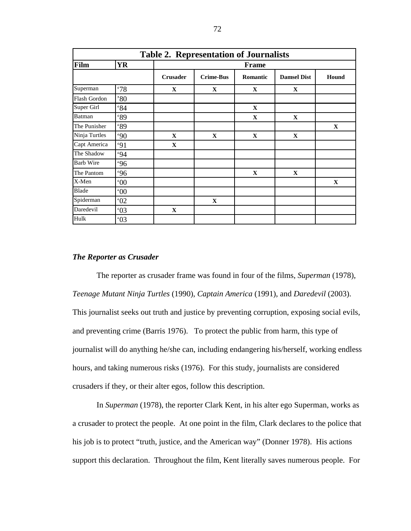| <b>Table 2. Representation of Journalists</b> |              |                 |                  |             |                    |              |  |  |  |
|-----------------------------------------------|--------------|-----------------|------------------|-------------|--------------------|--------------|--|--|--|
| Film                                          | <b>YR</b>    |                 | <b>Frame</b>     |             |                    |              |  |  |  |
|                                               |              | <b>Crusader</b> | <b>Crime-Bus</b> | Romantic    | <b>Damsel Dist</b> | Hound        |  |  |  |
| Superman                                      | .78          | $\mathbf X$     | $\mathbf{X}$     | $\mathbf X$ | $\mathbf{X}$       |              |  |  |  |
| Flash Gordon                                  | $80^\circ$   |                 |                  |             |                    |              |  |  |  |
| Super Girl                                    | 84           |                 |                  | $\mathbf X$ |                    |              |  |  |  |
| Batman                                        | 89           |                 |                  | $\mathbf X$ | $\mathbf{X}$       |              |  |  |  |
| The Punisher                                  | 89           |                 |                  |             |                    | $\mathbf{X}$ |  |  |  |
| Ninja Turtles                                 | 90           | $\mathbf{X}$    | $\mathbf X$      | $\mathbf X$ | $\mathbf{X}$       |              |  |  |  |
| Capt America                                  | 91           | $\mathbf{X}$    |                  |             |                    |              |  |  |  |
| The Shadow                                    | .94          |                 |                  |             |                    |              |  |  |  |
| <b>Barb Wire</b>                              | .96          |                 |                  |             |                    |              |  |  |  |
| The Pantom                                    | .96          |                 |                  | $\mathbf X$ | $\mathbf X$        |              |  |  |  |
| X-Men                                         | $00^{\circ}$ |                 |                  |             |                    | $\mathbf{X}$ |  |  |  |
| <b>Blade</b>                                  | $00^{\circ}$ |                 |                  |             |                    |              |  |  |  |
| Spiderman                                     | 02           |                 | $\mathbf{X}$     |             |                    |              |  |  |  |
| Daredevil                                     | 03           | $\mathbf X$     |                  |             |                    |              |  |  |  |
| Hulk                                          | 03           |                 |                  |             |                    |              |  |  |  |

### *The Reporter as Crusader*

The reporter as crusader frame was found in four of the films, *Superman* (1978), *Teenage Mutant Ninja Turtles* (1990), *Captain America* (1991), and *Daredevil* (2003). This journalist seeks out truth and justice by preventing corruption, exposing social evils, and preventing crime (Barris 1976). To protect the public from harm, this type of journalist will do anything he/she can, including endangering his/herself, working endless hours, and taking numerous risks (1976). For this study, journalists are considered crusaders if they, or their alter egos, follow this description.

In *Superman* (1978), the reporter Clark Kent, in his alter ego Superman, works as a crusader to protect the people. At one point in the film, Clark declares to the police that his job is to protect "truth, justice, and the American way" (Donner 1978). His actions support this declaration. Throughout the film, Kent literally saves numerous people. For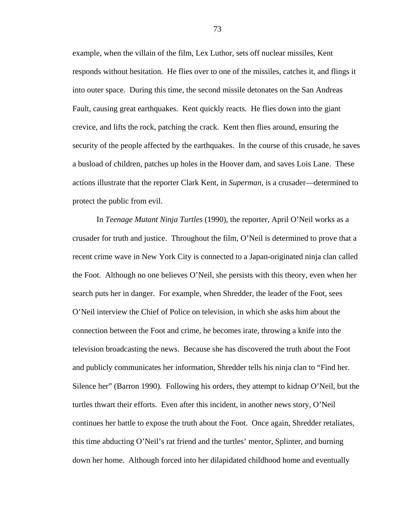example, when the villain of the film, Lex Luthor, sets off nuclear missiles, Kent responds without hesitation. He flies over to one of the missiles, catches it, and flings it into outer space. During this time, the second missile detonates on the San Andreas Fault, causing great earthquakes. Kent quickly reacts. He flies down into the giant crevice, and lifts the rock, patching the crack. Kent then flies around, ensuring the security of the people affected by the earthquakes. In the course of this crusade, he saves a busload of children, patches up holes in the Hoover dam, and saves Lois Lane. These actions illustrate that the reporter Clark Kent, in *Superman*, is a crusader—determined to protect the public from evil.

 In *Teenage Mutant Ninja Turtles* (1990), the reporter, April O'Neil works as a crusader for truth and justice. Throughout the film, O'Neil is determined to prove that a recent crime wave in New York City is connected to a Japan-originated ninja clan called the Foot. Although no one believes O'Neil, she persists with this theory, even when her search puts her in danger. For example, when Shredder, the leader of the Foot, sees O'Neil interview the Chief of Police on television, in which she asks him about the connection between the Foot and crime, he becomes irate, throwing a knife into the television broadcasting the news. Because she has discovered the truth about the Foot and publicly communicates her information, Shredder tells his ninja clan to "Find her. Silence her" (Barron 1990). Following his orders, they attempt to kidnap O'Neil, but the turtles thwart their efforts. Even after this incident, in another news story, O'Neil continues her battle to expose the truth about the Foot. Once again, Shredder retaliates, this time abducting O'Neil's rat friend and the turtles' mentor, Splinter, and burning down her home. Although forced into her dilapidated childhood home and eventually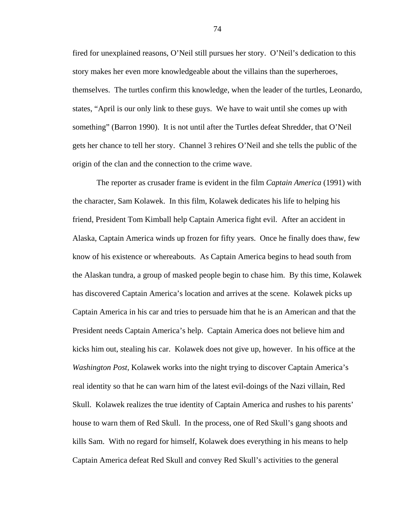fired for unexplained reasons, O'Neil still pursues her story. O'Neil's dedication to this story makes her even more knowledgeable about the villains than the superheroes, themselves. The turtles confirm this knowledge, when the leader of the turtles, Leonardo, states, "April is our only link to these guys. We have to wait until she comes up with something" (Barron 1990). It is not until after the Turtles defeat Shredder, that O'Neil gets her chance to tell her story. Channel 3 rehires O'Neil and she tells the public of the origin of the clan and the connection to the crime wave.

The reporter as crusader frame is evident in the film *Captain America* (1991) with the character, Sam Kolawek. In this film, Kolawek dedicates his life to helping his friend, President Tom Kimball help Captain America fight evil. After an accident in Alaska, Captain America winds up frozen for fifty years. Once he finally does thaw, few know of his existence or whereabouts. As Captain America begins to head south from the Alaskan tundra, a group of masked people begin to chase him. By this time, Kolawek has discovered Captain America's location and arrives at the scene. Kolawek picks up Captain America in his car and tries to persuade him that he is an American and that the President needs Captain America's help. Captain America does not believe him and kicks him out, stealing his car. Kolawek does not give up, however. In his office at the *Washington Post*, Kolawek works into the night trying to discover Captain America's real identity so that he can warn him of the latest evil-doings of the Nazi villain, Red Skull. Kolawek realizes the true identity of Captain America and rushes to his parents' house to warn them of Red Skull. In the process, one of Red Skull's gang shoots and kills Sam. With no regard for himself, Kolawek does everything in his means to help Captain America defeat Red Skull and convey Red Skull's activities to the general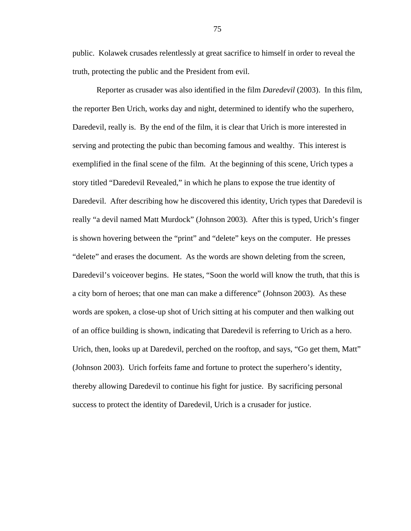public. Kolawek crusades relentlessly at great sacrifice to himself in order to reveal the truth, protecting the public and the President from evil.

 Reporter as crusader was also identified in the film *Daredevil* (2003). In this film, the reporter Ben Urich, works day and night, determined to identify who the superhero, Daredevil, really is. By the end of the film, it is clear that Urich is more interested in serving and protecting the pubic than becoming famous and wealthy. This interest is exemplified in the final scene of the film. At the beginning of this scene, Urich types a story titled "Daredevil Revealed," in which he plans to expose the true identity of Daredevil. After describing how he discovered this identity, Urich types that Daredevil is really "a devil named Matt Murdock" (Johnson 2003). After this is typed, Urich's finger is shown hovering between the "print" and "delete" keys on the computer. He presses "delete" and erases the document. As the words are shown deleting from the screen, Daredevil's voiceover begins. He states, "Soon the world will know the truth, that this is a city born of heroes; that one man can make a difference" (Johnson 2003). As these words are spoken, a close-up shot of Urich sitting at his computer and then walking out of an office building is shown, indicating that Daredevil is referring to Urich as a hero. Urich, then, looks up at Daredevil, perched on the rooftop, and says, "Go get them, Matt" (Johnson 2003). Urich forfeits fame and fortune to protect the superhero's identity, thereby allowing Daredevil to continue his fight for justice. By sacrificing personal success to protect the identity of Daredevil, Urich is a crusader for justice.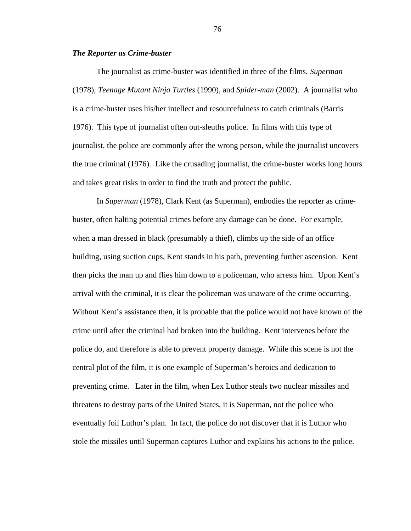## *The Reporter as Crime-buster*

 The journalist as crime-buster was identified in three of the films, *Superman*  (1978), *Teenage Mutant Ninja Turtles* (1990), and *Spider-man* (2002). A journalist who is a crime-buster uses his/her intellect and resourcefulness to catch criminals (Barris 1976). This type of journalist often out-sleuths police. In films with this type of journalist, the police are commonly after the wrong person, while the journalist uncovers the true criminal (1976). Like the crusading journalist, the crime-buster works long hours and takes great risks in order to find the truth and protect the public.

In *Superman* (1978), Clark Kent (as Superman), embodies the reporter as crimebuster, often halting potential crimes before any damage can be done. For example, when a man dressed in black (presumably a thief), climbs up the side of an office building, using suction cups, Kent stands in his path, preventing further ascension. Kent then picks the man up and flies him down to a policeman, who arrests him. Upon Kent's arrival with the criminal, it is clear the policeman was unaware of the crime occurring. Without Kent's assistance then, it is probable that the police would not have known of the crime until after the criminal had broken into the building. Kent intervenes before the police do, and therefore is able to prevent property damage. While this scene is not the central plot of the film, it is one example of Superman's heroics and dedication to preventing crime. Later in the film, when Lex Luthor steals two nuclear missiles and threatens to destroy parts of the United States, it is Superman, not the police who eventually foil Luthor's plan. In fact, the police do not discover that it is Luthor who stole the missiles until Superman captures Luthor and explains his actions to the police.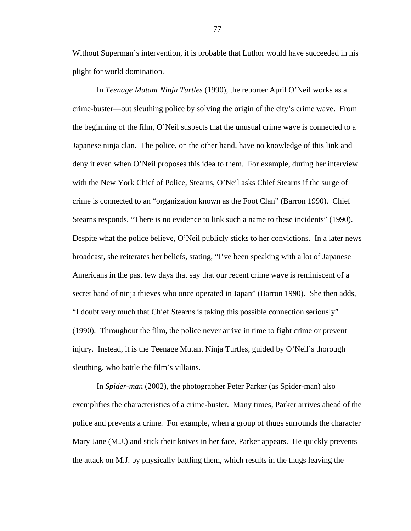Without Superman's intervention, it is probable that Luthor would have succeeded in his plight for world domination.

 In *Teenage Mutant Ninja Turtles* (1990), the reporter April O'Neil works as a crime-buster—out sleuthing police by solving the origin of the city's crime wave. From the beginning of the film, O'Neil suspects that the unusual crime wave is connected to a Japanese ninja clan. The police, on the other hand, have no knowledge of this link and deny it even when O'Neil proposes this idea to them. For example, during her interview with the New York Chief of Police, Stearns, O'Neil asks Chief Stearns if the surge of crime is connected to an "organization known as the Foot Clan" (Barron 1990). Chief Stearns responds, "There is no evidence to link such a name to these incidents" (1990). Despite what the police believe, O'Neil publicly sticks to her convictions. In a later news broadcast, she reiterates her beliefs, stating, "I've been speaking with a lot of Japanese Americans in the past few days that say that our recent crime wave is reminiscent of a secret band of ninja thieves who once operated in Japan" (Barron 1990). She then adds, "I doubt very much that Chief Stearns is taking this possible connection seriously" (1990). Throughout the film, the police never arrive in time to fight crime or prevent injury. Instead, it is the Teenage Mutant Ninja Turtles, guided by O'Neil's thorough sleuthing, who battle the film's villains.

 In *Spider-man* (2002), the photographer Peter Parker (as Spider-man) also exemplifies the characteristics of a crime-buster. Many times, Parker arrives ahead of the police and prevents a crime. For example, when a group of thugs surrounds the character Mary Jane (M.J.) and stick their knives in her face, Parker appears. He quickly prevents the attack on M.J. by physically battling them, which results in the thugs leaving the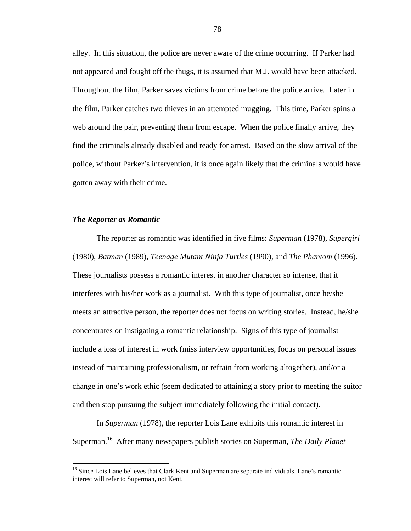alley. In this situation, the police are never aware of the crime occurring. If Parker had not appeared and fought off the thugs, it is assumed that M.J. would have been attacked. Throughout the film, Parker saves victims from crime before the police arrive. Later in the film, Parker catches two thieves in an attempted mugging. This time, Parker spins a web around the pair, preventing them from escape. When the police finally arrive, they find the criminals already disabled and ready for arrest. Based on the slow arrival of the police, without Parker's intervention, it is once again likely that the criminals would have gotten away with their crime.

#### *The Reporter as Romantic*

1

The reporter as romantic was identified in five films: *Superman* (1978), *Supergirl*  (1980), *Batman* (1989), *Teenage Mutant Ninja Turtles* (1990), and *The Phantom* (1996). These journalists possess a romantic interest in another character so intense, that it interferes with his/her work as a journalist. With this type of journalist, once he/she meets an attractive person, the reporter does not focus on writing stories. Instead, he/she concentrates on instigating a romantic relationship. Signs of this type of journalist include a loss of interest in work (miss interview opportunities, focus on personal issues instead of maintaining professionalism, or refrain from working altogether), and/or a change in one's work ethic (seem dedicated to attaining a story prior to meeting the suitor and then stop pursuing the subject immediately following the initial contact).

In *Superman* (1978), the reporter Lois Lane exhibits this romantic interest in Superman.16 After many newspapers publish stories on Superman, *The Daily Planet*

<sup>&</sup>lt;sup>16</sup> Since Lois Lane believes that Clark Kent and Superman are separate individuals, Lane's romantic interest will refer to Superman, not Kent.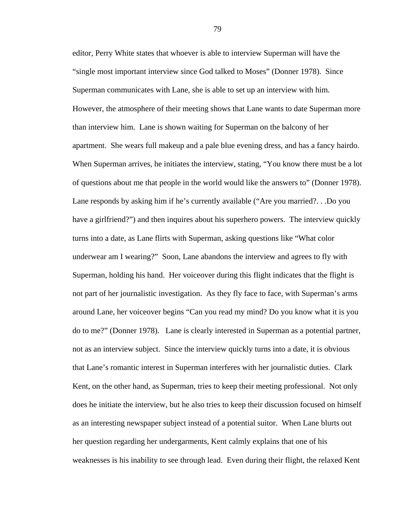editor, Perry White states that whoever is able to interview Superman will have the "single most important interview since God talked to Moses" (Donner 1978). Since Superman communicates with Lane, she is able to set up an interview with him. However, the atmosphere of their meeting shows that Lane wants to date Superman more than interview him. Lane is shown waiting for Superman on the balcony of her apartment. She wears full makeup and a pale blue evening dress, and has a fancy hairdo. When Superman arrives, he initiates the interview, stating, "You know there must be a lot of questions about me that people in the world would like the answers to" (Donner 1978). Lane responds by asking him if he's currently available ("Are you married?. . .Do you have a girlfriend?") and then inquires about his superhero powers. The interview quickly turns into a date, as Lane flirts with Superman, asking questions like "What color underwear am I wearing?" Soon, Lane abandons the interview and agrees to fly with Superman, holding his hand. Her voiceover during this flight indicates that the flight is not part of her journalistic investigation. As they fly face to face, with Superman's arms around Lane, her voiceover begins "Can you read my mind? Do you know what it is you do to me?" (Donner 1978). Lane is clearly interested in Superman as a potential partner, not as an interview subject. Since the interview quickly turns into a date, it is obvious that Lane's romantic interest in Superman interferes with her journalistic duties. Clark Kent, on the other hand, as Superman, tries to keep their meeting professional. Not only does he initiate the interview, but he also tries to keep their discussion focused on himself as an interesting newspaper subject instead of a potential suitor. When Lane blurts out her question regarding her undergarments, Kent calmly explains that one of his weaknesses is his inability to see through lead. Even during their flight, the relaxed Kent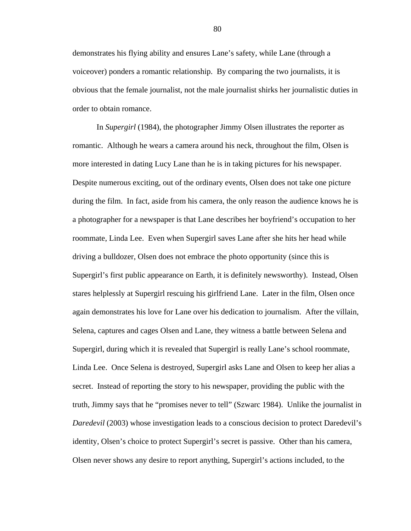demonstrates his flying ability and ensures Lane's safety, while Lane (through a voiceover) ponders a romantic relationship. By comparing the two journalists, it is obvious that the female journalist, not the male journalist shirks her journalistic duties in order to obtain romance.

In *Supergirl* (1984), the photographer Jimmy Olsen illustrates the reporter as romantic. Although he wears a camera around his neck, throughout the film, Olsen is more interested in dating Lucy Lane than he is in taking pictures for his newspaper. Despite numerous exciting, out of the ordinary events, Olsen does not take one picture during the film. In fact, aside from his camera, the only reason the audience knows he is a photographer for a newspaper is that Lane describes her boyfriend's occupation to her roommate, Linda Lee. Even when Supergirl saves Lane after she hits her head while driving a bulldozer, Olsen does not embrace the photo opportunity (since this is Supergirl's first public appearance on Earth, it is definitely newsworthy). Instead, Olsen stares helplessly at Supergirl rescuing his girlfriend Lane. Later in the film, Olsen once again demonstrates his love for Lane over his dedication to journalism. After the villain, Selena, captures and cages Olsen and Lane, they witness a battle between Selena and Supergirl, during which it is revealed that Supergirl is really Lane's school roommate, Linda Lee. Once Selena is destroyed, Supergirl asks Lane and Olsen to keep her alias a secret. Instead of reporting the story to his newspaper, providing the public with the truth, Jimmy says that he "promises never to tell" (Szwarc 1984). Unlike the journalist in *Daredevil* (2003) whose investigation leads to a conscious decision to protect Daredevil's identity, Olsen's choice to protect Supergirl's secret is passive. Other than his camera, Olsen never shows any desire to report anything, Supergirl's actions included, to the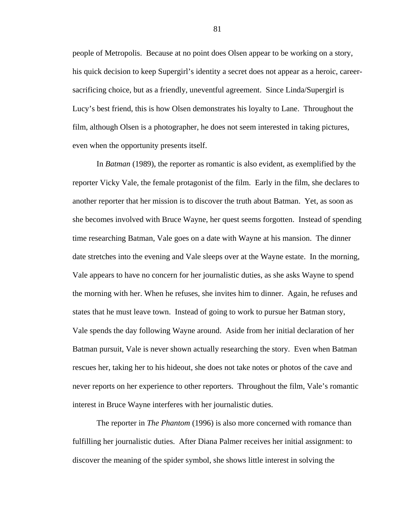people of Metropolis. Because at no point does Olsen appear to be working on a story, his quick decision to keep Supergirl's identity a secret does not appear as a heroic, careersacrificing choice, but as a friendly, uneventful agreement. Since Linda/Supergirl is Lucy's best friend, this is how Olsen demonstrates his loyalty to Lane. Throughout the film, although Olsen is a photographer, he does not seem interested in taking pictures, even when the opportunity presents itself.

 In *Batman* (1989), the reporter as romantic is also evident, as exemplified by the reporter Vicky Vale, the female protagonist of the film. Early in the film, she declares to another reporter that her mission is to discover the truth about Batman. Yet, as soon as she becomes involved with Bruce Wayne, her quest seems forgotten. Instead of spending time researching Batman, Vale goes on a date with Wayne at his mansion. The dinner date stretches into the evening and Vale sleeps over at the Wayne estate. In the morning, Vale appears to have no concern for her journalistic duties, as she asks Wayne to spend the morning with her. When he refuses, she invites him to dinner. Again, he refuses and states that he must leave town. Instead of going to work to pursue her Batman story, Vale spends the day following Wayne around. Aside from her initial declaration of her Batman pursuit, Vale is never shown actually researching the story. Even when Batman rescues her, taking her to his hideout, she does not take notes or photos of the cave and never reports on her experience to other reporters. Throughout the film, Vale's romantic interest in Bruce Wayne interferes with her journalistic duties.

The reporter in *The Phantom* (1996) is also more concerned with romance than fulfilling her journalistic duties. After Diana Palmer receives her initial assignment: to discover the meaning of the spider symbol, she shows little interest in solving the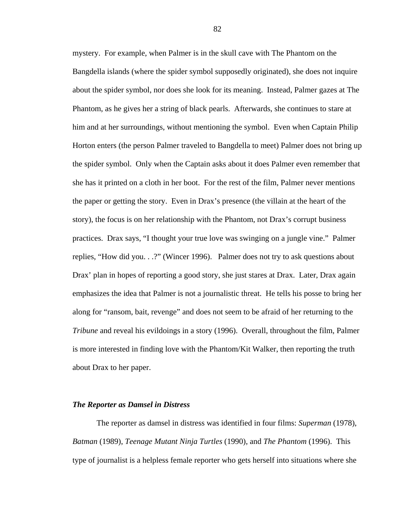mystery. For example, when Palmer is in the skull cave with The Phantom on the Bangdella islands (where the spider symbol supposedly originated), she does not inquire about the spider symbol, nor does she look for its meaning. Instead, Palmer gazes at The Phantom, as he gives her a string of black pearls. Afterwards, she continues to stare at him and at her surroundings, without mentioning the symbol. Even when Captain Philip Horton enters (the person Palmer traveled to Bangdella to meet) Palmer does not bring up the spider symbol. Only when the Captain asks about it does Palmer even remember that she has it printed on a cloth in her boot. For the rest of the film, Palmer never mentions the paper or getting the story. Even in Drax's presence (the villain at the heart of the story), the focus is on her relationship with the Phantom, not Drax's corrupt business practices. Drax says, "I thought your true love was swinging on a jungle vine." Palmer replies, "How did you. . .?" (Wincer 1996). Palmer does not try to ask questions about Drax' plan in hopes of reporting a good story, she just stares at Drax. Later, Drax again emphasizes the idea that Palmer is not a journalistic threat. He tells his posse to bring her along for "ransom, bait, revenge" and does not seem to be afraid of her returning to the *Tribune* and reveal his evildoings in a story (1996). Overall, throughout the film, Palmer is more interested in finding love with the Phantom/Kit Walker, then reporting the truth about Drax to her paper.

#### *The Reporter as Damsel in Distress*

 The reporter as damsel in distress was identified in four films: *Superman* (1978), *Batman* (1989), *Teenage Mutant Ninja Turtles* (1990), and *The Phantom* (1996). This type of journalist is a helpless female reporter who gets herself into situations where she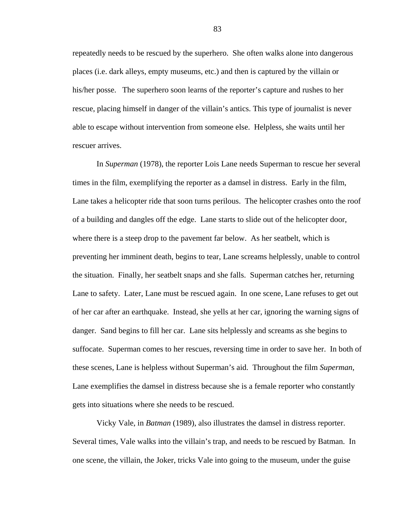repeatedly needs to be rescued by the superhero. She often walks alone into dangerous places (i.e. dark alleys, empty museums, etc.) and then is captured by the villain or his/her posse. The superhero soon learns of the reporter's capture and rushes to her rescue, placing himself in danger of the villain's antics. This type of journalist is never able to escape without intervention from someone else. Helpless, she waits until her rescuer arrives.

In *Superman* (1978), the reporter Lois Lane needs Superman to rescue her several times in the film, exemplifying the reporter as a damsel in distress. Early in the film, Lane takes a helicopter ride that soon turns perilous. The helicopter crashes onto the roof of a building and dangles off the edge. Lane starts to slide out of the helicopter door, where there is a steep drop to the pavement far below. As her seatbelt, which is preventing her imminent death, begins to tear, Lane screams helplessly, unable to control the situation. Finally, her seatbelt snaps and she falls. Superman catches her, returning Lane to safety. Later, Lane must be rescued again. In one scene, Lane refuses to get out of her car after an earthquake. Instead, she yells at her car, ignoring the warning signs of danger. Sand begins to fill her car. Lane sits helplessly and screams as she begins to suffocate. Superman comes to her rescues, reversing time in order to save her. In both of these scenes, Lane is helpless without Superman's aid. Throughout the film *Superman*, Lane exemplifies the damsel in distress because she is a female reporter who constantly gets into situations where she needs to be rescued.

 Vicky Vale, in *Batman* (1989), also illustrates the damsel in distress reporter. Several times, Vale walks into the villain's trap, and needs to be rescued by Batman. In one scene, the villain, the Joker, tricks Vale into going to the museum, under the guise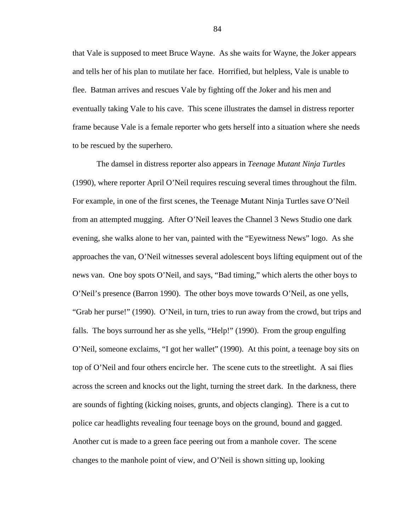that Vale is supposed to meet Bruce Wayne. As she waits for Wayne, the Joker appears and tells her of his plan to mutilate her face. Horrified, but helpless, Vale is unable to flee. Batman arrives and rescues Vale by fighting off the Joker and his men and eventually taking Vale to his cave. This scene illustrates the damsel in distress reporter frame because Vale is a female reporter who gets herself into a situation where she needs to be rescued by the superhero.

 The damsel in distress reporter also appears in *Teenage Mutant Ninja Turtles*  (1990), where reporter April O'Neil requires rescuing several times throughout the film. For example, in one of the first scenes, the Teenage Mutant Ninja Turtles save O'Neil from an attempted mugging. After O'Neil leaves the Channel 3 News Studio one dark evening, she walks alone to her van, painted with the "Eyewitness News" logo. As she approaches the van, O'Neil witnesses several adolescent boys lifting equipment out of the news van. One boy spots O'Neil, and says, "Bad timing," which alerts the other boys to O'Neil's presence (Barron 1990). The other boys move towards O'Neil, as one yells, "Grab her purse!" (1990). O'Neil, in turn, tries to run away from the crowd, but trips and falls. The boys surround her as she yells, "Help!" (1990). From the group engulfing O'Neil, someone exclaims, "I got her wallet" (1990). At this point, a teenage boy sits on top of O'Neil and four others encircle her. The scene cuts to the streetlight. A sai flies across the screen and knocks out the light, turning the street dark. In the darkness, there are sounds of fighting (kicking noises, grunts, and objects clanging). There is a cut to police car headlights revealing four teenage boys on the ground, bound and gagged. Another cut is made to a green face peering out from a manhole cover. The scene changes to the manhole point of view, and O'Neil is shown sitting up, looking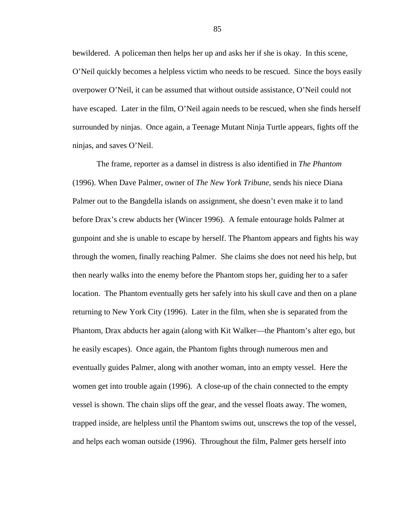bewildered. A policeman then helps her up and asks her if she is okay. In this scene, O'Neil quickly becomes a helpless victim who needs to be rescued. Since the boys easily overpower O'Neil, it can be assumed that without outside assistance, O'Neil could not have escaped. Later in the film, O'Neil again needs to be rescued, when she finds herself surrounded by ninjas. Once again, a Teenage Mutant Ninja Turtle appears, fights off the ninjas, and saves O'Neil.

The frame, reporter as a damsel in distress is also identified in *The Phantom*  (1996). When Dave Palmer, owner of *The New York Tribune*, sends his niece Diana Palmer out to the Bangdella islands on assignment, she doesn't even make it to land before Drax's crew abducts her (Wincer 1996). A female entourage holds Palmer at gunpoint and she is unable to escape by herself. The Phantom appears and fights his way through the women, finally reaching Palmer. She claims she does not need his help, but then nearly walks into the enemy before the Phantom stops her, guiding her to a safer location. The Phantom eventually gets her safely into his skull cave and then on a plane returning to New York City (1996). Later in the film, when she is separated from the Phantom, Drax abducts her again (along with Kit Walker—the Phantom's alter ego, but he easily escapes). Once again, the Phantom fights through numerous men and eventually guides Palmer, along with another woman, into an empty vessel. Here the women get into trouble again (1996). A close-up of the chain connected to the empty vessel is shown. The chain slips off the gear, and the vessel floats away. The women, trapped inside, are helpless until the Phantom swims out, unscrews the top of the vessel, and helps each woman outside (1996). Throughout the film, Palmer gets herself into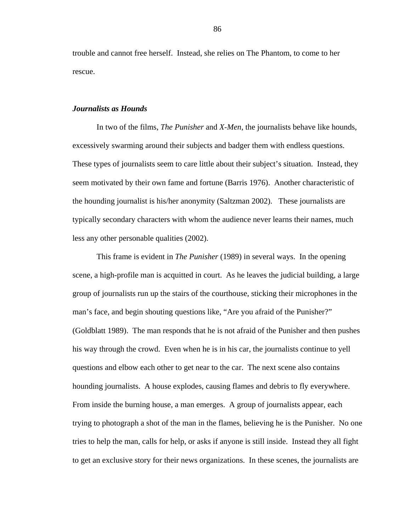trouble and cannot free herself. Instead, she relies on The Phantom, to come to her rescue.

## *Journalists as Hounds*

 In two of the films, *The Punisher* and *X-Men*, the journalists behave like hounds, excessively swarming around their subjects and badger them with endless questions. These types of journalists seem to care little about their subject's situation. Instead, they seem motivated by their own fame and fortune (Barris 1976). Another characteristic of the hounding journalist is his/her anonymity (Saltzman 2002). These journalists are typically secondary characters with whom the audience never learns their names, much less any other personable qualities (2002).

 This frame is evident in *The Punisher* (1989) in several ways. In the opening scene, a high-profile man is acquitted in court. As he leaves the judicial building, a large group of journalists run up the stairs of the courthouse, sticking their microphones in the man's face, and begin shouting questions like, "Are you afraid of the Punisher?" (Goldblatt 1989). The man responds that he is not afraid of the Punisher and then pushes his way through the crowd. Even when he is in his car, the journalists continue to yell questions and elbow each other to get near to the car. The next scene also contains hounding journalists. A house explodes, causing flames and debris to fly everywhere. From inside the burning house, a man emerges. A group of journalists appear, each trying to photograph a shot of the man in the flames, believing he is the Punisher. No one tries to help the man, calls for help, or asks if anyone is still inside. Instead they all fight to get an exclusive story for their news organizations. In these scenes, the journalists are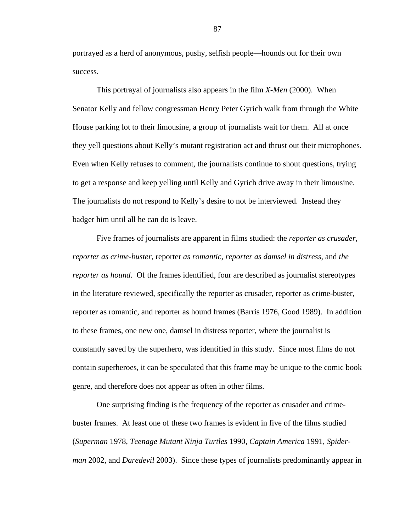portrayed as a herd of anonymous, pushy, selfish people—hounds out for their own success.

 This portrayal of journalists also appears in the film *X-Men* (2000). When Senator Kelly and fellow congressman Henry Peter Gyrich walk from through the White House parking lot to their limousine, a group of journalists wait for them. All at once they yell questions about Kelly's mutant registration act and thrust out their microphones. Even when Kelly refuses to comment, the journalists continue to shout questions, trying to get a response and keep yelling until Kelly and Gyrich drive away in their limousine. The journalists do not respond to Kelly's desire to not be interviewed. Instead they badger him until all he can do is leave.

Five frames of journalists are apparent in films studied: the *reporter as crusader*, *reporter as crime-buster*, reporter *as romantic*, *reporter as damsel in distress*, and *the reporter as hound*. Of the frames identified, four are described as journalist stereotypes in the literature reviewed, specifically the reporter as crusader, reporter as crime-buster, reporter as romantic, and reporter as hound frames (Barris 1976, Good 1989). In addition to these frames, one new one, damsel in distress reporter, where the journalist is constantly saved by the superhero, was identified in this study. Since most films do not contain superheroes, it can be speculated that this frame may be unique to the comic book genre, and therefore does not appear as often in other films.

One surprising finding is the frequency of the reporter as crusader and crimebuster frames. At least one of these two frames is evident in five of the films studied (*Superman* 1978, *Teenage Mutant Ninja Turtles* 1990, *Captain America* 1991, *Spiderman* 2002, and *Daredevil* 2003). Since these types of journalists predominantly appear in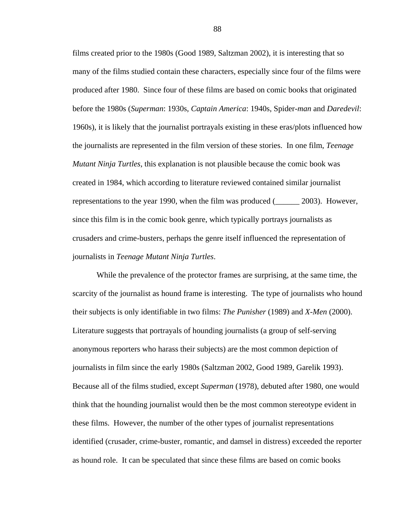films created prior to the 1980s (Good 1989, Saltzman 2002), it is interesting that so many of the films studied contain these characters, especially since four of the films were produced after 1980. Since four of these films are based on comic books that originated before the 1980s (*Superman*: 1930s, *Captain America*: 1940s, Spider*-man* and *Daredevil*: 1960s), it is likely that the journalist portrayals existing in these eras/plots influenced how the journalists are represented in the film version of these stories. In one film, *Teenage Mutant Ninja Turtles*, this explanation is not plausible because the comic book was created in 1984, which according to literature reviewed contained similar journalist representations to the year 1990, when the film was produced (\_\_\_\_\_\_ 2003). However, since this film is in the comic book genre, which typically portrays journalists as crusaders and crime-busters, perhaps the genre itself influenced the representation of journalists in *Teenage Mutant Ninja Turtles*.

While the prevalence of the protector frames are surprising, at the same time, the scarcity of the journalist as hound frame is interesting. The type of journalists who hound their subjects is only identifiable in two films: *The Punisher* (1989) and *X-Men* (2000). Literature suggests that portrayals of hounding journalists (a group of self-serving anonymous reporters who harass their subjects) are the most common depiction of journalists in film since the early 1980s (Saltzman 2002, Good 1989, Garelik 1993). Because all of the films studied, except *Superman* (1978), debuted after 1980, one would think that the hounding journalist would then be the most common stereotype evident in these films. However, the number of the other types of journalist representations identified (crusader, crime-buster, romantic, and damsel in distress) exceeded the reporter as hound role. It can be speculated that since these films are based on comic books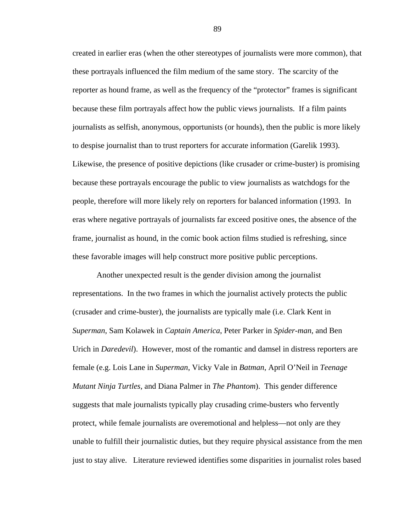created in earlier eras (when the other stereotypes of journalists were more common), that these portrayals influenced the film medium of the same story. The scarcity of the reporter as hound frame, as well as the frequency of the "protector" frames is significant because these film portrayals affect how the public views journalists. If a film paints journalists as selfish, anonymous, opportunists (or hounds), then the public is more likely to despise journalist than to trust reporters for accurate information (Garelik 1993). Likewise, the presence of positive depictions (like crusader or crime-buster) is promising because these portrayals encourage the public to view journalists as watchdogs for the people, therefore will more likely rely on reporters for balanced information (1993. In eras where negative portrayals of journalists far exceed positive ones, the absence of the frame, journalist as hound, in the comic book action films studied is refreshing, since these favorable images will help construct more positive public perceptions.

Another unexpected result is the gender division among the journalist representations. In the two frames in which the journalist actively protects the public (crusader and crime-buster), the journalists are typically male (i.e. Clark Kent in *Superman*, Sam Kolawek in *Captain America*, Peter Parker in *Spider-man*, and Ben Urich in *Daredevil*). However, most of the romantic and damsel in distress reporters are female (e.g. Lois Lane in *Superman*, Vicky Vale in *Batman*, April O'Neil in *Teenage Mutant Ninja Turtles*, and Diana Palmer in *The Phantom*). This gender difference suggests that male journalists typically play crusading crime-busters who fervently protect, while female journalists are overemotional and helpless—not only are they unable to fulfill their journalistic duties, but they require physical assistance from the men just to stay alive. Literature reviewed identifies some disparities in journalist roles based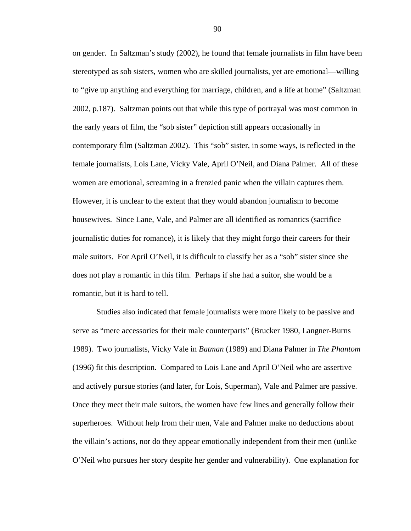on gender. In Saltzman's study (2002), he found that female journalists in film have been stereotyped as sob sisters, women who are skilled journalists, yet are emotional—willing to "give up anything and everything for marriage, children, and a life at home" (Saltzman 2002, p.187). Saltzman points out that while this type of portrayal was most common in the early years of film, the "sob sister" depiction still appears occasionally in contemporary film (Saltzman 2002). This "sob" sister, in some ways, is reflected in the female journalists, Lois Lane, Vicky Vale, April O'Neil, and Diana Palmer. All of these women are emotional, screaming in a frenzied panic when the villain captures them. However, it is unclear to the extent that they would abandon journalism to become housewives. Since Lane, Vale, and Palmer are all identified as romantics (sacrifice journalistic duties for romance), it is likely that they might forgo their careers for their male suitors. For April O'Neil, it is difficult to classify her as a "sob" sister since she does not play a romantic in this film. Perhaps if she had a suitor, she would be a romantic, but it is hard to tell.

Studies also indicated that female journalists were more likely to be passive and serve as "mere accessories for their male counterparts" (Brucker 1980, Langner-Burns 1989). Two journalists, Vicky Vale in *Batman* (1989) and Diana Palmer in *The Phantom*  (1996) fit this description. Compared to Lois Lane and April O'Neil who are assertive and actively pursue stories (and later, for Lois, Superman), Vale and Palmer are passive. Once they meet their male suitors, the women have few lines and generally follow their superheroes. Without help from their men, Vale and Palmer make no deductions about the villain's actions, nor do they appear emotionally independent from their men (unlike O'Neil who pursues her story despite her gender and vulnerability). One explanation for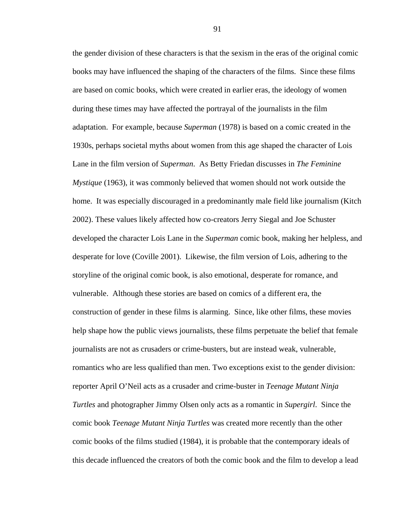the gender division of these characters is that the sexism in the eras of the original comic books may have influenced the shaping of the characters of the films. Since these films are based on comic books, which were created in earlier eras, the ideology of women during these times may have affected the portrayal of the journalists in the film adaptation. For example, because *Superman* (1978) is based on a comic created in the 1930s, perhaps societal myths about women from this age shaped the character of Lois Lane in the film version of *Superman*. As Betty Friedan discusses in *The Feminine Mystique* (1963), it was commonly believed that women should not work outside the home. It was especially discouraged in a predominantly male field like journalism (Kitch 2002). These values likely affected how co-creators Jerry Siegal and Joe Schuster developed the character Lois Lane in the *Superman* comic book, making her helpless, and desperate for love (Coville 2001).Likewise, the film version of Lois, adhering to the storyline of the original comic book, is also emotional, desperate for romance, and vulnerable. Although these stories are based on comics of a different era, the construction of gender in these films is alarming. Since, like other films, these movies help shape how the public views journalists, these films perpetuate the belief that female journalists are not as crusaders or crime-busters, but are instead weak, vulnerable, romantics who are less qualified than men. Two exceptions exist to the gender division: reporter April O'Neil acts as a crusader and crime-buster in *Teenage Mutant Ninja Turtles* and photographer Jimmy Olsen only acts as a romantic in *Supergirl*. Since the comic book *Teenage Mutant Ninja Turtles* was created more recently than the other comic books of the films studied (1984), it is probable that the contemporary ideals of this decade influenced the creators of both the comic book and the film to develop a lead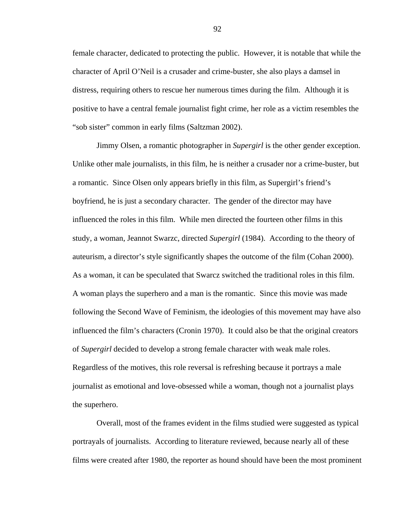female character, dedicated to protecting the public. However, it is notable that while the character of April O'Neil is a crusader and crime-buster, she also plays a damsel in distress, requiring others to rescue her numerous times during the film. Although it is positive to have a central female journalist fight crime, her role as a victim resembles the "sob sister" common in early films (Saltzman 2002).

Jimmy Olsen, a romantic photographer in *Supergirl* is the other gender exception. Unlike other male journalists, in this film, he is neither a crusader nor a crime-buster, but a romantic. Since Olsen only appears briefly in this film, as Supergirl's friend's boyfriend, he is just a secondary character. The gender of the director may have influenced the roles in this film. While men directed the fourteen other films in this study, a woman, Jeannot Swarzc, directed *Supergirl* (1984). According to the theory of auteurism, a director's style significantly shapes the outcome of the film (Cohan 2000). As a woman, it can be speculated that Swarcz switched the traditional roles in this film. A woman plays the superhero and a man is the romantic. Since this movie was made following the Second Wave of Feminism, the ideologies of this movement may have also influenced the film's characters (Cronin 1970). It could also be that the original creators of *Supergirl* decided to develop a strong female character with weak male roles. Regardless of the motives, this role reversal is refreshing because it portrays a male journalist as emotional and love-obsessed while a woman, though not a journalist plays the superhero.

 Overall, most of the frames evident in the films studied were suggested as typical portrayals of journalists. According to literature reviewed, because nearly all of these films were created after 1980, the reporter as hound should have been the most prominent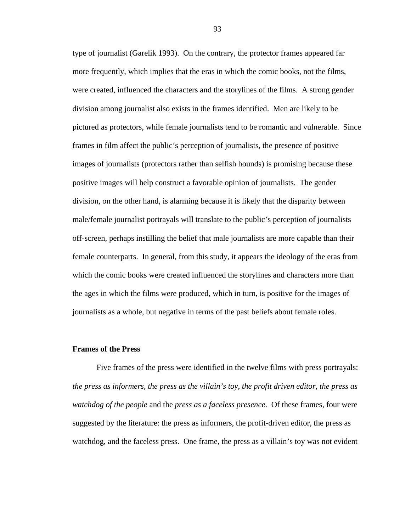type of journalist (Garelik 1993). On the contrary, the protector frames appeared far more frequently, which implies that the eras in which the comic books, not the films, were created, influenced the characters and the storylines of the films. A strong gender division among journalist also exists in the frames identified. Men are likely to be pictured as protectors, while female journalists tend to be romantic and vulnerable. Since frames in film affect the public's perception of journalists, the presence of positive images of journalists (protectors rather than selfish hounds) is promising because these positive images will help construct a favorable opinion of journalists. The gender division, on the other hand, is alarming because it is likely that the disparity between male/female journalist portrayals will translate to the public's perception of journalists off-screen, perhaps instilling the belief that male journalists are more capable than their female counterparts. In general, from this study, it appears the ideology of the eras from which the comic books were created influenced the storylines and characters more than the ages in which the films were produced, which in turn, is positive for the images of journalists as a whole, but negative in terms of the past beliefs about female roles.

#### **Frames of the Press**

 Five frames of the press were identified in the twelve films with press portrayals: *the press as informers*, *the press as the villain's toy*, *the profit driven editor*, *the press as watchdog of the people* and the *press as a faceless presence*. Of these frames, four were suggested by the literature: the press as informers, the profit-driven editor, the press as watchdog, and the faceless press. One frame, the press as a villain's toy was not evident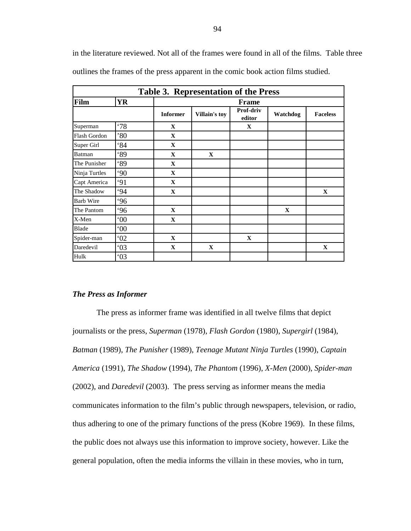in the literature reviewed. Not all of the frames were found in all of the films. Table three outlines the frames of the press apparent in the comic book action films studied.

| Table 3. Representation of the Press |              |                 |               |                     |              |                 |
|--------------------------------------|--------------|-----------------|---------------|---------------------|--------------|-----------------|
| Film                                 | <b>YR</b>    | <b>Frame</b>    |               |                     |              |                 |
|                                      |              | <b>Informer</b> | Villain's toy | Prof-driv<br>editor | Watchdog     | <b>Faceless</b> |
| Superman                             | .78          | $\mathbf X$     |               | $\mathbf X$         |              |                 |
| Flash Gordon                         | $80^\circ$   | $\mathbf X$     |               |                     |              |                 |
| Super Girl                           | 84           | $\mathbf{X}$    |               |                     |              |                 |
| Batman                               | <b>89</b>    | $\mathbf{X}$    | $\mathbf X$   |                     |              |                 |
| The Punisher                         | <b>89</b>    | $\mathbf X$     |               |                     |              |                 |
| Ninja Turtles                        | 90           | $\mathbf X$     |               |                     |              |                 |
| Capt America                         | 91           | $\mathbf X$     |               |                     |              |                 |
| The Shadow                           | 94           | $\mathbf{X}$    |               |                     |              | $\mathbf X$     |
| <b>Barb Wire</b>                     | .96          |                 |               |                     |              |                 |
| The Pantom                           | .96          | $\mathbf{X}$    |               |                     | $\mathbf{X}$ |                 |
| X-Men                                | $00^{\circ}$ | $\mathbf{X}$    |               |                     |              |                 |
| Blade                                | $00^{\circ}$ |                 |               |                     |              |                 |
| Spider-man                           | 02           | $\mathbf{X}$    |               | $\mathbf{X}$        |              |                 |
| Daredevil                            | 03           | $\mathbf X$     | $\mathbf X$   |                     |              | $\mathbf X$     |
| Hulk                                 | 03           |                 |               |                     |              |                 |

## *The Press as Informer*

 The press as informer frame was identified in all twelve films that depict journalists or the press, *Superman* (1978), *Flash Gordon* (1980), *Supergirl* (1984), *Batman* (1989), *The Punisher* (1989), *Teenage Mutant Ninja Turtles* (1990), *Captain America* (1991), *The Shadow* (1994), *The Phantom* (1996), *X-Men* (2000), *Spider-man*  (2002), and *Daredevil* (2003). The press serving as informer means the media communicates information to the film's public through newspapers, television, or radio, thus adhering to one of the primary functions of the press (Kobre 1969). In these films, the public does not always use this information to improve society, however. Like the general population, often the media informs the villain in these movies, who in turn,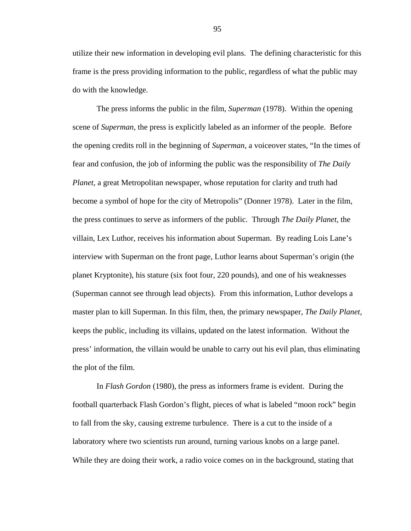utilize their new information in developing evil plans. The defining characteristic for this frame is the press providing information to the public, regardless of what the public may do with the knowledge.

The press informs the public in the film, *Superman* (1978). Within the opening scene of *Superman*, the press is explicitly labeled as an informer of the people. Before the opening credits roll in the beginning of *Superman*, a voiceover states, "In the times of fear and confusion, the job of informing the public was the responsibility of *The Daily Planet*, a great Metropolitan newspaper, whose reputation for clarity and truth had become a symbol of hope for the city of Metropolis" (Donner 1978). Later in the film, the press continues to serve as informers of the public. Through *The Daily Planet*, the villain, Lex Luthor, receives his information about Superman. By reading Lois Lane's interview with Superman on the front page, Luthor learns about Superman's origin (the planet Kryptonite), his stature (six foot four, 220 pounds), and one of his weaknesses (Superman cannot see through lead objects). From this information, Luthor develops a master plan to kill Superman. In this film, then, the primary newspaper, *The Daily Planet*, keeps the public, including its villains, updated on the latest information. Without the press' information, the villain would be unable to carry out his evil plan, thus eliminating the plot of the film.

 In *Flash Gordon* (1980), the press as informers frame is evident. During the football quarterback Flash Gordon's flight, pieces of what is labeled "moon rock" begin to fall from the sky, causing extreme turbulence. There is a cut to the inside of a laboratory where two scientists run around, turning various knobs on a large panel. While they are doing their work, a radio voice comes on in the background, stating that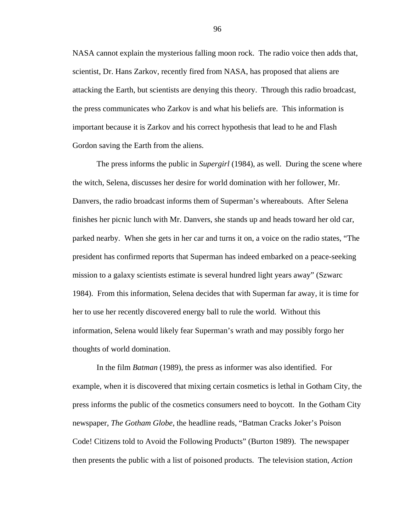NASA cannot explain the mysterious falling moon rock. The radio voice then adds that, scientist, Dr. Hans Zarkov, recently fired from NASA, has proposed that aliens are attacking the Earth, but scientists are denying this theory. Through this radio broadcast, the press communicates who Zarkov is and what his beliefs are. This information is important because it is Zarkov and his correct hypothesis that lead to he and Flash Gordon saving the Earth from the aliens.

The press informs the public in *Supergirl* (1984), as well. During the scene where the witch, Selena, discusses her desire for world domination with her follower, Mr. Danvers, the radio broadcast informs them of Superman's whereabouts. After Selena finishes her picnic lunch with Mr. Danvers, she stands up and heads toward her old car, parked nearby. When she gets in her car and turns it on, a voice on the radio states, "The president has confirmed reports that Superman has indeed embarked on a peace-seeking mission to a galaxy scientists estimate is several hundred light years away" (Szwarc 1984). From this information, Selena decides that with Superman far away, it is time for her to use her recently discovered energy ball to rule the world. Without this information, Selena would likely fear Superman's wrath and may possibly forgo her thoughts of world domination.

 In the film *Batman* (1989), the press as informer was also identified. For example, when it is discovered that mixing certain cosmetics is lethal in Gotham City, the press informs the public of the cosmetics consumers need to boycott. In the Gotham City newspaper, *The Gotham Globe*, the headline reads, "Batman Cracks Joker's Poison Code! Citizens told to Avoid the Following Products" (Burton 1989). The newspaper then presents the public with a list of poisoned products. The television station, *Action*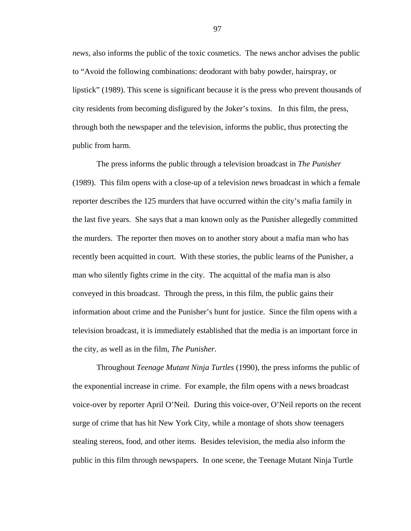*news*, also informs the public of the toxic cosmetics. The news anchor advises the public to "Avoid the following combinations: deodorant with baby powder, hairspray, or lipstick" (1989). This scene is significant because it is the press who prevent thousands of city residents from becoming disfigured by the Joker's toxins. In this film, the press, through both the newspaper and the television, informs the public, thus protecting the public from harm.

 The press informs the public through a television broadcast in *The Punisher*  (1989). This film opens with a close-up of a television news broadcast in which a female reporter describes the 125 murders that have occurred within the city's mafia family in the last five years. She says that a man known only as the Punisher allegedly committed the murders. The reporter then moves on to another story about a mafia man who has recently been acquitted in court. With these stories, the public learns of the Punisher, a man who silently fights crime in the city. The acquittal of the mafia man is also conveyed in this broadcast. Through the press, in this film, the public gains their information about crime and the Punisher's hunt for justice. Since the film opens with a television broadcast, it is immediately established that the media is an important force in the city, as well as in the film, *The Punisher*.

 Throughout *Teenage Mutant Ninja Turtles* (1990), the press informs the public of the exponential increase in crime. For example, the film opens with a news broadcast voice-over by reporter April O'Neil. During this voice-over, O'Neil reports on the recent surge of crime that has hit New York City, while a montage of shots show teenagers stealing stereos, food, and other items. Besides television, the media also inform the public in this film through newspapers. In one scene, the Teenage Mutant Ninja Turtle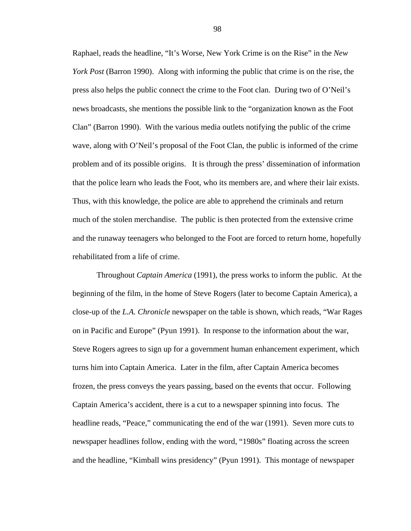Raphael, reads the headline, "It's Worse, New York Crime is on the Rise" in the *New York Post* (Barron 1990). Along with informing the public that crime is on the rise, the press also helps the public connect the crime to the Foot clan. During two of O'Neil's news broadcasts, she mentions the possible link to the "organization known as the Foot Clan" (Barron 1990). With the various media outlets notifying the public of the crime wave, along with O'Neil's proposal of the Foot Clan, the public is informed of the crime problem and of its possible origins. It is through the press' dissemination of information that the police learn who leads the Foot, who its members are, and where their lair exists. Thus, with this knowledge, the police are able to apprehend the criminals and return much of the stolen merchandise. The public is then protected from the extensive crime and the runaway teenagers who belonged to the Foot are forced to return home, hopefully rehabilitated from a life of crime.

 Throughout *Captain America* (1991), the press works to inform the public. At the beginning of the film, in the home of Steve Rogers (later to become Captain America), a close-up of the *L.A. Chronicle* newspaper on the table is shown, which reads, "War Rages on in Pacific and Europe" (Pyun 1991). In response to the information about the war, Steve Rogers agrees to sign up for a government human enhancement experiment, which turns him into Captain America. Later in the film, after Captain America becomes frozen, the press conveys the years passing, based on the events that occur. Following Captain America's accident, there is a cut to a newspaper spinning into focus. The headline reads, "Peace," communicating the end of the war (1991). Seven more cuts to newspaper headlines follow, ending with the word, "1980s" floating across the screen and the headline, "Kimball wins presidency" (Pyun 1991). This montage of newspaper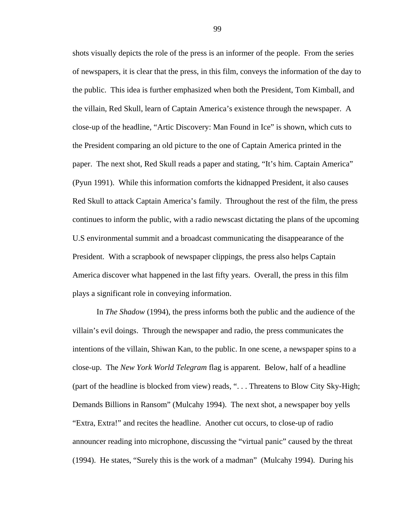shots visually depicts the role of the press is an informer of the people. From the series of newspapers, it is clear that the press, in this film, conveys the information of the day to the public. This idea is further emphasized when both the President, Tom Kimball, and the villain, Red Skull, learn of Captain America's existence through the newspaper. A close-up of the headline, "Artic Discovery: Man Found in Ice" is shown, which cuts to the President comparing an old picture to the one of Captain America printed in the paper. The next shot, Red Skull reads a paper and stating, "It's him. Captain America" (Pyun 1991). While this information comforts the kidnapped President, it also causes Red Skull to attack Captain America's family. Throughout the rest of the film, the press continues to inform the public, with a radio newscast dictating the plans of the upcoming U.S environmental summit and a broadcast communicating the disappearance of the President. With a scrapbook of newspaper clippings, the press also helps Captain America discover what happened in the last fifty years. Overall, the press in this film plays a significant role in conveying information.

 In *The Shadow* (1994), the press informs both the public and the audience of the villain's evil doings. Through the newspaper and radio, the press communicates the intentions of the villain, Shiwan Kan, to the public. In one scene, a newspaper spins to a close-up. The *New York World Telegram* flag is apparent. Below, half of a headline (part of the headline is blocked from view) reads, ". . . Threatens to Blow City Sky-High; Demands Billions in Ransom" (Mulcahy 1994). The next shot, a newspaper boy yells "Extra, Extra!" and recites the headline. Another cut occurs, to close-up of radio announcer reading into microphone, discussing the "virtual panic" caused by the threat (1994). He states, "Surely this is the work of a madman" (Mulcahy 1994). During his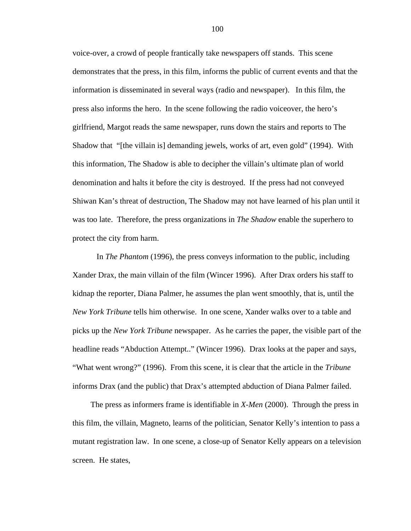voice-over, a crowd of people frantically take newspapers off stands. This scene demonstrates that the press, in this film, informs the public of current events and that the information is disseminated in several ways (radio and newspaper). In this film, the press also informs the hero. In the scene following the radio voiceover, the hero's girlfriend, Margot reads the same newspaper, runs down the stairs and reports to The Shadow that "[the villain is] demanding jewels, works of art, even gold" (1994). With this information, The Shadow is able to decipher the villain's ultimate plan of world denomination and halts it before the city is destroyed. If the press had not conveyed Shiwan Kan's threat of destruction, The Shadow may not have learned of his plan until it was too late. Therefore, the press organizations in *The Shadow* enable the superhero to protect the city from harm.

In *The Phantom* (1996), the press conveys information to the public, including Xander Drax, the main villain of the film (Wincer 1996). After Drax orders his staff to kidnap the reporter, Diana Palmer, he assumes the plan went smoothly, that is, until the *New York Tribune* tells him otherwise. In one scene, Xander walks over to a table and picks up the *New York Tribune* newspaper. As he carries the paper, the visible part of the headline reads "Abduction Attempt.." (Wincer 1996). Drax looks at the paper and says, "What went wrong?" (1996). From this scene, it is clear that the article in the *Tribune* informs Drax (and the public) that Drax's attempted abduction of Diana Palmer failed.

The press as informers frame is identifiable in *X-Men* (2000). Through the press in this film, the villain, Magneto, learns of the politician, Senator Kelly's intention to pass a mutant registration law. In one scene, a close-up of Senator Kelly appears on a television screen. He states,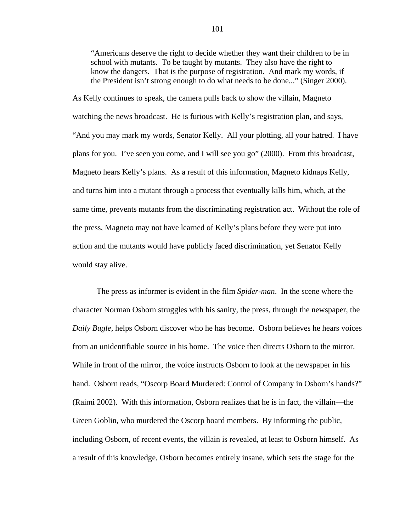"Americans deserve the right to decide whether they want their children to be in school with mutants. To be taught by mutants. They also have the right to know the dangers. That is the purpose of registration. And mark my words, if the President isn't strong enough to do what needs to be done..." (Singer 2000).

As Kelly continues to speak, the camera pulls back to show the villain, Magneto watching the news broadcast. He is furious with Kelly's registration plan, and says, "And you may mark my words, Senator Kelly. All your plotting, all your hatred. I have plans for you. I've seen you come, and I will see you go" (2000). From this broadcast, Magneto hears Kelly's plans. As a result of this information, Magneto kidnaps Kelly, and turns him into a mutant through a process that eventually kills him, which, at the same time, prevents mutants from the discriminating registration act. Without the role of the press, Magneto may not have learned of Kelly's plans before they were put into action and the mutants would have publicly faced discrimination, yet Senator Kelly would stay alive.

The press as informer is evident in the film *Spider-man*. In the scene where the character Norman Osborn struggles with his sanity, the press, through the newspaper, the *Daily Bugle*, helps Osborn discover who he has become. Osborn believes he hears voices from an unidentifiable source in his home. The voice then directs Osborn to the mirror. While in front of the mirror, the voice instructs Osborn to look at the newspaper in his hand. Osborn reads, "Oscorp Board Murdered: Control of Company in Osborn's hands?" (Raimi 2002). With this information, Osborn realizes that he is in fact, the villain—the Green Goblin, who murdered the Oscorp board members. By informing the public, including Osborn, of recent events, the villain is revealed, at least to Osborn himself. As a result of this knowledge, Osborn becomes entirely insane, which sets the stage for the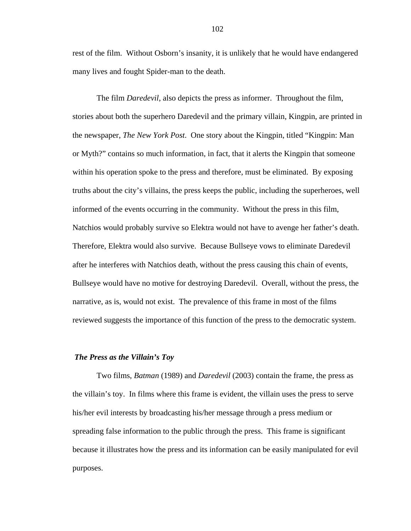rest of the film. Without Osborn's insanity, it is unlikely that he would have endangered many lives and fought Spider-man to the death.

 The film *Daredevil*, also depicts the press as informer. Throughout the film, stories about both the superhero Daredevil and the primary villain, Kingpin, are printed in the newspaper, *The New York Post*. One story about the Kingpin, titled "Kingpin: Man or Myth?" contains so much information, in fact, that it alerts the Kingpin that someone within his operation spoke to the press and therefore, must be eliminated. By exposing truths about the city's villains, the press keeps the public, including the superheroes, well informed of the events occurring in the community. Without the press in this film, Natchios would probably survive so Elektra would not have to avenge her father's death. Therefore, Elektra would also survive. Because Bullseye vows to eliminate Daredevil after he interferes with Natchios death, without the press causing this chain of events, Bullseye would have no motive for destroying Daredevil. Overall, without the press, the narrative, as is, would not exist. The prevalence of this frame in most of the films reviewed suggests the importance of this function of the press to the democratic system.

## *The Press as the Villain's Toy*

 Two films, *Batman* (1989) and *Daredevil* (2003) contain the frame, the press as the villain's toy. In films where this frame is evident, the villain uses the press to serve his/her evil interests by broadcasting his/her message through a press medium or spreading false information to the public through the press. This frame is significant because it illustrates how the press and its information can be easily manipulated for evil purposes.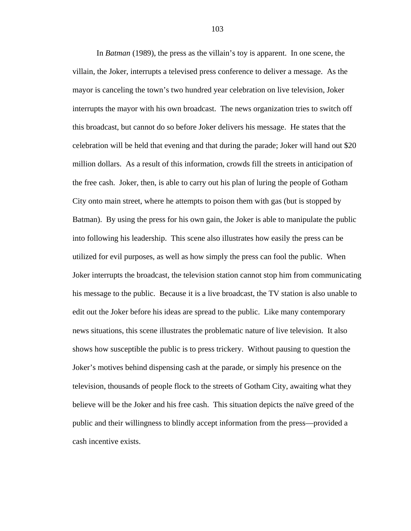In *Batman* (1989), the press as the villain's toy is apparent. In one scene, the villain, the Joker, interrupts a televised press conference to deliver a message. As the mayor is canceling the town's two hundred year celebration on live television, Joker interrupts the mayor with his own broadcast. The news organization tries to switch off this broadcast, but cannot do so before Joker delivers his message. He states that the celebration will be held that evening and that during the parade; Joker will hand out \$20 million dollars. As a result of this information, crowds fill the streets in anticipation of the free cash. Joker, then, is able to carry out his plan of luring the people of Gotham City onto main street, where he attempts to poison them with gas (but is stopped by Batman). By using the press for his own gain, the Joker is able to manipulate the public into following his leadership. This scene also illustrates how easily the press can be utilized for evil purposes, as well as how simply the press can fool the public. When Joker interrupts the broadcast, the television station cannot stop him from communicating his message to the public. Because it is a live broadcast, the TV station is also unable to edit out the Joker before his ideas are spread to the public. Like many contemporary news situations, this scene illustrates the problematic nature of live television. It also shows how susceptible the public is to press trickery. Without pausing to question the Joker's motives behind dispensing cash at the parade, or simply his presence on the television, thousands of people flock to the streets of Gotham City, awaiting what they believe will be the Joker and his free cash. This situation depicts the naïve greed of the public and their willingness to blindly accept information from the press—provided a cash incentive exists.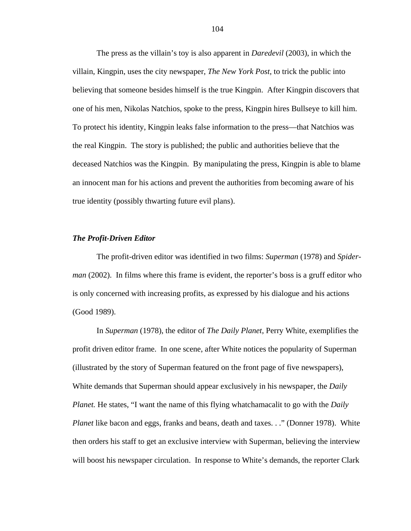The press as the villain's toy is also apparent in *Daredevil* (2003), in which the villain, Kingpin, uses the city newspaper, *The New York Post*, to trick the public into believing that someone besides himself is the true Kingpin. After Kingpin discovers that one of his men, Nikolas Natchios, spoke to the press, Kingpin hires Bullseye to kill him. To protect his identity, Kingpin leaks false information to the press—that Natchios was the real Kingpin. The story is published; the public and authorities believe that the deceased Natchios was the Kingpin. By manipulating the press, Kingpin is able to blame an innocent man for his actions and prevent the authorities from becoming aware of his true identity (possibly thwarting future evil plans).

#### *The Profit-Driven Editor*

 The profit-driven editor was identified in two films: *Superman* (1978) and *Spiderman* (2002). In films where this frame is evident, the reporter's boss is a gruff editor who is only concerned with increasing profits, as expressed by his dialogue and his actions (Good 1989).

 In *Superman* (1978), the editor of *The Daily Planet*, Perry White, exemplifies the profit driven editor frame. In one scene, after White notices the popularity of Superman (illustrated by the story of Superman featured on the front page of five newspapers), White demands that Superman should appear exclusively in his newspaper, the *Daily Planet.* He states, "I want the name of this flying whatchamacalit to go with the *Daily Planet* like bacon and eggs, franks and beans, death and taxes. . ." (Donner 1978). White then orders his staff to get an exclusive interview with Superman, believing the interview will boost his newspaper circulation. In response to White's demands, the reporter Clark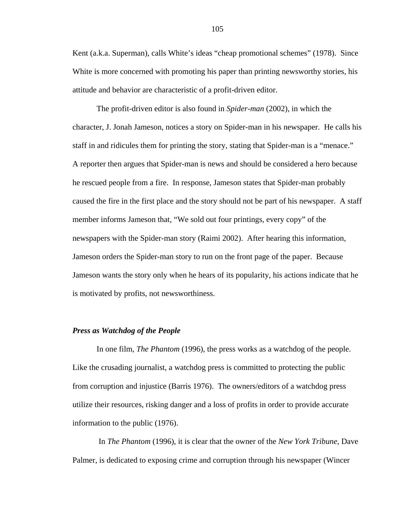Kent (a.k.a. Superman), calls White's ideas "cheap promotional schemes" (1978). Since White is more concerned with promoting his paper than printing newsworthy stories, his attitude and behavior are characteristic of a profit-driven editor.

 The profit-driven editor is also found in *Spider-man* (2002), in which the character, J. Jonah Jameson, notices a story on Spider-man in his newspaper. He calls his staff in and ridicules them for printing the story, stating that Spider-man is a "menace." A reporter then argues that Spider-man is news and should be considered a hero because he rescued people from a fire. In response, Jameson states that Spider-man probably caused the fire in the first place and the story should not be part of his newspaper. A staff member informs Jameson that, "We sold out four printings, every copy" of the newspapers with the Spider-man story (Raimi 2002). After hearing this information, Jameson orders the Spider-man story to run on the front page of the paper. Because Jameson wants the story only when he hears of its popularity, his actions indicate that he is motivated by profits, not newsworthiness.

#### *Press as Watchdog of the People*

In one film, *The Phantom* (1996), the press works as a watchdog of the people. Like the crusading journalist, a watchdog press is committed to protecting the public from corruption and injustice (Barris 1976). The owners/editors of a watchdog press utilize their resources, risking danger and a loss of profits in order to provide accurate information to the public (1976).

 In *The Phantom* (1996), it is clear that the owner of the *New York Tribune*, Dave Palmer, is dedicated to exposing crime and corruption through his newspaper (Wincer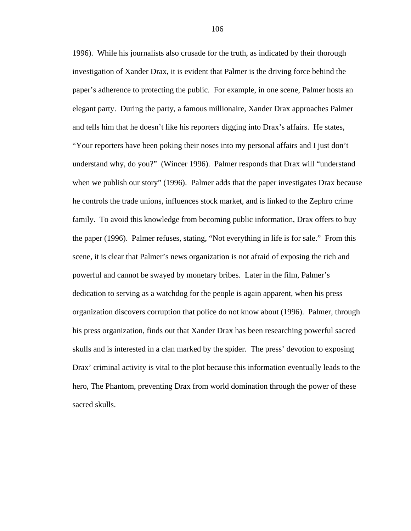1996). While his journalists also crusade for the truth, as indicated by their thorough investigation of Xander Drax, it is evident that Palmer is the driving force behind the paper's adherence to protecting the public. For example, in one scene, Palmer hosts an elegant party. During the party, a famous millionaire, Xander Drax approaches Palmer and tells him that he doesn't like his reporters digging into Drax's affairs. He states, "Your reporters have been poking their noses into my personal affairs and I just don't understand why, do you?" (Wincer 1996). Palmer responds that Drax will "understand when we publish our story" (1996). Palmer adds that the paper investigates Drax because he controls the trade unions, influences stock market, and is linked to the Zephro crime family. To avoid this knowledge from becoming public information, Drax offers to buy the paper (1996). Palmer refuses, stating, "Not everything in life is for sale." From this scene, it is clear that Palmer's news organization is not afraid of exposing the rich and powerful and cannot be swayed by monetary bribes. Later in the film, Palmer's dedication to serving as a watchdog for the people is again apparent, when his press organization discovers corruption that police do not know about (1996). Palmer, through his press organization, finds out that Xander Drax has been researching powerful sacred skulls and is interested in a clan marked by the spider. The press' devotion to exposing Drax' criminal activity is vital to the plot because this information eventually leads to the hero, The Phantom, preventing Drax from world domination through the power of these sacred skulls.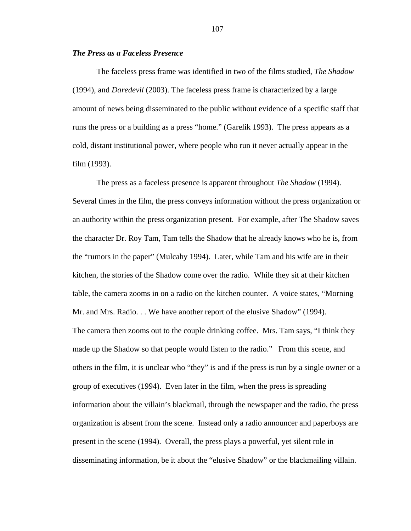# *The Press as a Faceless Presence*

The faceless press frame was identified in two of the films studied, *The Shadow*  (1994), and *Daredevil* (2003). The faceless press frame is characterized by a large amount of news being disseminated to the public without evidence of a specific staff that runs the press or a building as a press "home." (Garelik 1993). The press appears as a cold, distant institutional power, where people who run it never actually appear in the film (1993).

 The press as a faceless presence is apparent throughout *The Shadow* (1994). Several times in the film, the press conveys information without the press organization or an authority within the press organization present. For example, after The Shadow saves the character Dr. Roy Tam, Tam tells the Shadow that he already knows who he is, from the "rumors in the paper" (Mulcahy 1994). Later, while Tam and his wife are in their kitchen, the stories of the Shadow come over the radio. While they sit at their kitchen table, the camera zooms in on a radio on the kitchen counter. A voice states, "Morning Mr. and Mrs. Radio. . . We have another report of the elusive Shadow" (1994). The camera then zooms out to the couple drinking coffee. Mrs. Tam says, "I think they made up the Shadow so that people would listen to the radio." From this scene, and others in the film, it is unclear who "they" is and if the press is run by a single owner or a group of executives (1994). Even later in the film, when the press is spreading information about the villain's blackmail, through the newspaper and the radio, the press organization is absent from the scene. Instead only a radio announcer and paperboys are present in the scene (1994). Overall, the press plays a powerful, yet silent role in disseminating information, be it about the "elusive Shadow" or the blackmailing villain.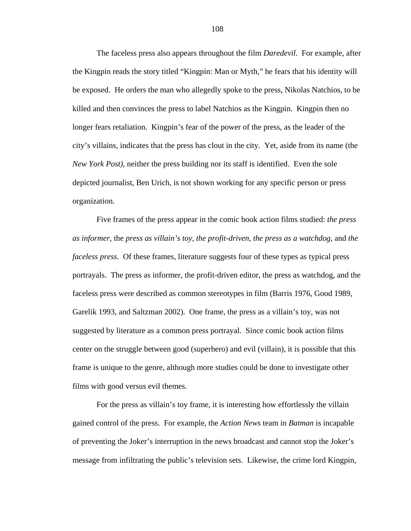The faceless press also appears throughout the film *Daredevil*. For example, after the Kingpin reads the story titled "Kingpin: Man or Myth," he fears that his identity will be exposed. He orders the man who allegedly spoke to the press, Nikolas Natchios, to be killed and then convinces the press to label Natchios as the Kingpin. Kingpin then no longer fears retaliation. Kingpin's fear of the power of the press, as the leader of the city's villains, indicates that the press has clout in the city. Yet, aside from its name (the *New York Post)*, neither the press building nor its staff is identified. Even the sole depicted journalist, Ben Urich, is not shown working for any specific person or press organization.

 Five frames of the press appear in the comic book action films studied: *the press as informer*, the *press as villain's toy*, *the profit-driven*, *the press as a watchdog*, and *the faceless press*. Of these frames, literature suggests four of these types as typical press portrayals. The press as informer, the profit-driven editor, the press as watchdog, and the faceless press were described as common stereotypes in film (Barris 1976, Good 1989, Garelik 1993, and Saltzman 2002). One frame, the press as a villain's toy, was not suggested by literature as a common press portrayal. Since comic book action films center on the struggle between good (superhero) and evil (villain), it is possible that this frame is unique to the genre, although more studies could be done to investigate other films with good versus evil themes.

For the press as villain's toy frame, it is interesting how effortlessly the villain gained control of the press. For example, the *Action News* team in *Batman* is incapable of preventing the Joker's interruption in the news broadcast and cannot stop the Joker's message from infiltrating the public's television sets. Likewise, the crime lord Kingpin,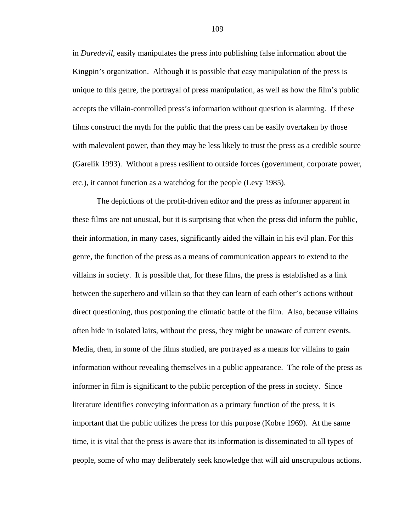in *Daredevil*, easily manipulates the press into publishing false information about the Kingpin's organization. Although it is possible that easy manipulation of the press is unique to this genre, the portrayal of press manipulation, as well as how the film's public accepts the villain-controlled press's information without question is alarming. If these films construct the myth for the public that the press can be easily overtaken by those with malevolent power, than they may be less likely to trust the press as a credible source (Garelik 1993). Without a press resilient to outside forces (government, corporate power, etc.), it cannot function as a watchdog for the people (Levy 1985).

The depictions of the profit-driven editor and the press as informer apparent in these films are not unusual, but it is surprising that when the press did inform the public, their information, in many cases, significantly aided the villain in his evil plan. For this genre, the function of the press as a means of communication appears to extend to the villains in society. It is possible that, for these films, the press is established as a link between the superhero and villain so that they can learn of each other's actions without direct questioning, thus postponing the climatic battle of the film. Also, because villains often hide in isolated lairs, without the press, they might be unaware of current events. Media, then, in some of the films studied, are portrayed as a means for villains to gain information without revealing themselves in a public appearance. The role of the press as informer in film is significant to the public perception of the press in society. Since literature identifies conveying information as a primary function of the press, it is important that the public utilizes the press for this purpose (Kobre 1969). At the same time, it is vital that the press is aware that its information is disseminated to all types of people, some of who may deliberately seek knowledge that will aid unscrupulous actions.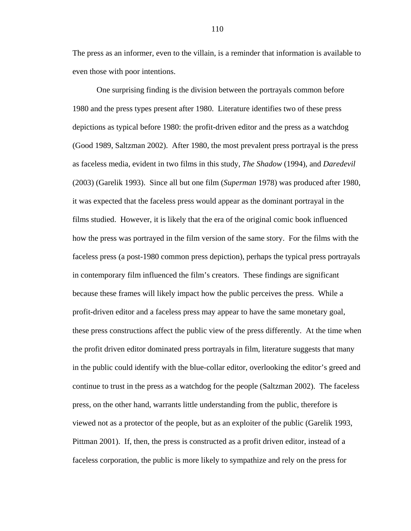The press as an informer, even to the villain, is a reminder that information is available to even those with poor intentions.

One surprising finding is the division between the portrayals common before 1980 and the press types present after 1980. Literature identifies two of these press depictions as typical before 1980: the profit-driven editor and the press as a watchdog (Good 1989, Saltzman 2002). After 1980, the most prevalent press portrayal is the press as faceless media, evident in two films in this study, *The Shadow* (1994), and *Daredevil*  (2003) (Garelik 1993). Since all but one film (*Superman* 1978) was produced after 1980, it was expected that the faceless press would appear as the dominant portrayal in the films studied. However, it is likely that the era of the original comic book influenced how the press was portrayed in the film version of the same story. For the films with the faceless press (a post-1980 common press depiction), perhaps the typical press portrayals in contemporary film influenced the film's creators. These findings are significant because these frames will likely impact how the public perceives the press. While a profit-driven editor and a faceless press may appear to have the same monetary goal, these press constructions affect the public view of the press differently. At the time when the profit driven editor dominated press portrayals in film, literature suggests that many in the public could identify with the blue-collar editor, overlooking the editor's greed and continue to trust in the press as a watchdog for the people (Saltzman 2002). The faceless press, on the other hand, warrants little understanding from the public, therefore is viewed not as a protector of the people, but as an exploiter of the public (Garelik 1993, Pittman 2001). If, then, the press is constructed as a profit driven editor, instead of a faceless corporation, the public is more likely to sympathize and rely on the press for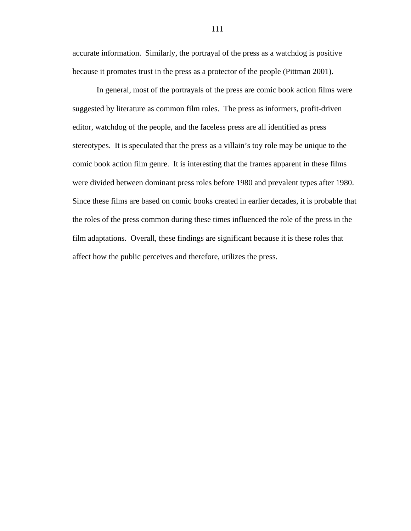accurate information. Similarly, the portrayal of the press as a watchdog is positive because it promotes trust in the press as a protector of the people (Pittman 2001).

 In general, most of the portrayals of the press are comic book action films were suggested by literature as common film roles. The press as informers, profit-driven editor, watchdog of the people, and the faceless press are all identified as press stereotypes. It is speculated that the press as a villain's toy role may be unique to the comic book action film genre. It is interesting that the frames apparent in these films were divided between dominant press roles before 1980 and prevalent types after 1980. Since these films are based on comic books created in earlier decades, it is probable that the roles of the press common during these times influenced the role of the press in the film adaptations. Overall, these findings are significant because it is these roles that affect how the public perceives and therefore, utilizes the press.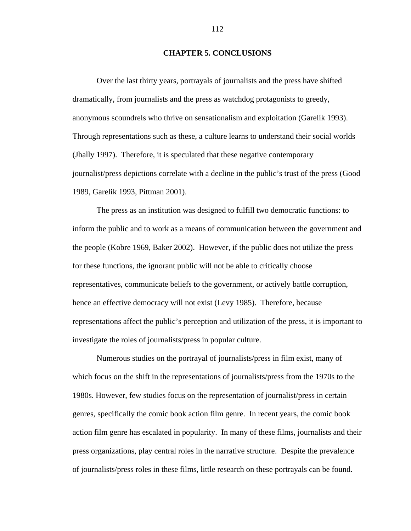## **CHAPTER 5. CONCLUSIONS**

 Over the last thirty years, portrayals of journalists and the press have shifted dramatically, from journalists and the press as watchdog protagonists to greedy, anonymous scoundrels who thrive on sensationalism and exploitation (Garelik 1993). Through representations such as these, a culture learns to understand their social worlds (Jhally 1997). Therefore, it is speculated that these negative contemporary journalist/press depictions correlate with a decline in the public's trust of the press (Good 1989, Garelik 1993, Pittman 2001).

The press as an institution was designed to fulfill two democratic functions: to inform the public and to work as a means of communication between the government and the people (Kobre 1969, Baker 2002). However, if the public does not utilize the press for these functions, the ignorant public will not be able to critically choose representatives, communicate beliefs to the government, or actively battle corruption, hence an effective democracy will not exist (Levy 1985). Therefore, because representations affect the public's perception and utilization of the press, it is important to investigate the roles of journalists/press in popular culture.

Numerous studies on the portrayal of journalists/press in film exist, many of which focus on the shift in the representations of journalists/press from the 1970s to the 1980s. However, few studies focus on the representation of journalist/press in certain genres, specifically the comic book action film genre. In recent years, the comic book action film genre has escalated in popularity. In many of these films, journalists and their press organizations, play central roles in the narrative structure. Despite the prevalence of journalists/press roles in these films, little research on these portrayals can be found.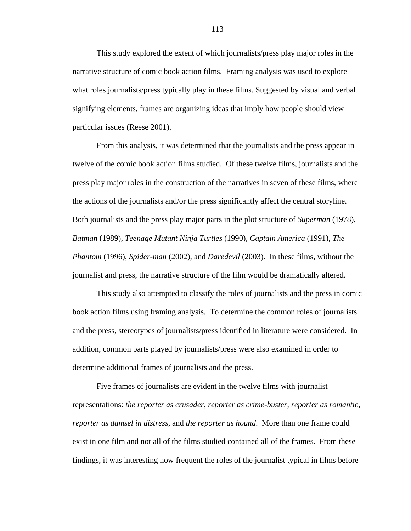This study explored the extent of which journalists/press play major roles in the narrative structure of comic book action films. Framing analysis was used to explore what roles journalists/press typically play in these films. Suggested by visual and verbal signifying elements, frames are organizing ideas that imply how people should view particular issues (Reese 2001).

From this analysis, it was determined that the journalists and the press appear in twelve of the comic book action films studied. Of these twelve films, journalists and the press play major roles in the construction of the narratives in seven of these films, where the actions of the journalists and/or the press significantly affect the central storyline. Both journalists and the press play major parts in the plot structure of *Superman* (1978), *Batman* (1989), *Teenage Mutant Ninja Turtles* (1990), *Captain America* (1991), *The Phantom* (1996), *Spider-man* (2002), and *Daredevil* (2003). In these films, without the journalist and press, the narrative structure of the film would be dramatically altered.

This study also attempted to classify the roles of journalists and the press in comic book action films using framing analysis. To determine the common roles of journalists and the press, stereotypes of journalists/press identified in literature were considered. In addition, common parts played by journalists/press were also examined in order to determine additional frames of journalists and the press.

Five frames of journalists are evident in the twelve films with journalist representations: *the reporter as crusader*, *reporter as crime-buster*, *reporter as romantic*, *reporter as damsel in distress*, and *the reporter as hound*. More than one frame could exist in one film and not all of the films studied contained all of the frames. From these findings, it was interesting how frequent the roles of the journalist typical in films before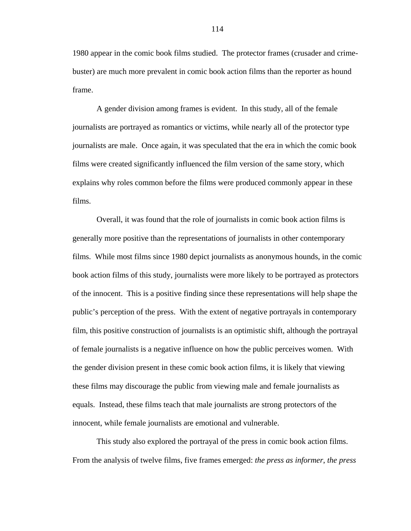1980 appear in the comic book films studied. The protector frames (crusader and crimebuster) are much more prevalent in comic book action films than the reporter as hound frame.

A gender division among frames is evident. In this study, all of the female journalists are portrayed as romantics or victims, while nearly all of the protector type journalists are male. Once again, it was speculated that the era in which the comic book films were created significantly influenced the film version of the same story, which explains why roles common before the films were produced commonly appear in these films.

Overall, it was found that the role of journalists in comic book action films is generally more positive than the representations of journalists in other contemporary films. While most films since 1980 depict journalists as anonymous hounds, in the comic book action films of this study, journalists were more likely to be portrayed as protectors of the innocent. This is a positive finding since these representations will help shape the public's perception of the press. With the extent of negative portrayals in contemporary film, this positive construction of journalists is an optimistic shift, although the portrayal of female journalists is a negative influence on how the public perceives women. With the gender division present in these comic book action films, it is likely that viewing these films may discourage the public from viewing male and female journalists as equals. Instead, these films teach that male journalists are strong protectors of the innocent, while female journalists are emotional and vulnerable.

This study also explored the portrayal of the press in comic book action films. From the analysis of twelve films, five frames emerged: *the press as informer*, *the press*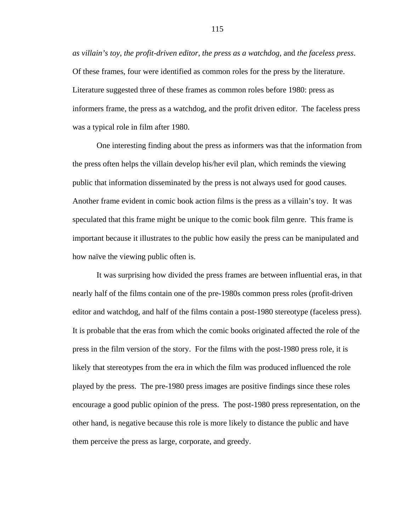*as villain's toy*, *the profit-driven editor*, *the press as a watchdog*, and *the faceless press*. Of these frames, four were identified as common roles for the press by the literature. Literature suggested three of these frames as common roles before 1980: press as informers frame, the press as a watchdog, and the profit driven editor. The faceless press was a typical role in film after 1980.

One interesting finding about the press as informers was that the information from the press often helps the villain develop his/her evil plan, which reminds the viewing public that information disseminated by the press is not always used for good causes. Another frame evident in comic book action films is the press as a villain's toy. It was speculated that this frame might be unique to the comic book film genre. This frame is important because it illustrates to the public how easily the press can be manipulated and how naïve the viewing public often is.

It was surprising how divided the press frames are between influential eras, in that nearly half of the films contain one of the pre-1980s common press roles (profit-driven editor and watchdog, and half of the films contain a post-1980 stereotype (faceless press). It is probable that the eras from which the comic books originated affected the role of the press in the film version of the story. For the films with the post-1980 press role, it is likely that stereotypes from the era in which the film was produced influenced the role played by the press. The pre-1980 press images are positive findings since these roles encourage a good public opinion of the press. The post-1980 press representation, on the other hand, is negative because this role is more likely to distance the public and have them perceive the press as large, corporate, and greedy.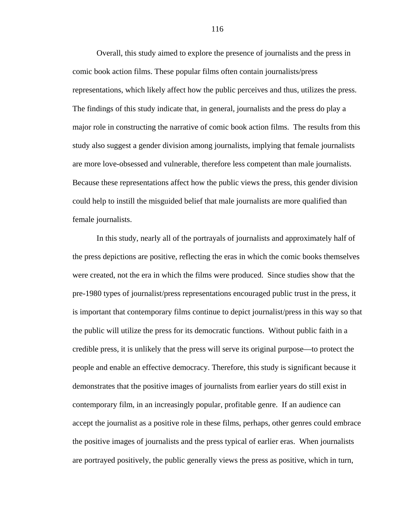Overall, this study aimed to explore the presence of journalists and the press in comic book action films. These popular films often contain journalists/press representations, which likely affect how the public perceives and thus, utilizes the press. The findings of this study indicate that, in general, journalists and the press do play a major role in constructing the narrative of comic book action films. The results from this study also suggest a gender division among journalists, implying that female journalists are more love-obsessed and vulnerable, therefore less competent than male journalists. Because these representations affect how the public views the press, this gender division could help to instill the misguided belief that male journalists are more qualified than female journalists.

In this study, nearly all of the portrayals of journalists and approximately half of the press depictions are positive, reflecting the eras in which the comic books themselves were created, not the era in which the films were produced. Since studies show that the pre-1980 types of journalist/press representations encouraged public trust in the press, it is important that contemporary films continue to depict journalist/press in this way so that the public will utilize the press for its democratic functions. Without public faith in a credible press, it is unlikely that the press will serve its original purpose—to protect the people and enable an effective democracy. Therefore, this study is significant because it demonstrates that the positive images of journalists from earlier years do still exist in contemporary film, in an increasingly popular, profitable genre. If an audience can accept the journalist as a positive role in these films, perhaps, other genres could embrace the positive images of journalists and the press typical of earlier eras. When journalists are portrayed positively, the public generally views the press as positive, which in turn,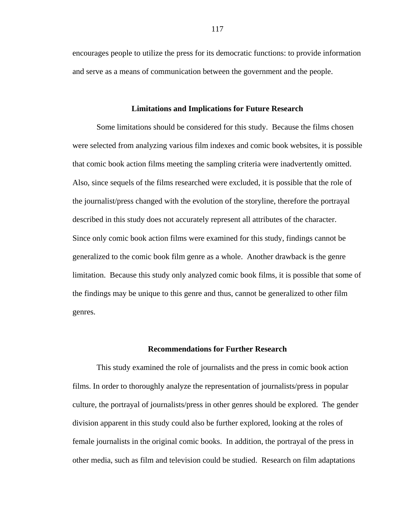encourages people to utilize the press for its democratic functions: to provide information and serve as a means of communication between the government and the people.

## **Limitations and Implications for Future Research**

 Some limitations should be considered for this study. Because the films chosen were selected from analyzing various film indexes and comic book websites, it is possible that comic book action films meeting the sampling criteria were inadvertently omitted. Also, since sequels of the films researched were excluded, it is possible that the role of the journalist/press changed with the evolution of the storyline, therefore the portrayal described in this study does not accurately represent all attributes of the character. Since only comic book action films were examined for this study, findings cannot be generalized to the comic book film genre as a whole. Another drawback is the genre limitation. Because this study only analyzed comic book films, it is possible that some of the findings may be unique to this genre and thus, cannot be generalized to other film genres.

## **Recommendations for Further Research**

This study examined the role of journalists and the press in comic book action films. In order to thoroughly analyze the representation of journalists/press in popular culture, the portrayal of journalists/press in other genres should be explored. The gender division apparent in this study could also be further explored, looking at the roles of female journalists in the original comic books. In addition, the portrayal of the press in other media, such as film and television could be studied. Research on film adaptations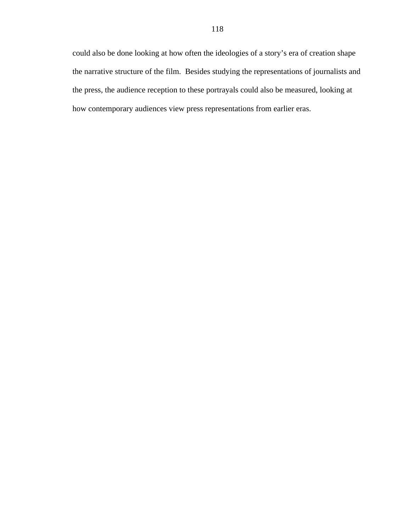could also be done looking at how often the ideologies of a story's era of creation shape the narrative structure of the film. Besides studying the representations of journalists and the press, the audience reception to these portrayals could also be measured, looking at how contemporary audiences view press representations from earlier eras.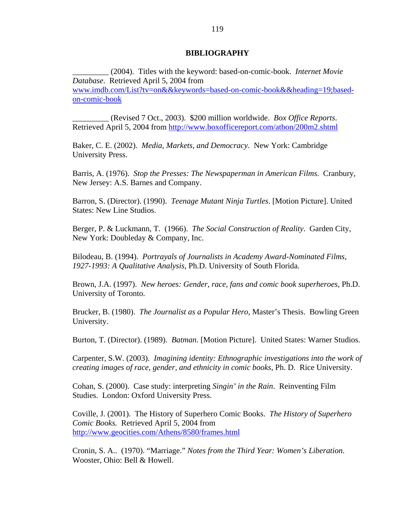## **BIBLIOGRAPHY**

\_\_\_\_\_\_\_\_\_ (2004). Titles with the keyword: based-on-comic-book. *Internet Movie Database*. Retrieved April 5, 2004 from www.imdb.com/List?tv=on&&keywords=based-on-comic-book&&heading=19;basedon-comic-book

\_\_\_\_\_\_\_\_\_ (Revised 7 Oct., 2003). \$200 million worldwide. *Box Office Reports*. Retrieved April 5, 2004 from http://www.boxofficereport.com/atbon/200m2.shtml

Baker, C. E. (2002). *Media, Markets, and Democracy*. New York: Cambridge University Press.

Barris, A. (1976). *Stop the Presses: The Newspaperman in American Films*. Cranbury, New Jersey: A.S. Barnes and Company.

Barron, S. (Director). (1990). *Teenage Mutant Ninja Turtles*. [Motion Picture]. United States: New Line Studios.

Berger, P. & Luckmann, T. (1966). *The Social Construction of Reality*. Garden City, New York: Doubleday & Company, Inc.

Bilodeau, B. (1994). *Portrayals of Journalists in Academy Award-Nominated Films, 1927-1993: A Qualitative Analysis*, Ph.D. University of South Florida.

Brown, J.A. (1997). *New heroes: Gender, race, fans and comic book superheroes*, Ph.D. University of Toronto.

Brucker, B. (1980). *The Journalist as a Popular Hero*, Master's Thesis. Bowling Green University.

Burton, T. (Director). (1989). *Batman*. [Motion Picture]. United States: Warner Studios.

Carpenter, S.W. (2003). *Imagining identity: Ethnographic investigations into the work of creating images of race, gender, and ethnicity in comic books*, Ph. D. Rice University.

Cohan, S. (2000). Case study: interpreting *Singin' in the Rain*. Reinventing Film Studies. London: Oxford University Press.

Coville, J. (2001). The History of Superhero Comic Books. *The History of Superhero Comic Books.* Retrieved April 5, 2004 from http://www.geocities.com/Athens/8580/frames.html

Cronin, S. A.. (1970). "Marriage." *Notes from the Third Year: Women's Liberation*. Wooster, Ohio: Bell & Howell.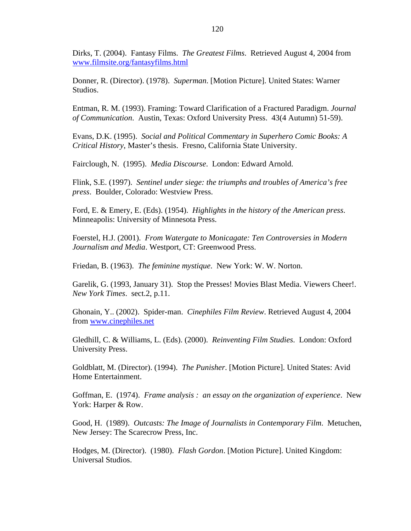Dirks, T. (2004). Fantasy Films. *The Greatest Films*. Retrieved August 4, 2004 from www.filmsite.org/fantasyfilms.html

Donner, R. (Director). (1978). *Superman*. [Motion Picture]. United States: Warner Studios.

Entman, R. M. (1993). Framing: Toward Clarification of a Fractured Paradigm. *Journal of Communication*. Austin, Texas: Oxford University Press. 43(4 Autumn) 51-59).

Evans, D.K. (1995). *Social and Political Commentary in Superhero Comic Books: A Critical History*, Master's thesis. Fresno, California State University.

Fairclough, N. (1995). *Media Discourse*. London: Edward Arnold.

Flink, S.E. (1997). *Sentinel under siege: the triumphs and troubles of America's free press*. Boulder, Colorado: Westview Press.

Ford, E. & Emery, E. (Eds). (1954). *Highlights in the history of the American press*. Minneapolis: University of Minnesota Press.

Foerstel, H.J. (2001). *From Watergate to Monicagate: Ten Controversies in Modern Journalism and Media*. Westport, CT: Greenwood Press.

Friedan, B. (1963). *The feminine mystique*. New York: W. W. Norton.

Garelik, G. (1993, January 31). Stop the Presses! Movies Blast Media. Viewers Cheer!. *New York Times*. sect.2, p.11.

Ghonain, Y.. (2002). Spider-man. *Cinephiles Film Review*. Retrieved August 4, 2004 from www.cinephiles.net

Gledhill, C. & Williams, L. (Eds). (2000). *Reinventing Film Studies*. London: Oxford University Press.

Goldblatt, M. (Director). (1994). *The Punisher*. [Motion Picture]. United States: Avid Home Entertainment.

Goffman, E. (1974). *Frame analysis : an essay on the organization of experience*. New York: Harper & Row.

Good, H. (1989). *Outcasts: The Image of Journalists in Contemporary Film*. Metuchen, New Jersey: The Scarecrow Press, Inc.

Hodges, M. (Director). (1980). *Flash Gordon*. [Motion Picture]. United Kingdom: Universal Studios.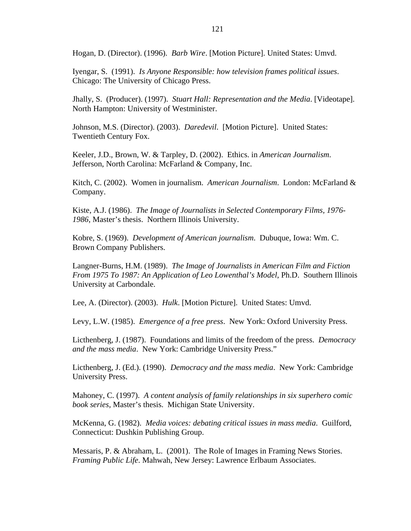Hogan, D. (Director). (1996). *Barb Wire*. [Motion Picture]. United States: Umvd.

Iyengar, S. (1991). *Is Anyone Responsible: how television frames political issues*. Chicago: The University of Chicago Press.

Jhally, S. (Producer). (1997). *Stuart Hall: Representation and the Media*. [Videotape]. North Hampton: University of Westminister.

Johnson, M.S. (Director). (2003). *Daredevil*. [Motion Picture]. United States: Twentieth Century Fox.

Keeler, J.D., Brown, W. & Tarpley, D. (2002). Ethics. in *American Journalism*. Jefferson, North Carolina: McFarland & Company, Inc.

Kitch, C. (2002). Women in journalism. *American Journalism*. London: McFarland & Company.

Kiste, A.J. (1986). *The Image of Journalists in Selected Contemporary Films, 1976- 1986*, Master's thesis. Northern Illinois University.

Kobre, S. (1969). *Development of American journalism*. Dubuque, Iowa: Wm. C. Brown Company Publishers.

Langner-Burns, H.M. (1989). *The Image of Journalists in American Film and Fiction From 1975 To 1987: An Application of Leo Lowenthal's Model*, Ph.D. Southern Illinois University at Carbondale.

Lee, A. (Director). (2003). *Hulk*. [Motion Picture]. United States: Umvd.

Levy, L.W. (1985). *Emergence of a free press*. New York: Oxford University Press.

Licthenberg, J. (1987). Foundations and limits of the freedom of the press. *Democracy and the mass media*. New York: Cambridge University Press."

Licthenberg, J. (Ed.). (1990). *Democracy and the mass media*. New York: Cambridge University Press.

Mahoney, C. (1997). *A content analysis of family relationships in six superhero comic book series*, Master's thesis. Michigan State University.

McKenna, G. (1982). *Media voices: debating critical issues in mass media*. Guilford, Connecticut: Dushkin Publishing Group.

Messaris, P. & Abraham, L. (2001). The Role of Images in Framing News Stories. *Framing Public Life*. Mahwah, New Jersey: Lawrence Erlbaum Associates.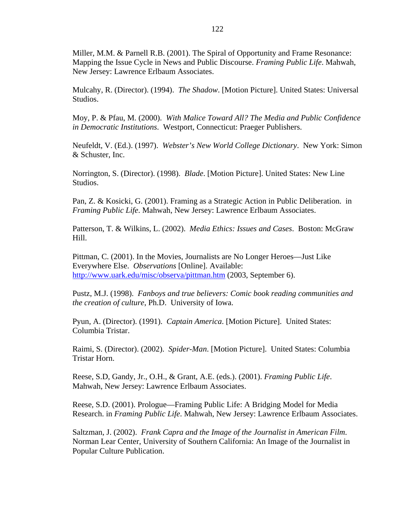Miller, M.M. & Parnell R.B. (2001). The Spiral of Opportunity and Frame Resonance: Mapping the Issue Cycle in News and Public Discourse. *Framing Public Life*. Mahwah, New Jersey: Lawrence Erlbaum Associates.

Mulcahy, R. (Director). (1994). *The Shadow*. [Motion Picture]. United States: Universal Studios.

Moy, P. & Pfau, M. (2000). *With Malice Toward All? The Media and Public Confidence in Democratic Institutions*. Westport, Connecticut: Praeger Publishers.

Neufeldt, V. (Ed.). (1997). *Webster's New World College Dictionary*. New York: Simon & Schuster, Inc.

Norrington, S. (Director). (1998). *Blade*. [Motion Picture]. United States: New Line Studios.

Pan, Z. & Kosicki, G. (2001). Framing as a Strategic Action in Public Deliberation. in *Framing Public Life*. Mahwah, New Jersey: Lawrence Erlbaum Associates.

Patterson, T. & Wilkins, L. (2002). *Media Ethics: Issues and Cases*. Boston: McGraw Hill.

Pittman, C. (2001). In the Movies, Journalists are No Longer Heroes—Just Like Everywhere Else. *Observations* [Online]. Available: http://www.uark.edu/misc/observa/pittman.htm (2003, September 6).

Pustz, M.J. (1998). *Fanboys and true believers: Comic book reading communities and the creation of culture*, Ph.D. University of Iowa.

Pyun, A. (Director). (1991). *Captain America*. [Motion Picture]. United States: Columbia Tristar.

Raimi, S. (Director). (2002). *Spider-Man*. [Motion Picture]. United States: Columbia Tristar Horn.

Reese, S.D, Gandy, Jr., O.H., & Grant, A.E. (eds.). (2001). *Framing Public Life*. Mahwah, New Jersey: Lawrence Erlbaum Associates.

Reese, S.D. (2001). Prologue—Framing Public Life: A Bridging Model for Media Research. in *Framing Public Life*. Mahwah, New Jersey: Lawrence Erlbaum Associates.

Saltzman, J. (2002). *Frank Capra and the Image of the Journalist in American Film*. Norman Lear Center, University of Southern California: An Image of the Journalist in Popular Culture Publication.